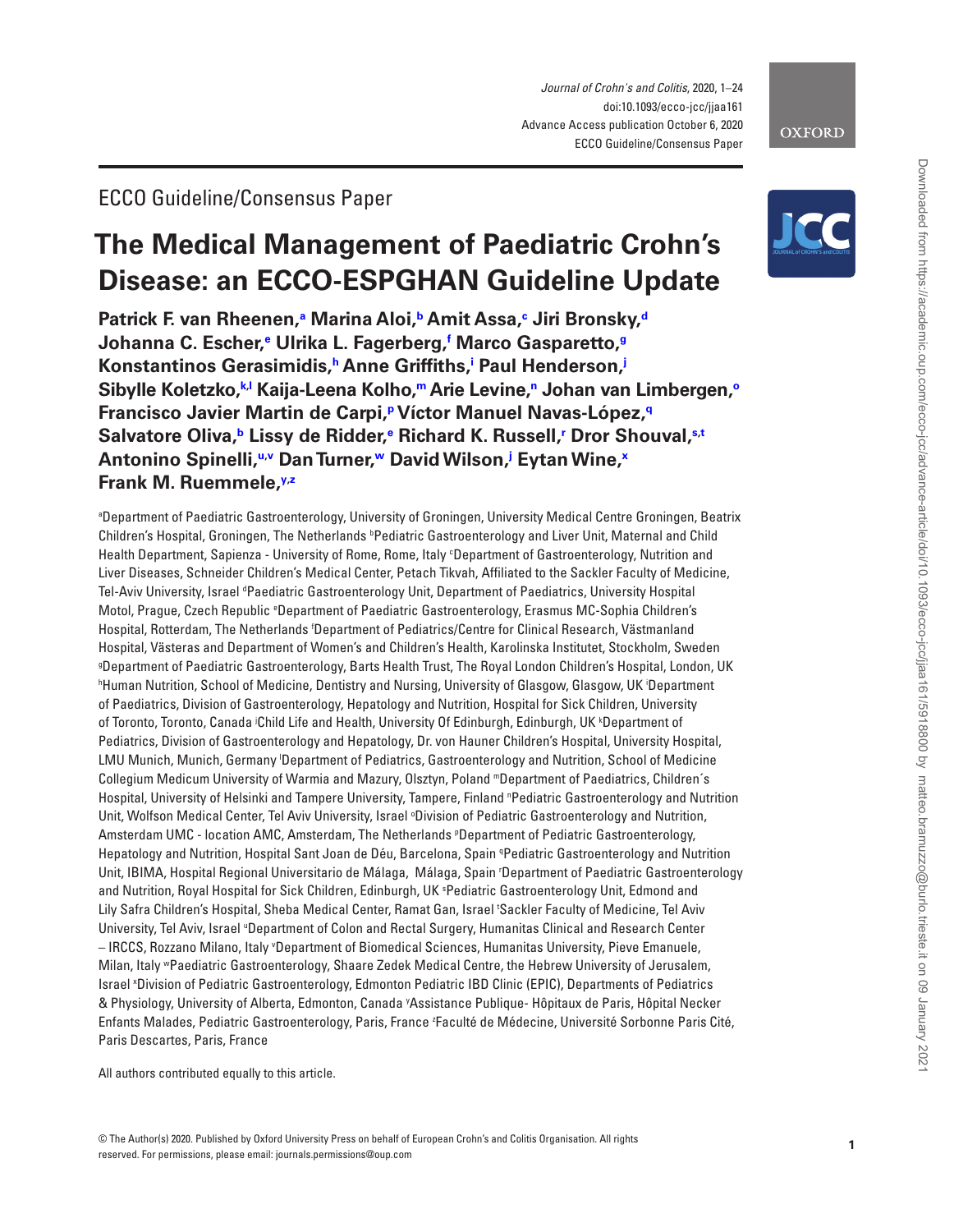*Journal of Crohn's and Colitis*, 2020, 1–24 doi:10.1093/ecco-jcc/jjaa161 Advance Access publication October 6, 2020 ECCO Guideline/Consensus Paper

## ECCO Guideline/Consensus Paper

## **The Medical Management of Paediatric Crohn's Disease: an ECCO-ESPGHAN Guideline Update**

P[a](#page-0-0)tri[c](#page-0-2)k F. van Rheenen,ª Marina Aloi,<sup>ь</sup> Amit Assa, $^{\mathrm{c}}$  Jiri Bronsky,<sup>[d](#page-0-3)</sup>  $\bm{J}$ ohanna C. Esch[e](#page-0-4)r, $^{\mathrm{e}}$  Ulrika L. Fa[g](#page-0-6)erberg, $^{\mathrm{f}}$  $^{\mathrm{f}}$  $^{\mathrm{f}}$  Marco Gasparetto, $^{\mathrm{g}}$ **Konstantinos Gerasimidis , [h](#page-0-7) Anne Griffiths , [i](#page-0-8) Paul Henderson , [j](#page-0-9) Sibylle Koletzko , [k](#page-0-10) , [l](#page-0-11) Kaija-Leena Kolho , [m](#page-0-12) Arie Levine , [n](#page-0-13) Johan van Limbergen , [o](#page-0-14) Francisco Javier Martin de Carpi , [p](#page-0-15) Víctor Manuel Navas-López , [q](#page-0-16)**  $\mathsf{Salvatore}\ \mathsf{Oliva,}^\mathsf{b}\ \mathsf{Lissy}\ \mathsf{de}\ \mathsf{Ridder,}^\mathsf{e}\ \mathsf{Richard}\ \mathsf{K}\ \mathsf{Russell,^\mathsf{r}\ \mathsf{Dror}\ \mathsf{Shouval,}^\mathsf{s,t}$  $\mathsf{Salvatore}\ \mathsf{Oliva,}^\mathsf{b}\ \mathsf{Lissy}\ \mathsf{de}\ \mathsf{Ridder,}^\mathsf{e}\ \mathsf{Richard}\ \mathsf{K}\ \mathsf{Russell,^\mathsf{r}\ \mathsf{Dror}\ \mathsf{Shouval,}^\mathsf{s,t}$  $\mathsf{Salvatore}\ \mathsf{Oliva,}^\mathsf{b}\ \mathsf{Lissy}\ \mathsf{de}\ \mathsf{Ridder,}^\mathsf{e}\ \mathsf{Richard}\ \mathsf{K}\ \mathsf{Russell,^\mathsf{r}\ \mathsf{Dror}\ \mathsf{Shouval,}^\mathsf{s,t}$  $\mathsf{Salvatore}\ \mathsf{Oliva,}^\mathsf{b}\ \mathsf{Lissy}\ \mathsf{de}\ \mathsf{Ridder,}^\mathsf{e}\ \mathsf{Richard}\ \mathsf{K}\ \mathsf{Russell,^\mathsf{r}\ \mathsf{Dror}\ \mathsf{Shouval,}^\mathsf{s,t}$  $\mathsf{Salvatore}\ \mathsf{Oliva,}^\mathsf{b}\ \mathsf{Lissy}\ \mathsf{de}\ \mathsf{Ridder,}^\mathsf{e}\ \mathsf{Richard}\ \mathsf{K}\ \mathsf{Russell,^\mathsf{r}\ \mathsf{Dror}\ \mathsf{Shouval,}^\mathsf{s,t}$  $\mathsf{Salvatore}\ \mathsf{Oliva,}^\mathsf{b}\ \mathsf{Lissy}\ \mathsf{de}\ \mathsf{Ridder,}^\mathsf{e}\ \mathsf{Richard}\ \mathsf{K}\ \mathsf{Russell,^\mathsf{r}\ \mathsf{Dror}\ \mathsf{Shouval,}^\mathsf{s,t}$  $\mathsf{Salvatore}\ \mathsf{Oliva,}^\mathsf{b}\ \mathsf{Lissy}\ \mathsf{de}\ \mathsf{Ridder,}^\mathsf{e}\ \mathsf{Richard}\ \mathsf{K}\ \mathsf{Russell,^\mathsf{r}\ \mathsf{Dror}\ \mathsf{Shouval,}^\mathsf{s,t}$  $\mathsf{Salvatore}\ \mathsf{Oliva,}^\mathsf{b}\ \mathsf{Lissy}\ \mathsf{de}\ \mathsf{Ridder,}^\mathsf{e}\ \mathsf{Richard}\ \mathsf{K}\ \mathsf{Russell,^\mathsf{r}\ \mathsf{Dror}\ \mathsf{Shouval,}^\mathsf{s,t}$  $\mathsf{Salvatore}\ \mathsf{Oliva,}^\mathsf{b}\ \mathsf{Lissy}\ \mathsf{de}\ \mathsf{Ridder,}^\mathsf{e}\ \mathsf{Richard}\ \mathsf{K}\ \mathsf{Russell,^\mathsf{r}\ \mathsf{Dror}\ \mathsf{Shouval,}^\mathsf{s,t}$  $\mathsf{Antonino\; Spinelli,}$ ","  $\mathsf{Dan\,Turner,}$  $\mathsf{Dan\,Turner,}$  $\mathsf{Dan\,Turner,}$ "  $\mathsf{David\; Wilson,}$  $\mathsf{David\; Wilson,}$  $\mathsf{David\; Wilson,}$  Eytan Wine," **Frank M. Ruemmele , [y](#page-0-24) , [z](#page-0-25)**

<span id="page-0-13"></span><span id="page-0-12"></span><span id="page-0-11"></span><span id="page-0-10"></span><span id="page-0-9"></span><span id="page-0-8"></span><span id="page-0-7"></span><span id="page-0-6"></span><span id="page-0-5"></span><span id="page-0-4"></span><span id="page-0-3"></span><span id="page-0-2"></span><span id="page-0-1"></span><span id="page-0-0"></span>a Department of Paediatric Gastroenterology, University of Groningen, University Medical Centre Groningen, Beatrix Children's Hospital, Groningen, The Netherlands **<sup>b</sup>Pediatric Gastroenterology and Liver** Unit, Maternal and Child Health Department, Sapienza - University of Rome, Rome, Italy <sup>e</sup>Department of Gastroenterology, Nutrition and Liver Diseases, Schneider Children's Medical Center, Petach Tikvah, Affiliated to the Sackler Faculty of Medicine, Tel-Aviv University, Israel <sup>a</sup>Paediatric Gastroenterology Unit, Department of Paediatrics, University Hospital Motol, Prague, Czech Republic <sup>e</sup>Department of Paediatric Gastroenterology, Erasmus MC-Sophia Children's Hospital, Rotterdam, The Netherlands 'Department of Pediatrics/Centre for Clinical Research, Västmanland Hospital, Västeras and Department of Women's and Children's Health, Karolinska Institutet, Stockholm, Sweden g Department of Paediatric Gastroenterology, Barts Health Trust, The Royal London Children's Hospital, London, UK h Human Nutrition, School of Medicine, Dentistry and Nursing, University of Glasgow, Glasgow, UK Department " of Paediatrics, Division of Gastroenterology, Hepatology and Nutrition, Hospital for Sick Children, University of Toronto, Toronto, Canada Child Life and Health, University Of Edinburgh, Edinburgh, UK **KDepartment** of Pediatrics, Division of Gastroenterology and Hepatology, Dr. von Hauner Children's Hospital, University Hospital, LMU Munich, Munich, Germany 'Department of Pediatrics, Gastroenterology and Nutrition, School of Medicine Collegium Medicum University of Warmia and Mazury, Olsztyn, Poland mDepartment of Paediatrics, Children´s Hospital, University of Helsinki and Tampere University, Tampere, Finland n Pediatric Gastroenterology and Nutrition Unit, Wolfson Medical Center, Tel Aviv University, Israel <sup>o</sup>Division of Pediatric Gastroenterology and Nutrition, Amsterdam UMC - location AMC, Amsterdam, The Netherlands p Department of Pediatric Gastroenterology, Hepatology and Nutrition, Hospital Sant Joan de Déu, Barcelona, Spain q Pediatric Gastroenterology and Nutrition Unit, IBIMA, Hospital Regional Universitario de Málaga, Málaga, Spain r Department of Paediatric Gastroenterology and Nutrition, Royal Hospital for Sick Children, Edinburgh, UK s Pediatric Gastroenterology Unit, Edmond and Lily Safra Children's Hospital, Sheba Medical Center, Ramat Gan, Israel t Sackler Faculty of Medicine, Tel Aviv University, Tel Aviv, Israel "Department of Colon and Rectal Surgery, Humanitas Clinical and Research Center – IRCCS, Rozzano Milano, Italy <sup>,</sup>Department of Biomedical Sciences, Humanitas University, Pieve Emanuele, Milan, Italy wPaediatric Gastroenterology, Shaare Zedek Medical Centre, the Hebrew University of Jerusalem, Israel x Division of Pediatric Gastroenterology, Edmonton Pediatric IBD Clinic (EPIC), Departments of Pediatrics & Physiology, University of Alberta, Edmonton, Canada y Assistance Publique- Hôpitaux de Paris, Hôpital Necker Enfants Malades, Pediatric Gastroenterology, Paris, France <sup>z</sup>Faculté de Médecine, Université Sorbonne Paris Cité, Paris Descartes, Paris, France

<span id="page-0-25"></span><span id="page-0-24"></span><span id="page-0-23"></span><span id="page-0-22"></span><span id="page-0-21"></span><span id="page-0-20"></span><span id="page-0-19"></span><span id="page-0-17"></span><span id="page-0-16"></span><span id="page-0-15"></span><span id="page-0-14"></span>All authors contributed equally to this article.

<span id="page-0-18"></span>

**OXFORD**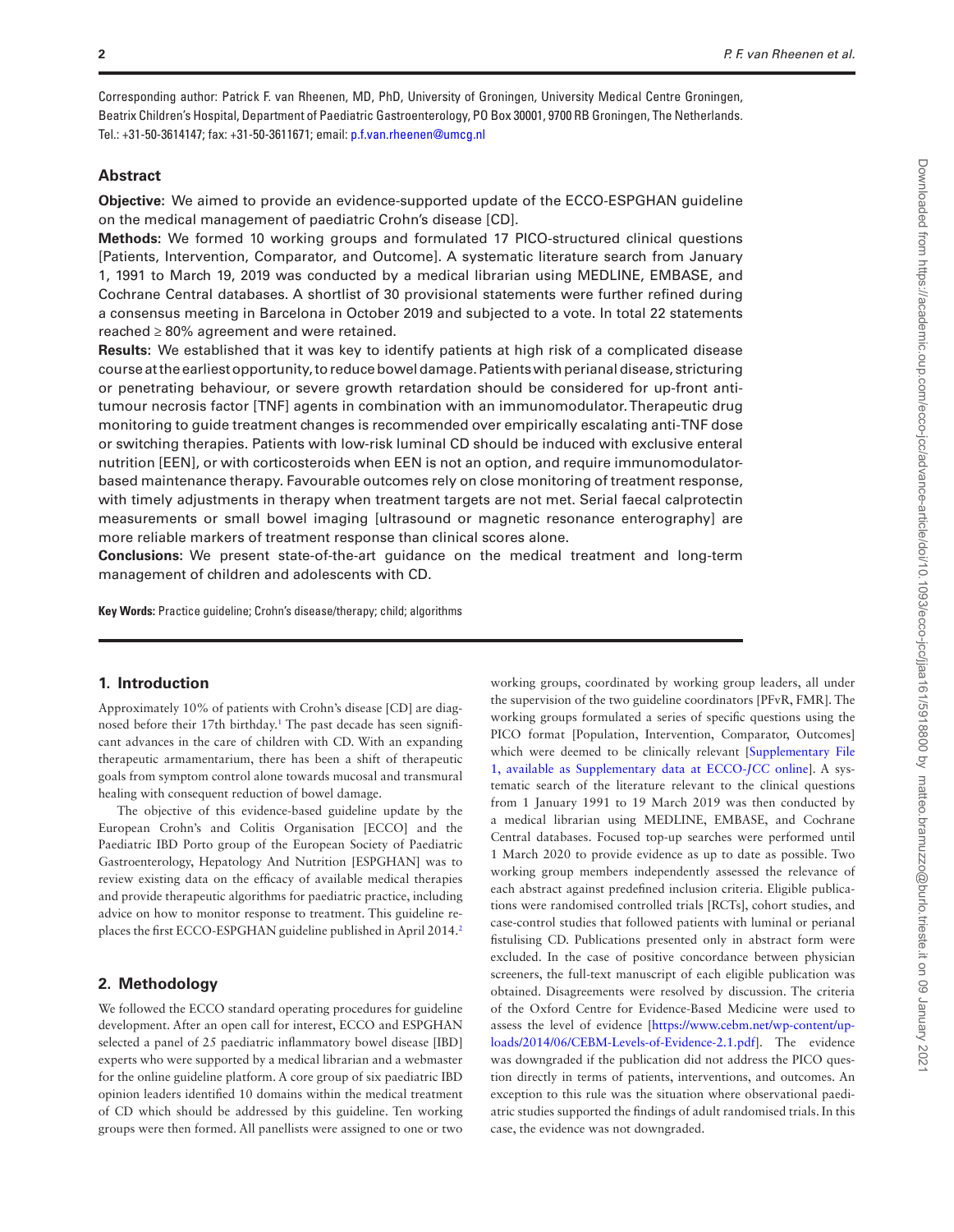Corresponding author: Patrick F. van Rheenen, MD, PhD, University of Groningen, University Medical Centre Groningen, Beatrix Children's Hospital, Department of Paediatric Gastroenterology, PO Box 30001, 9700 RB Groningen, The Netherlands. Tel.: +31-50-3614147; fax: +31-50-3611671; email: [p.f.van.rheenen@umcg.nl](mailto:p.f.van.rheenen@umcg.nl?subject=)

### **Abstract**

**Objective:** We aimed to provide an evidence-supported update of the ECCO-ESPGHAN guideline on the medical management of paediatric Crohn's disease [CD].

**Methods:** We formed 10 working groups and formulated 17 PICO-structured clinical questions [Patients, Intervention, Comparator, and Outcome]. A systematic literature search from January 1, 1991 to March 19, 2019 was conducted by a medical librarian using MEDLINE, EMBASE, and Cochrane Central databases. A shortlist of 30 provisional statements were further refined during a consensus meeting in Barcelona in October 2019 and subjected to a vote. In total 22 statements reached ≥ 80% agreement and were retained.

**Results:** We established that it was key to identify patients at high risk of a complicated disease course at the earliest opportunity, to reduce bowel damage. Patients with perianal disease, stricturing or penetrating behaviour, or severe growth retardation should be considered for up-front antitumour necrosis factor [TNF] agents in combination with an immunomodulator. Therapeutic drug monitoring to guide treatment changes is recommended over empirically escalating anti-TNF dose or switching therapies. Patients with low-risk luminal CD should be induced with exclusive enteral nutrition [EEN], or with corticosteroids when EEN is not an option, and require immunomodulatorbased maintenance therapy. Favourable outcomes rely on close monitoring of treatment response, with timely adjustments in therapy when treatment targets are not met. Serial faecal calprotectin measurements or small bowel imaging [ultrasound or magnetic resonance enterography] are more reliable markers of treatment response than clinical scores alone.

**Conclusions:** We present state-of-the-art guidance on the medical treatment and long-term management of children and adolescents with CD.

**Key Words:** Practice guideline; Crohn's disease/therapy; child; algorithms

### **1. Introduction**

Approximately 10% of patients with Crohn's disease [CD] are diagnosed before their 17th birthday.<sup>1</sup> The past decade has seen significant advances in the care of children with CD. With an expanding therapeutic armamentarium, there has been a shift of therapeutic goals from symptom control alone towards mucosal and transmural healing with consequent reduction of bowel damage.

The objective of this evidence-based guideline update by the European Crohn's and Colitis Organisation [ECCO] and the Paediatric IBD Porto group of the European Society of Paediatric Gastroenterology, Hepatology And Nutrition [ESPGHAN] was to review existing data on the efficacy of available medical therapies and provide therapeutic algorithms for paediatric practice, including advice on how to monitor response to treatment. This guideline replaces the first ECCO-ESPGHAN guideline published in April 2014.[2](#page-16-1)

### **2. Methodology**

We followed the ECCO standard operating procedures for guideline development. After an open call for interest, ECCO and ESPGHAN selected a panel of 25 paediatric inflammatory bowel disease [IBD] experts who were supported by a medical librarian and a webmaster for the online guideline platform. A core group of six paediatric IBD opinion leaders identified 10 domains within the medical treatment of CD which should be addressed by this guideline. Ten working groups were then formed. All panellists were assigned to one or two

working groups, coordinated by working group leaders, all under the supervision of the two guideline coordinators [PFvR, FMR]. The working groups formulated a series of specific questions using the PICO format [Population, Intervention, Comparator, Outcomes] which were deemed to be clinically relevant [\[Supplementary File](http://academic.oup.com/ecco-jcc/article-lookup/doi/10.1093/ecco-jcc/jjaa161#supplementary-data) [1, available as Supplementary data at ECCO](http://academic.oup.com/ecco-jcc/article-lookup/doi/10.1093/ecco-jcc/jjaa161#supplementary-data)*-JCC* online]. A systematic search of the literature relevant to the clinical questions from 1 January 1991 to 19 March 2019 was then conducted by a medical librarian using MEDLINE, EMBASE, and Cochrane Central databases. Focused top-up searches were performed until 1 March 2020 to provide evidence as up to date as possible. Two working group members independently assessed the relevance of each abstract against predefined inclusion criteria. Eligible publications were randomised controlled trials [RCTs], cohort studies, and case-control studies that followed patients with luminal or perianal fistulising CD. Publications presented only in abstract form were excluded. In the case of positive concordance between physician screeners, the full-text manuscript of each eligible publication was obtained. Disagreements were resolved by discussion. The criteria of the Oxford Centre for Evidence-Based Medicine were used to assess the level of evidence [[https://www.cebm.net/wp-content/up](https://www.cebm.net/wp-content/uploads/2014/06/CEBM-Levels-of-Evidence-2.1.pdf)[loads/2014/06/CEBM-Levels-of-Evidence-2.1.pdf\]](https://www.cebm.net/wp-content/uploads/2014/06/CEBM-Levels-of-Evidence-2.1.pdf). The evidence was downgraded if the publication did not address the PICO question directly in terms of patients, interventions, and outcomes. An exception to this rule was the situation where observational paediatric studies supported the findings of adult randomised trials. In this case, the evidence was not downgraded.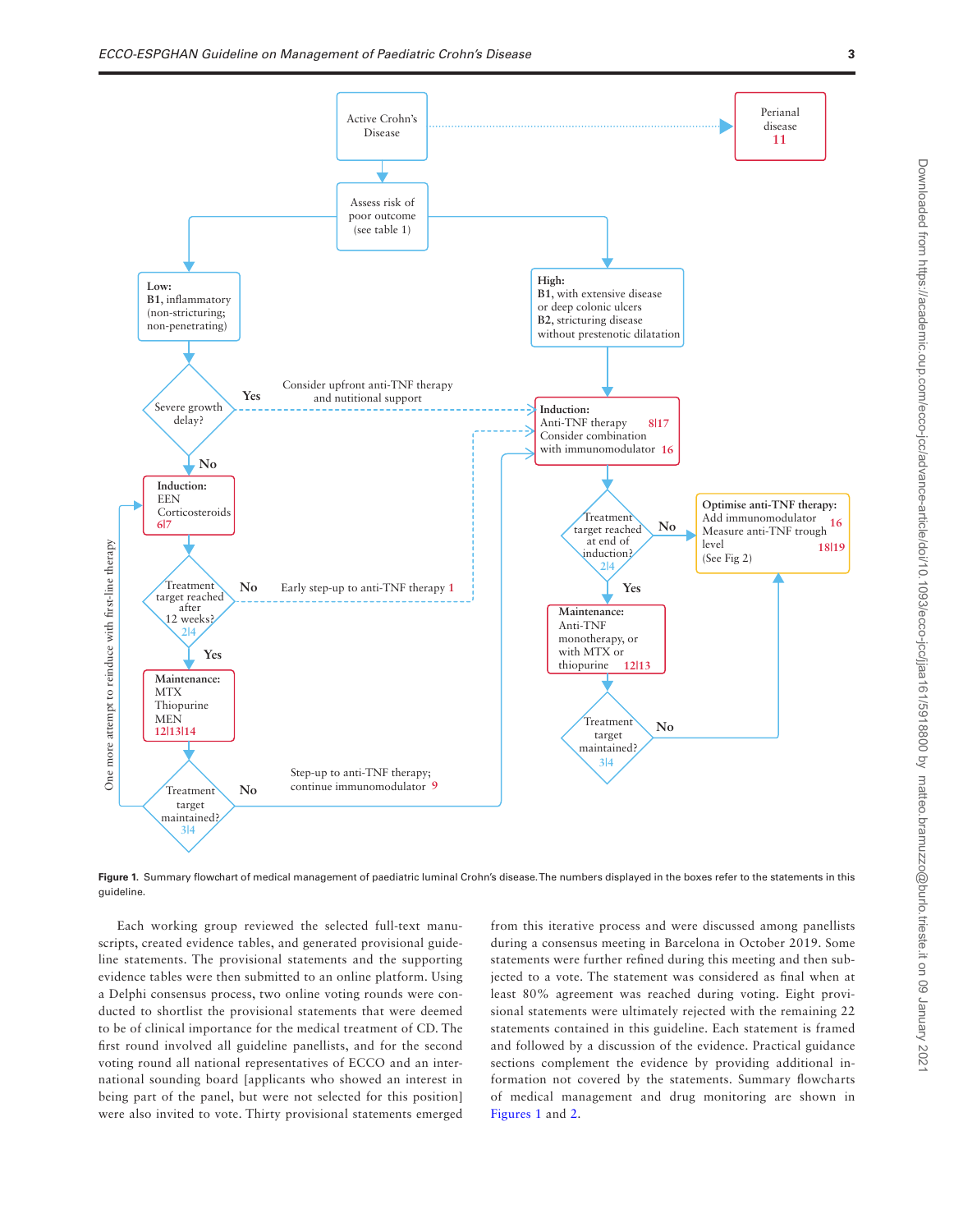

<span id="page-2-0"></span>Figure 1. Summary flowchart of medical management of paediatric luminal Crohn's disease. The numbers displayed in the boxes refer to the statements in this guideline.

Each working group reviewed the selected full-text manuscripts, created evidence tables, and generated provisional guideline statements. The provisional statements and the supporting evidence tables were then submitted to an online platform. Using a Delphi consensus process, two online voting rounds were conducted to shortlist the provisional statements that were deemed to be of clinical importance for the medical treatment of CD. The first round involved all guideline panellists, and for the second voting round all national representatives of ECCO and an international sounding board [applicants who showed an interest in being part of the panel, but were not selected for this position] were also invited to vote. Thirty provisional statements emerged

from this iterative process and were discussed among panellists during a consensus meeting in Barcelona in October 2019. Some statements were further refined during this meeting and then subjected to a vote. The statement was considered as final when at least 80% agreement was reached during voting. Eight provisional statements were ultimately rejected with the remaining 22 statements contained in this guideline. Each statement is framed and followed by a discussion of the evidence. Practical guidance sections complement the evidence by providing additional information not covered by the statements. Summary flowcharts of medical management and drug monitoring are shown in [Figures 1](#page-2-0) and [2.](#page-3-0)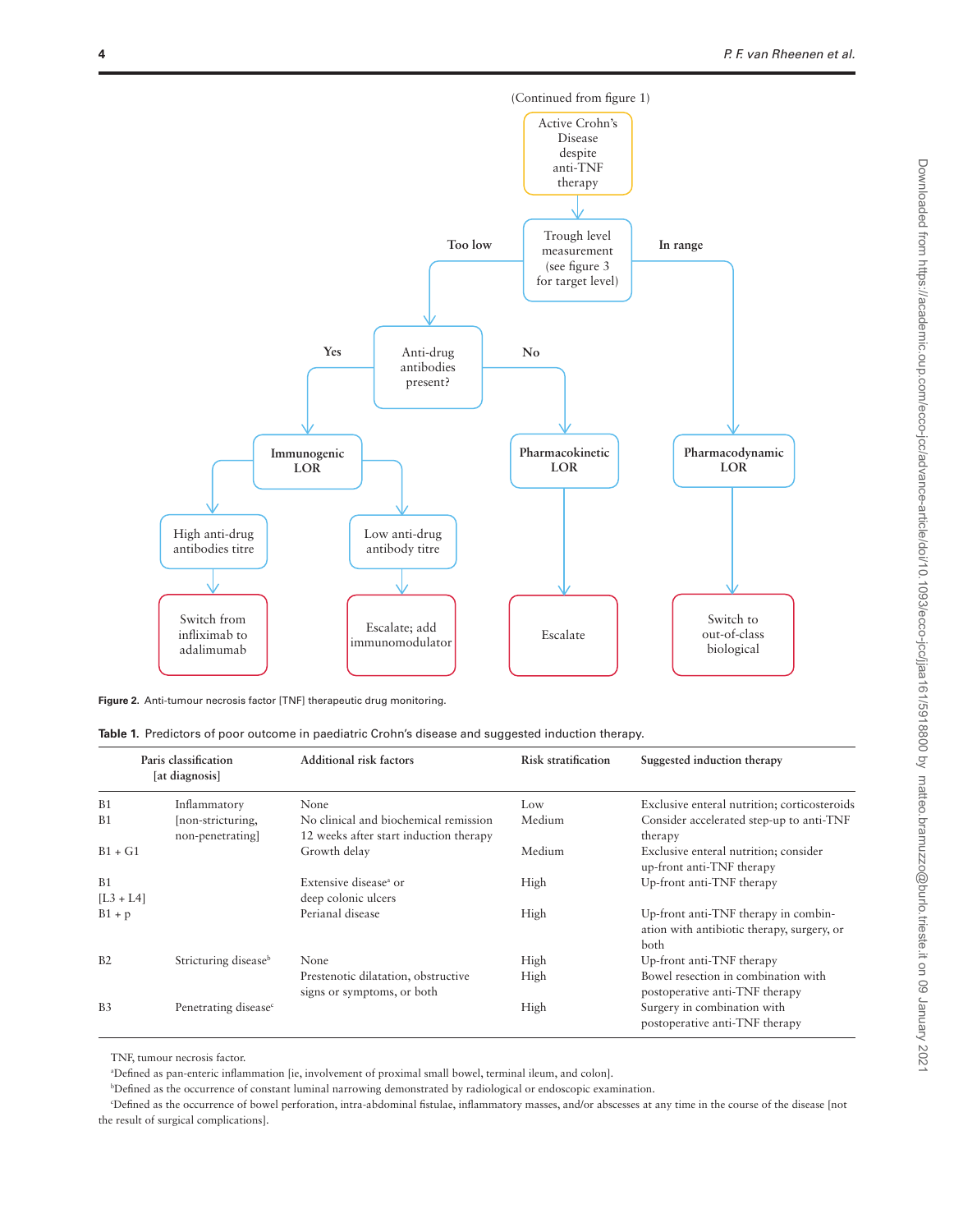

<span id="page-3-0"></span>**Figure 2.** Anti-tumour necrosis factor [TNF] therapeutic drug monitoring.

<span id="page-3-1"></span>

| Table 1. Predictors of poor outcome in paediatric Crohn's disease and suggested induction therapy. |  |  |  |  |
|----------------------------------------------------------------------------------------------------|--|--|--|--|
|----------------------------------------------------------------------------------------------------|--|--|--|--|

| Paris classification<br>[at diagnosis] |                                       | <b>Additional risk factors</b>                                                  | <b>Risk stratification</b> | Suggested induction therapy                                                                |  |
|----------------------------------------|---------------------------------------|---------------------------------------------------------------------------------|----------------------------|--------------------------------------------------------------------------------------------|--|
| <b>B1</b>                              | Inflammatory                          | None                                                                            | Low                        | Exclusive enteral nutrition; corticosteroids                                               |  |
| B1                                     | [non-stricturing,<br>non-penetrating] | No clinical and biochemical remission<br>12 weeks after start induction therapy | Medium                     | Consider accelerated step-up to anti-TNF<br>therapy                                        |  |
| $B1 + G1$                              |                                       | Growth delay                                                                    | Medium                     | Exclusive enteral nutrition; consider<br>up-front anti-TNF therapy                         |  |
| B1<br>$[L3 + L4]$                      |                                       | Extensive disease <sup>a</sup> or<br>deep colonic ulcers                        | High                       | Up-front anti-TNF therapy                                                                  |  |
| $B1 + p$                               |                                       | Perianal disease                                                                | High                       | Up-front anti-TNF therapy in combin-<br>ation with antibiotic therapy, surgery, or<br>both |  |
| B <sub>2</sub>                         | Stricturing disease <sup>b</sup>      | None                                                                            | High                       | Up-front anti-TNF therapy                                                                  |  |
|                                        |                                       | Prestenotic dilatation, obstructive<br>signs or symptoms, or both               | High                       | Bowel resection in combination with<br>postoperative anti-TNF therapy                      |  |
| B <sub>3</sub>                         | Penetrating disease <sup>c</sup>      |                                                                                 | High                       | Surgery in combination with<br>postoperative anti-TNF therapy                              |  |

TNF, tumour necrosis factor.

a Defined as pan-enteric inflammation [ie, involvement of proximal small bowel, terminal ileum, and colon].

b Defined as the occurrence of constant luminal narrowing demonstrated by radiological or endoscopic examination.

c Defined as the occurrence of bowel perforation, intra-abdominal fistulae, inflammatory masses, and/or abscesses at any time in the course of the disease [not the result of surgical complications].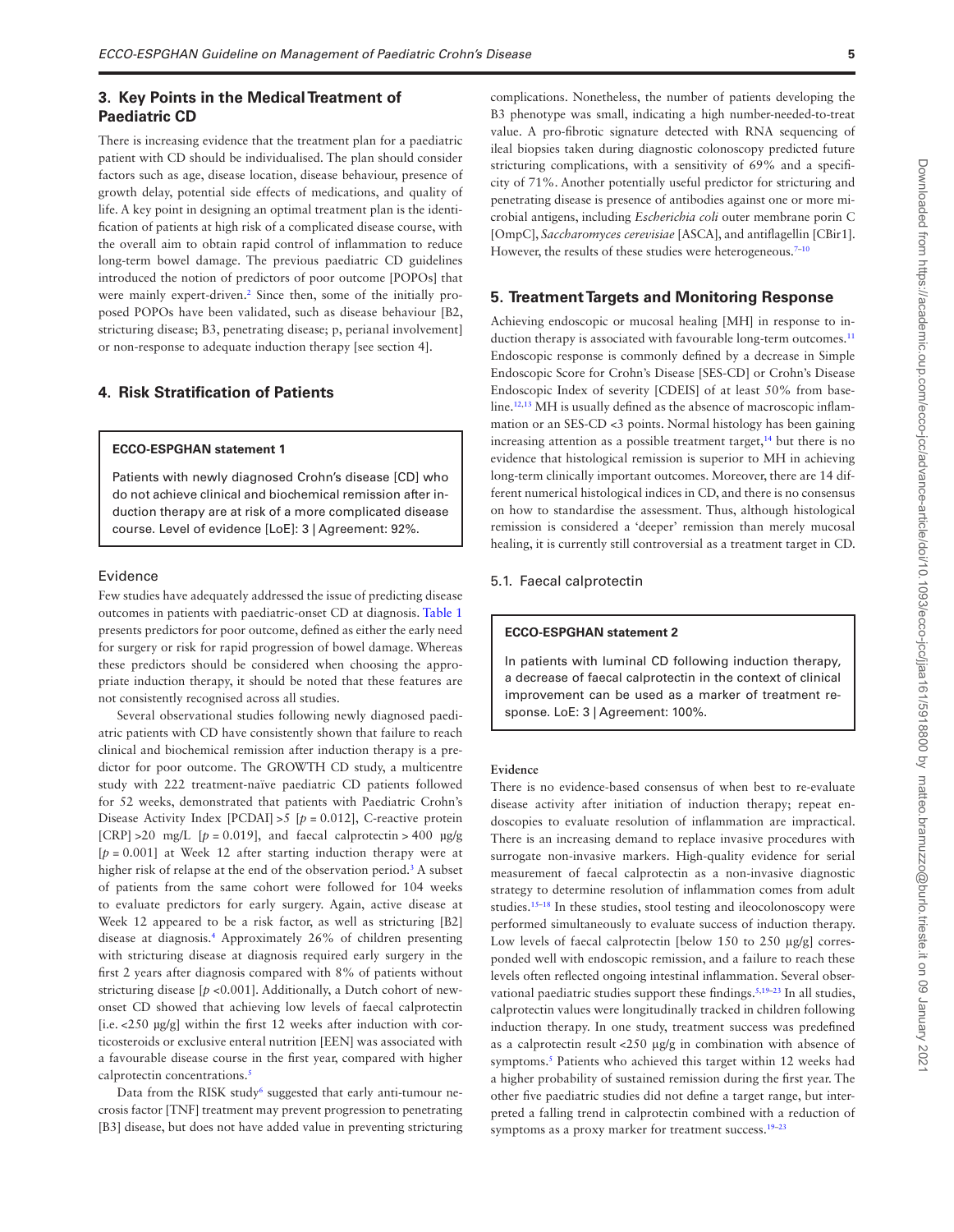### **3. Key Points in the Medical Treatment of Paediatric CD**

There is increasing evidence that the treatment plan for a paediatric patient with CD should be individualised. The plan should consider factors such as age, disease location, disease behaviour, presence of growth delay, potential side effects of medications, and quality of life. A key point in designing an optimal treatment plan is the identification of patients at high risk of a complicated disease course, with the overall aim to obtain rapid control of inflammation to reduce long-term bowel damage. The previous paediatric CD guidelines introduced the notion of predictors of poor outcome [POPOs] that were mainly expert-driven.<sup>[2](#page-16-1)</sup> Since then, some of the initially proposed POPOs have been validated, such as disease behaviour [B2, stricturing disease; B3, penetrating disease; p, perianal involvement] or non-response to adequate induction therapy [see section 4].

### **4. Risk Stratification of Patients**

### **ECCO-ESPGHAN statement 1**

Patients with newly diagnosed Crohn's disease [CD] who do not achieve clinical and biochemical remission after induction therapy are at risk of a more complicated disease course. Level of evidence [LoE]: 3 | Agreement: 92%.

### Evidence

Few studies have adequately addressed the issue of predicting disease outcomes in patients with paediatric-onset CD at diagnosis. [Table 1](#page-3-1) presents predictors for poor outcome, defined as either the early need for surgery or risk for rapid progression of bowel damage. Whereas these predictors should be considered when choosing the appropriate induction therapy, it should be noted that these features are not consistently recognised across all studies.

Several observational studies following newly diagnosed paediatric patients with CD have consistently shown that failure to reach clinical and biochemical remission after induction therapy is a predictor for poor outcome. The GROWTH CD study, a multicentre study with 222 treatment-naïve paediatric CD patients followed for 52 weeks, demonstrated that patients with Paediatric Crohn's Disease Activity Index [PCDAI] >5 [*p =* 0.012], C-reactive protein [CRP]  $>20$  mg/L [ $p = 0.019$ ], and faecal calprotectin  $> 400$  µg/g  $[p = 0.001]$  at Week 12 after starting induction therapy were at higher risk of relapse at the end of the observation period.<sup>3</sup> A subset of patients from the same cohort were followed for 104 weeks to evaluate predictors for early surgery. Again, active disease at Week 12 appeared to be a risk factor, as well as stricturing [B2] disease at diagnosis.[4](#page-16-3) Approximately 26% of children presenting with stricturing disease at diagnosis required early surgery in the first 2 years after diagnosis compared with 8% of patients without stricturing disease  $[p \le 0.001]$ . Additionally, a Dutch cohort of newonset CD showed that achieving low levels of faecal calprotectin [i.e. <250 µg/g] within the first 12 weeks after induction with corticosteroids or exclusive enteral nutrition [EEN] was associated with a favourable disease course in the first year, compared with higher calprotectin concentrations.<sup>5</sup>

Data from the RISK study<sup>6</sup> suggested that early anti-tumour necrosis factor [TNF] treatment may prevent progression to penetrating [B3] disease, but does not have added value in preventing stricturing

complications. Nonetheless, the number of patients developing the B3 phenotype was small, indicating a high number-needed-to-treat value. A pro-fibrotic signature detected with RNA sequencing of ileal biopsies taken during diagnostic colonoscopy predicted future stricturing complications, with a sensitivity of 69% and a specificity of 71%. Another potentially useful predictor for stricturing and penetrating disease is presence of antibodies against one or more microbial antigens, including *Escherichia coli* outer membrane porin C [OmpC], *Saccharomyces cerevisiae* [ASCA], and antiflagellin [CBir1]. However, the results of these studies were heterogeneous.<sup>[7](#page-16-6)-[10](#page-17-0)</sup>

### **5. Treatment Targets and Monitoring Response**

Achieving endoscopic or mucosal healing [MH] in response to in-duction therapy is associated with favourable long-term outcomes.<sup>[11](#page-17-1)</sup> Endoscopic response is commonly defined by a decrease in Simple Endoscopic Score for Crohn's Disease [SES-CD] or Crohn's Disease Endoscopic Index of severity [CDEIS] of at least 50% from baseline.[12](#page-17-2)[,13](#page-17-3) MH is usually defined as the absence of macroscopic inflammation or an SES-CD <3 points. Normal histology has been gaining increasing attention as a possible treatment target, $14$  but there is no evidence that histological remission is superior to MH in achieving long-term clinically important outcomes. Moreover, there are 14 different numerical histological indices in CD, and there is no consensus on how to standardise the assessment. Thus, although histological remission is considered a 'deeper' remission than merely mucosal healing, it is currently still controversial as a treatment target in CD.

### 5.1. Faecal calprotectin

### **ECCO-ESPGHAN statement 2**

In patients with luminal CD following induction therapy, a decrease of faecal calprotectin in the context of clinical improvement can be used as a marker of treatment response. LoE: 3 | Agreement: 100%.

### **Evidence**

There is no evidence-based consensus of when best to re-evaluate disease activity after initiation of induction therapy; repeat endoscopies to evaluate resolution of inflammation are impractical. There is an increasing demand to replace invasive procedures with surrogate non-invasive markers. High-quality evidence for serial measurement of faecal calprotectin as a non-invasive diagnostic strategy to determine resolution of inflammation comes from adult studies.[15](#page-17-5)[–18](#page-17-6) In these studies, stool testing and ileocolonoscopy were performed simultaneously to evaluate success of induction therapy. Low levels of faecal calprotectin [below 150 to 250 μg/g] corresponded well with endoscopic remission, and a failure to reach these levels often reflected ongoing intestinal inflammation. Several obser-vational paediatric studies support these findings.<sup>5,[19](#page-17-7)-23</sup> In all studies, calprotectin values were longitudinally tracked in children following induction therapy. In one study, treatment success was predefined as a calprotectin result <250 μg/g in combination with absence of symptoms.<sup>5</sup> Patients who achieved this target within 12 weeks had a higher probability of sustained remission during the first year. The other five paediatric studies did not define a target range, but interpreted a falling trend in calprotectin combined with a reduction of symptoms as a proxy marker for treatment success.<sup>19-[23](#page-17-8)</sup>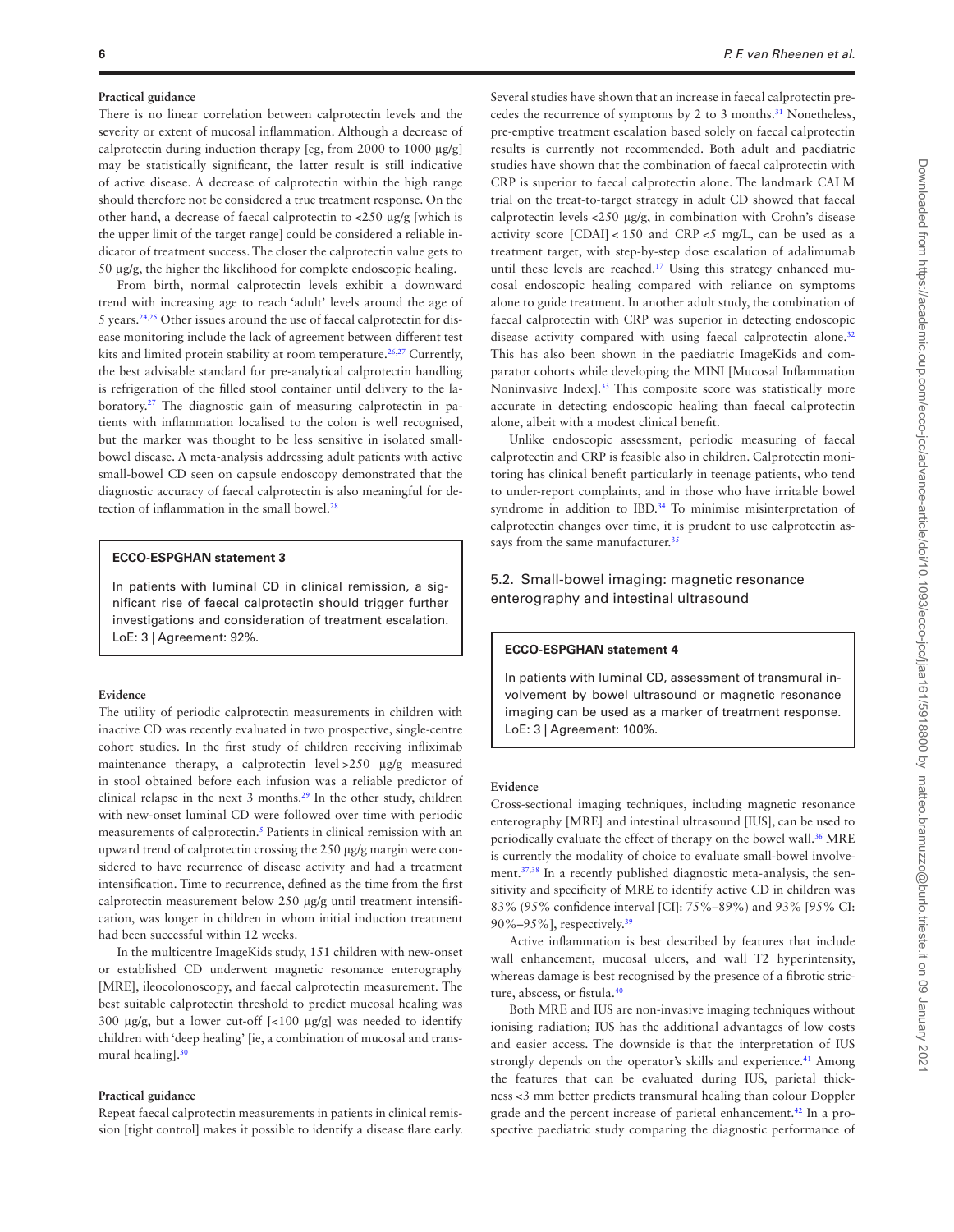### **Practical guidance**

There is no linear correlation between calprotectin levels and the severity or extent of mucosal inflammation. Although a decrease of calprotectin during induction therapy [eg, from 2000 to 1000 μg/g] may be statistically significant, the latter result is still indicative of active disease. A decrease of calprotectin within the high range should therefore not be considered a true treatment response. On the other hand, a decrease of faecal calprotectin to <250 μg/g [which is the upper limit of the target range] could be considered a reliable indicator of treatment success. The closer the calprotectin value gets to 50 μg/g, the higher the likelihood for complete endoscopic healing.

From birth, normal calprotectin levels exhibit a downward trend with increasing age to reach 'adult' levels around the age of 5 years[.24,](#page-17-9)[25](#page-17-10) Other issues around the use of faecal calprotectin for disease monitoring include the lack of agreement between different test kits and limited protein stability at room temperature.<sup>[26](#page-17-11),27</sup> Currently, the best advisable standard for pre-analytical calprotectin handling is refrigeration of the filled stool container until delivery to the laboratory.[27](#page-17-12) The diagnostic gain of measuring calprotectin in patients with inflammation localised to the colon is well recognised, but the marker was thought to be less sensitive in isolated smallbowel disease. A meta-analysis addressing adult patients with active small-bowel CD seen on capsule endoscopy demonstrated that the diagnostic accuracy of faecal calprotectin is also meaningful for detection of inflammation in the small bowel.<sup>28</sup>

### **ECCO-ESPGHAN statement 3**

In patients with luminal CD in clinical remission, a significant rise of faecal calprotectin should trigger further investigations and consideration of treatment escalation. LoE: 3 | Agreement: 92%.

### **Evidence**

The utility of periodic calprotectin measurements in children with inactive CD was recently evaluated in two prospective, single-centre cohort studies. In the first study of children receiving infliximab maintenance therapy, a calprotectin level >250 μg/g measured in stool obtained before each infusion was a reliable predictor of clinical relapse in the next 3 months.<sup>29</sup> In the other study, children with new-onset luminal CD were followed over time with periodic measurements of calprotectin.<sup>[5](#page-16-4)</sup> Patients in clinical remission with an upward trend of calprotectin crossing the 250 μg/g margin were considered to have recurrence of disease activity and had a treatment intensification. Time to recurrence, defined as the time from the first calprotectin measurement below 250 μg/g until treatment intensification, was longer in children in whom initial induction treatment had been successful within 12 weeks.

In the multicentre ImageKids study, 151 children with new-onset or established CD underwent magnetic resonance enterography [MRE], ileocolonoscopy, and faecal calprotectin measurement. The best suitable calprotectin threshold to predict mucosal healing was 300 μg/g, but a lower cut-off [<100 μg/g] was needed to identify children with 'deep healing' [ie, a combination of mucosal and trans-mural healing].<sup>[30](#page-17-15)</sup>

### **Practical guidance**

Repeat faecal calprotectin measurements in patients in clinical remission [tight control] makes it possible to identify a disease flare early.

Several studies have shown that an increase in faecal calprotectin precedes the recurrence of symptoms by 2 to 3 months.<sup>31</sup> Nonetheless, pre-emptive treatment escalation based solely on faecal calprotectin results is currently not recommended. Both adult and paediatric studies have shown that the combination of faecal calprotectin with CRP is superior to faecal calprotectin alone. The landmark CALM trial on the treat-to-target strategy in adult CD showed that faecal calprotectin levels <250 μg/g, in combination with Crohn's disease activity score  $[CDAI] < 150$  and  $CRP < 5$  mg/L, can be used as a treatment target, with step-by-step dose escalation of adalimumab until these levels are reached.<sup>[17](#page-17-17)</sup> Using this strategy enhanced mucosal endoscopic healing compared with reliance on symptoms alone to guide treatment. In another adult study, the combination of faecal calprotectin with CRP was superior in detecting endoscopic disease activity compared with using faecal calprotectin alone.<sup>[32](#page-17-18)</sup> This has also been shown in the paediatric ImageKids and comparator cohorts while developing the MINI [Mucosal Inflammation Noninvasive Index][.33](#page-17-19) This composite score was statistically more accurate in detecting endoscopic healing than faecal calprotectin alone, albeit with a modest clinical benefit.

Unlike endoscopic assessment, periodic measuring of faecal calprotectin and CRP is feasible also in children. Calprotectin monitoring has clinical benefit particularly in teenage patients, who tend to under-report complaints, and in those who have irritable bowel syndrome in addition to IBD.<sup>34</sup> To minimise misinterpretation of calprotectin changes over time, it is prudent to use calprotectin assays from the same manufacturer.<sup>35</sup>

### 5.2. Small-bowel imaging: magnetic resonance enterography and intestinal ultrasound

### **ECCO-ESPGHAN statement 4**

In patients with luminal CD, assessment of transmural involvement by bowel ultrasound or magnetic resonance imaging can be used as a marker of treatment response. LoE: 3 | Agreement: 100%.

### **Evidence**

Cross-sectional imaging techniques, including magnetic resonance enterography [MRE] and intestinal ultrasound [IUS], can be used to periodically evaluate the effect of therapy on the bowel wall.<sup>36</sup> MRE is currently the modality of choice to evaluate small-bowel involvement.[37](#page-17-23)[,38](#page-17-24) In a recently published diagnostic meta-analysis, the sensitivity and specificity of MRE to identify active CD in children was 83% (95% confidence interval [CI]: 75%–89%) and 93% [95% CI: 90%–95%], respectively[.39](#page-17-25)

Active inflammation is best described by features that include wall enhancement, mucosal ulcers, and wall T2 hyperintensity, whereas damage is best recognised by the presence of a fibrotic stricture, abscess, or fistula[.40](#page-17-26)

Both MRE and IUS are non-invasive imaging techniques without ionising radiation; IUS has the additional advantages of low costs and easier access. The downside is that the interpretation of IUS strongly depends on the operator's skills and experience.<sup>[41](#page-17-27)</sup> Among the features that can be evaluated during IUS, parietal thickness <3 mm better predicts transmural healing than colour Doppler grade and the percent increase of parietal enhancement.<sup>42</sup> In a prospective paediatric study comparing the diagnostic performance of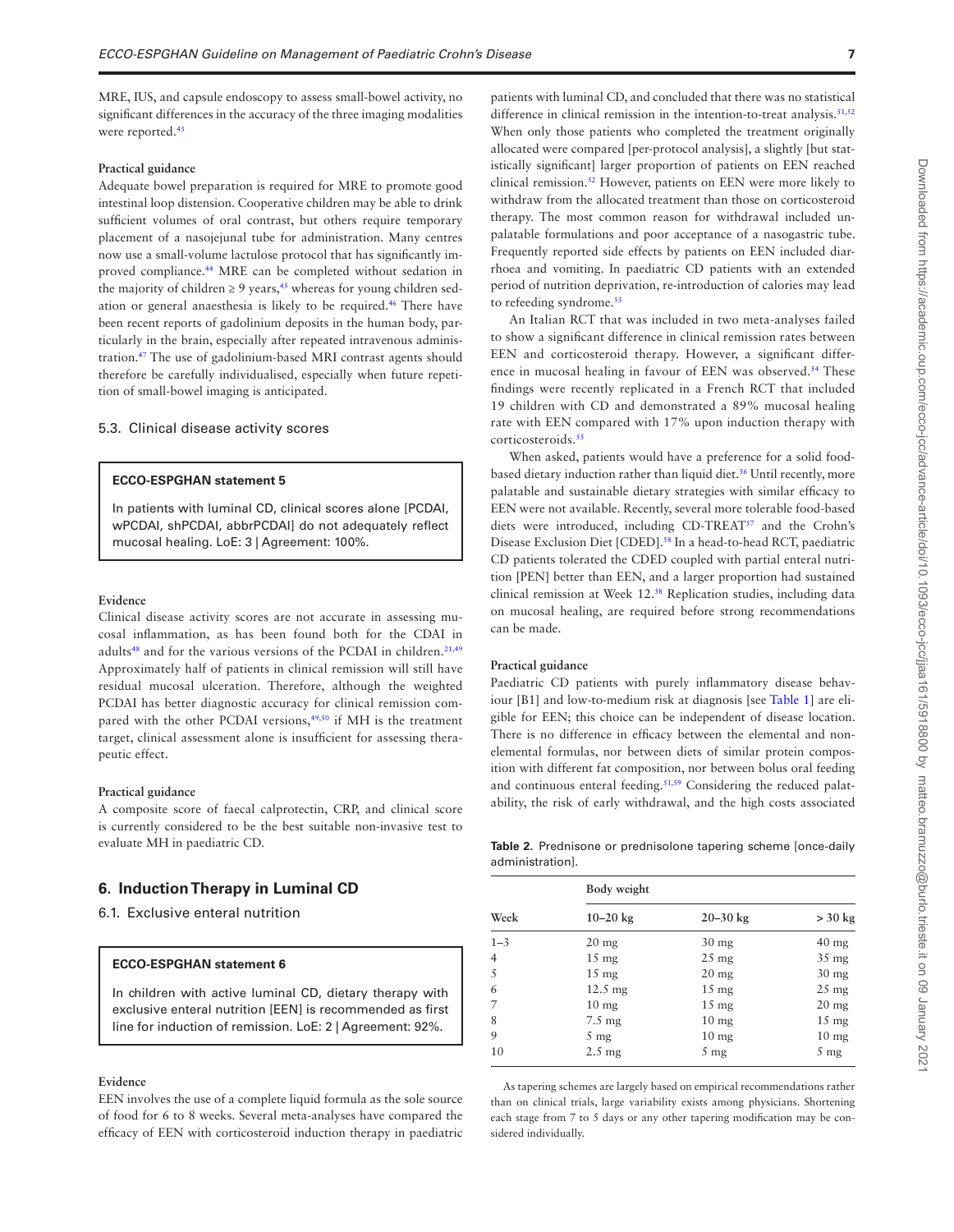MRE, IUS, and capsule endoscopy to assess small-bowel activity, no significant differences in the accuracy of the three imaging modalities were reported.<sup>43</sup>

### **Practical guidance**

Adequate bowel preparation is required for MRE to promote good intestinal loop distension. Cooperative children may be able to drink sufficient volumes of oral contrast, but others require temporary placement of a nasojejunal tube for administration. Many centres now use a small-volume lactulose protocol that has significantly improved compliance.[44](#page-17-30) MRE can be completed without sedation in the majority of children  $\geq 9$  years,<sup>45</sup> whereas for young children sedation or general anaesthesia is likely to be required.[46](#page-17-32) There have been recent reports of gadolinium deposits in the human body, particularly in the brain, especially after repeated intravenous administration.[47](#page-17-33) The use of gadolinium-based MRI contrast agents should therefore be carefully individualised, especially when future repetition of small-bowel imaging is anticipated.

### 5.3. Clinical disease activity scores

### **ECCO-ESPGHAN statement 5**

In patients with luminal CD, clinical scores alone [PCDAI, wPCDAI, shPCDAI, abbrPCDAI] do not adequately reflect mucosal healing. LoE: 3 | Agreement: 100%.

### **Evidence**

Clinical disease activity scores are not accurate in assessing mucosal inflammation, as has been found both for the CDAI in adults<sup>48</sup> and for the various versions of the PCDAI in children.<sup>21,[49](#page-18-1)</sup> Approximately half of patients in clinical remission will still have residual mucosal ulceration. Therefore, although the weighted PCDAI has better diagnostic accuracy for clinical remission com-pared with the other PCDAI versions,<sup>[49](#page-18-1),50</sup> if MH is the treatment target, clinical assessment alone is insufficient for assessing therapeutic effect.

### **Practical guidance**

A composite score of faecal calprotectin, CRP, and clinical score is currently considered to be the best suitable non-invasive test to evaluate MH in paediatric CD.

### **6. Induction Therapy in Luminal CD**

6.1. Exclusive enteral nutrition

### **ECCO-ESPGHAN statement 6**

In children with active luminal CD, dietary therapy with exclusive enteral nutrition [EEN] is recommended as first line for induction of remission. LoE: 2 | Agreement: 92%.

### **Evidence**

EEN involves the use of a complete liquid formula as the sole source of food for 6 to 8 weeks. Several meta-analyses have compared the efficacy of EEN with corticosteroid induction therapy in paediatric

patients with luminal CD, and concluded that there was no statistical difference in clinical remission in the intention-to-treat analysis.<sup>51,[52](#page-18-4)</sup> When only those patients who completed the treatment originally allocated were compared [per-protocol analysis], a slightly [but statistically significant] larger proportion of patients on EEN reached clinical remission[.52](#page-18-4) However, patients on EEN were more likely to withdraw from the allocated treatment than those on corticosteroid therapy. The most common reason for withdrawal included unpalatable formulations and poor acceptance of a nasogastric tube. Frequently reported side effects by patients on EEN included diarrhoea and vomiting. In paediatric CD patients with an extended period of nutrition deprivation, re-introduction of calories may lead to refeeding syndrome.<sup>53</sup>

An Italian RCT that was included in two meta-analyses failed to show a significant difference in clinical remission rates between EEN and corticosteroid therapy. However, a significant differ-ence in mucosal healing in favour of EEN was observed.<sup>[54](#page-18-6)</sup> These findings were recently replicated in a French RCT that included 19 children with CD and demonstrated a 89% mucosal healing rate with EEN compared with 17% upon induction therapy with corticosteroids.<sup>[55](#page-18-7)</sup>

When asked, patients would have a preference for a solid foodbased dietary induction rather than liquid diet.<sup>56</sup> Until recently, more palatable and sustainable dietary strategies with similar efficacy to EEN were not available. Recently, several more tolerable food-based diets were introduced, including CD-TREAT<sup>57</sup> and the Crohn's Disease Exclusion Diet [CDED].<sup>58</sup> In a head-to-head RCT, paediatric CD patients tolerated the CDED coupled with partial enteral nutrition [PEN] better than EEN, and a larger proportion had sustained clinical remission at Week 12[.58](#page-18-10) Replication studies, including data on mucosal healing, are required before strong recommendations can be made.

### **Practical guidance**

Paediatric CD patients with purely inflammatory disease behaviour [B1] and low-to-medium risk at diagnosis [see [Table 1](#page-3-1)] are eligible for EEN; this choice can be independent of disease location. There is no difference in efficacy between the elemental and nonelemental formulas, nor between diets of similar protein composition with different fat composition, nor between bolus oral feeding and continuous enteral feeding.<sup>[51](#page-18-3),59</sup> Considering the reduced palatability, the risk of early withdrawal, and the high costs associated

<span id="page-6-0"></span>**Table 2.** Prednisone or prednisolone tapering scheme [once-daily administration].

|                | Body weight       |                 |                 |  |
|----------------|-------------------|-----------------|-----------------|--|
| Week           | $10 - 20$ kg      | $20 - 30$ kg    | $>$ 30 kg       |  |
| $1 - 3$        | $20 \text{ mg}$   | $30 \text{ mg}$ | $40 \text{ mg}$ |  |
| 4              | $15 \text{ mg}$   | $25 \text{ mg}$ | $35 \text{ mg}$ |  |
| 5              | $15 \text{ mg}$   | $20 \text{ mg}$ | $30 \text{ mg}$ |  |
| 6              | $12.5 \text{ mg}$ | $15 \text{ mg}$ | $25 \text{ mg}$ |  |
| $\overline{7}$ | $10 \text{ mg}$   | $15 \text{ mg}$ | $20 \text{ mg}$ |  |
| 8              | $7.5 \text{ mg}$  | $10 \text{ mg}$ | $15 \text{ mg}$ |  |
| 9              | $5 \text{ mg}$    | $10 \text{ mg}$ | $10 \text{ mg}$ |  |
| 10             | $2.5 \text{ mg}$  | $5 \text{ mg}$  | $5 \text{ mg}$  |  |

As tapering schemes are largely based on empirical recommendations rather than on clinical trials, large variability exists among physicians. Shortening each stage from 7 to 5 days or any other tapering modification may be considered individually.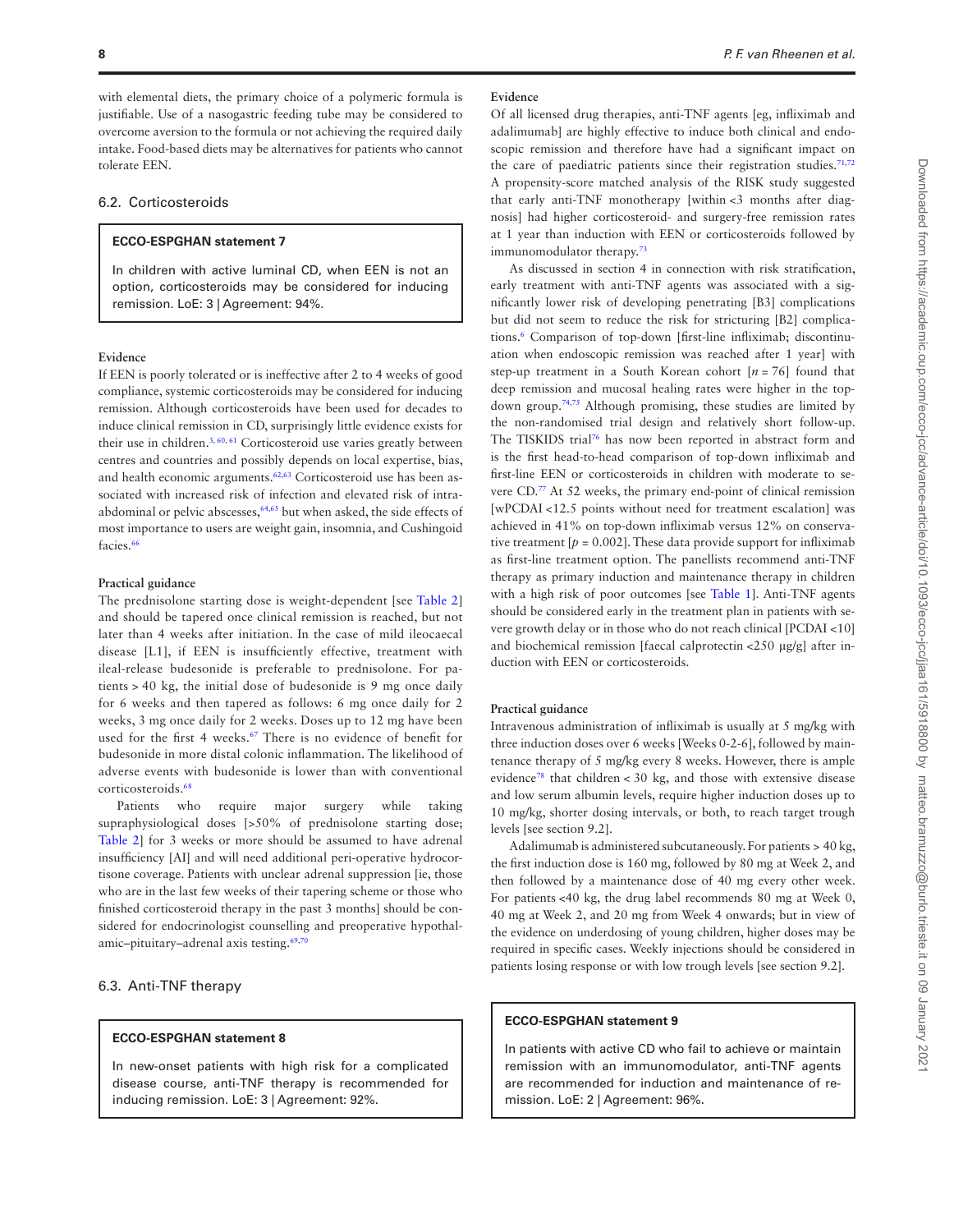with elemental diets, the primary choice of a polymeric formula is justifiable. Use of a nasogastric feeding tube may be considered to overcome aversion to the formula or not achieving the required daily intake. Food-based diets may be alternatives for patients who cannot tolerate EEN.

### 6.2. Corticosteroids

### **ECCO-ESPGHAN statement 7**

In children with active luminal CD, when EEN is not an option, corticosteroids may be considered for inducing remission. LoE: 3 | Agreement: 94%.

### **Evidence**

If EEN is poorly tolerated or is ineffective after 2 to 4 weeks of good compliance, systemic corticosteroids may be considered for inducing remission. Although corticosteroids have been used for decades to induce clinical remission in CD, surprisingly little evidence exists for their use in children.<sup>3, [60,](#page-18-12) [61](#page-18-13)</sup> Corticosteroid use varies greatly between centres and countries and possibly depends on local expertise, bias, and health economic arguments.<sup>[62,](#page-18-14)[63](#page-18-15)</sup> Corticosteroid use has been associated with increased risk of infection and elevated risk of intraabdominal or pelvic abscesses,<sup>64,65</sup> but when asked, the side effects of most importance to users are weight gain, insomnia, and Cushingoid facies.<sup>66</sup>

### **Practical guidance**

The prednisolone starting dose is weight-dependent [see [Table 2](#page-6-0)] and should be tapered once clinical remission is reached, but not later than 4 weeks after initiation. In the case of mild ileocaecal disease [L1], if EEN is insufficiently effective, treatment with ileal-release budesonide is preferable to prednisolone. For patients > 40 kg, the initial dose of budesonide is 9 mg once daily for 6 weeks and then tapered as follows: 6 mg once daily for 2 weeks, 3 mg once daily for 2 weeks. Doses up to 12 mg have been used for the first 4 weeks.<sup>67</sup> There is no evidence of benefit for budesonide in more distal colonic inflammation. The likelihood of adverse events with budesonide is lower than with conventional corticosteroids.<sup>[68](#page-18-20)</sup>

Patients who require major surgery while taking supraphysiological doses [>50% of prednisolone starting dose; [Table 2\]](#page-6-0) for 3 weeks or more should be assumed to have adrenal insufficiency [AI] and will need additional peri-operative hydrocortisone coverage. Patients with unclear adrenal suppression [ie, those who are in the last few weeks of their tapering scheme or those who finished corticosteroid therapy in the past 3 months] should be considered for endocrinologist counselling and preoperative hypothal-amic-pituitary-adrenal axis testing.<sup>69,[70](#page-18-22)</sup>

### 6.3. Anti-TNF therapy

### **ECCO-ESPGHAN statement 8**

In new-onset patients with high risk for a complicated disease course, anti-TNF therapy is recommended for inducing remission. LoE: 3 | Agreement: 92%.

### **Evidence**

Of all licensed drug therapies, anti-TNF agents [eg, infliximab and adalimumab] are highly effective to induce both clinical and endoscopic remission and therefore have had a significant impact on the care of paediatric patients since their registration studies. $71,72$  $71,72$ A propensity-score matched analysis of the RISK study suggested that early anti-TNF monotherapy [within <3 months after diagnosis] had higher corticosteroid- and surgery-free remission rates at 1 year than induction with EEN or corticosteroids followed by immunomodulator therapy[.73](#page-18-25)

As discussed in section 4 in connection with risk stratification, early treatment with anti-TNF agents was associated with a significantly lower risk of developing penetrating [B3] complications but did not seem to reduce the risk for stricturing [B2] complications[.6](#page-16-5) Comparison of top-down [first-line infliximab; discontinuation when endoscopic remission was reached after 1 year] with step-up treatment in a South Korean cohort  $[n = 76]$  found that deep remission and mucosal healing rates were higher in the topdown group.[74](#page-18-26)[,75](#page-18-27) Although promising, these studies are limited by the non-randomised trial design and relatively short follow-up. The TISKIDS trial<sup>76</sup> has now been reported in abstract form and is the first head-to-head comparison of top-down infliximab and first-line EEN or corticosteroids in children with moderate to severe CD.[77](#page-18-29) At 52 weeks, the primary end-point of clinical remission [wPCDAI <12.5 points without need for treatment escalation] was achieved in 41% on top-down infliximab versus 12% on conservative treatment  $[p = 0.002]$ . These data provide support for infliximab as first-line treatment option. The panellists recommend anti-TNF therapy as primary induction and maintenance therapy in children with a high risk of poor outcomes [see [Table 1\]](#page-3-1). Anti-TNF agents should be considered early in the treatment plan in patients with severe growth delay or in those who do not reach clinical [PCDAI <10] and biochemical remission [faecal calprotectin <250 μg/g] after induction with EEN or corticosteroids.

### **Practical guidance**

Intravenous administration of infliximab is usually at 5 mg/kg with three induction doses over 6 weeks [Weeks 0-2-6], followed by maintenance therapy of 5 mg/kg every 8 weeks. However, there is ample evidence<sup>78</sup> that children < 30  $kg$ , and those with extensive disease and low serum albumin levels, require higher induction doses up to 10 mg/kg, shorter dosing intervals, or both, to reach target trough levels [see section 9.2].

Adalimumab is administered subcutaneously. For patients > 40 kg, the first induction dose is 160 mg, followed by 80 mg at Week 2, and then followed by a maintenance dose of 40 mg every other week. For patients <40 kg, the drug label recommends 80 mg at Week 0, 40 mg at Week 2, and 20 mg from Week 4 onwards; but in view of the evidence on underdosing of young children, higher doses may be required in specific cases. Weekly injections should be considered in patients losing response or with low trough levels [see section 9.2].

### **ECCO-ESPGHAN statement 9**

In patients with active CD who fail to achieve or maintain remission with an immunomodulator, anti-TNF agents are recommended for induction and maintenance of remission. LoE: 2 | Agreement: 96%.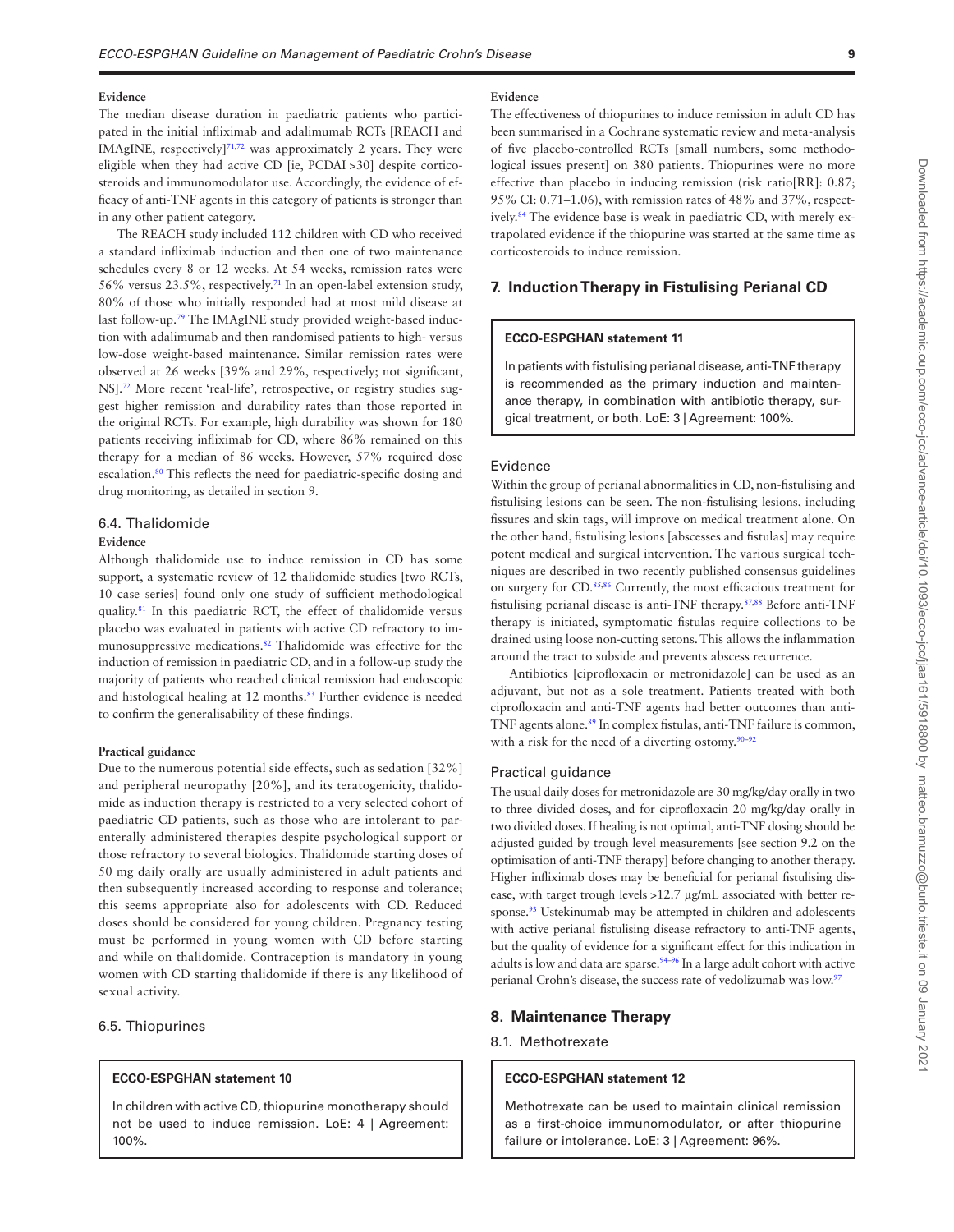## Downloaded from https://academic.oup.com/ecco-jcc/advance-article/doi/10.1093/ecco-jcc/jjaa161/5918800 by matteo.bramuzzo@burlo.trieste.it on 09 January 202 Downloaded from https://academic.oup.com/ecco-jcc/advance-article/doi/10.1093/ecco-jcc/jjaa161/5918800 by matteo.bramuzzo@burlo.trieste.it on 09 January 2021

### **Evidence**

The median disease duration in paediatric patients who participated in the initial infliximab and adalimumab RCTs [REACH and IMAgINE, respectively $]^{71,72}$  $]^{71,72}$  $]^{71,72}$  was approximately 2 years. They were eligible when they had active CD [ie, PCDAI >30] despite corticosteroids and immunomodulator use. Accordingly, the evidence of efficacy of anti-TNF agents in this category of patients is stronger than in any other patient category.

The REACH study included 112 children with CD who received a standard infliximab induction and then one of two maintenance schedules every 8 or 12 weeks. At 54 weeks, remission rates were 56% versus 23.5%, respectively.[71](#page-18-23) In an open-label extension study, 80% of those who initially responded had at most mild disease at last follow-up.[79](#page-18-31) The IMAgINE study provided weight-based induction with adalimumab and then randomised patients to high- versus low-dose weight-based maintenance. Similar remission rates were observed at 26 weeks [39% and 29%, respectively; not significant, NS].<sup>72</sup> More recent 'real-life', retrospective, or registry studies suggest higher remission and durability rates than those reported in the original RCTs. For example, high durability was shown for 180 patients receiving infliximab for CD, where 86% remained on this therapy for a median of 86 weeks. However, 57% required dose escalation.<sup>80</sup> This reflects the need for paediatric-specific dosing and drug monitoring, as detailed in section 9.

### 6.4. Thalidomide

### **Evidence**

Although thalidomide use to induce remission in CD has some support, a systematic review of 12 thalidomide studies [two RCTs, 10 case series] found only one study of sufficient methodological quality.[81](#page-18-33) In this paediatric RCT, the effect of thalidomide versus placebo was evaluated in patients with active CD refractory to immunosuppressive medications[.82](#page-18-34) Thalidomide was effective for the induction of remission in paediatric CD, and in a follow-up study the majority of patients who reached clinical remission had endoscopic and histological healing at 12 months.<sup>83</sup> Further evidence is needed to confirm the generalisability of these findings.

### **Practical guidance**

Due to the numerous potential side effects, such as sedation [32%] and peripheral neuropathy [20%], and its teratogenicity, thalidomide as induction therapy is restricted to a very selected cohort of paediatric CD patients, such as those who are intolerant to parenterally administered therapies despite psychological support or those refractory to several biologics. Thalidomide starting doses of 50 mg daily orally are usually administered in adult patients and then subsequently increased according to response and tolerance; this seems appropriate also for adolescents with CD. Reduced doses should be considered for young children. Pregnancy testing must be performed in young women with CD before starting and while on thalidomide. Contraception is mandatory in young women with CD starting thalidomide if there is any likelihood of sexual activity.

### 6.5. Thiopurines

### **ECCO-ESPGHAN statement 10**

In children with active CD, thiopurine monotherapy should not be used to induce remission. LoE: 4 | Agreement: 100%.

### **Evidence**

The effectiveness of thiopurines to induce remission in adult CD has been summarised in a Cochrane systematic review and meta-analysis of five placebo-controlled RCTs [small numbers, some methodological issues present] on 380 patients. Thiopurines were no more effective than placebo in inducing remission (risk ratio[RR]: 0.87; 95% CI: 0.71–1.06), with remission rates of 48% and 37%, respectively.[84](#page-18-36) The evidence base is weak in paediatric CD, with merely extrapolated evidence if the thiopurine was started at the same time as corticosteroids to induce remission.

## **7. Induction Therapy in Fistulising Perianal CD**

### **ECCO-ESPGHAN statement 11**

In patients with fistulising perianal disease, anti-TNF therapy is recommended as the primary induction and maintenance therapy, in combination with antibiotic therapy, surgical treatment, or both. LoE: 3 | Agreement: 100%.

### Evidence

Within the group of perianal abnormalities in CD, non-fistulising and fistulising lesions can be seen. The non-fistulising lesions, including fissures and skin tags, will improve on medical treatment alone. On the other hand, fistulising lesions [abscesses and fistulas] may require potent medical and surgical intervention. The various surgical techniques are described in two recently published consensus guidelines on surgery for CD.<sup>[85](#page-18-37),86</sup> Currently, the most efficacious treatment for fistulising perianal disease is anti-TNF therapy.[87](#page-19-0)[,88](#page-19-1) Before anti-TNF therapy is initiated, symptomatic fistulas require collections to be drained using loose non-cutting setons. This allows the inflammation around the tract to subside and prevents abscess recurrence.

Antibiotics [ciprofloxacin or metronidazole] can be used as an adjuvant, but not as a sole treatment. Patients treated with both ciprofloxacin and anti-TNF agents had better outcomes than anti-TNF agents alone.<sup>89</sup> In complex fistulas, anti-TNF failure is common, with a risk for the need of a diverting ostomy.<sup>90-[92](#page-19-4)</sup>

### Practical guidance

The usual daily doses for metronidazole are 30 mg/kg/day orally in two to three divided doses, and for ciprofloxacin 20 mg/kg/day orally in two divided doses. If healing is not optimal, anti-TNF dosing should be adjusted guided by trough level measurements [see section 9.2 on the optimisation of anti-TNF therapy] before changing to another therapy. Higher infliximab doses may be beneficial for perianal fistulising disease, with target trough levels >12.7 μg/mL associated with better response.<sup>93</sup> Ustekinumab may be attempted in children and adolescents with active perianal fistulising disease refractory to anti-TNF agents, but the quality of evidence for a significant effect for this indication in adults is low and data are sparse.<sup>94-[96](#page-19-7)</sup> In a large adult cohort with active perianal Crohn's disease, the success rate of vedolizumab was low.<sup>97</sup>

### **8. Maintenance Therapy**

### 8.1. Methotrexate

### **ECCO-ESPGHAN statement 12**

Methotrexate can be used to maintain clinical remission as a first-choice immunomodulator, or after thiopurine failure or intolerance. LoE: 3 | Agreement: 96%.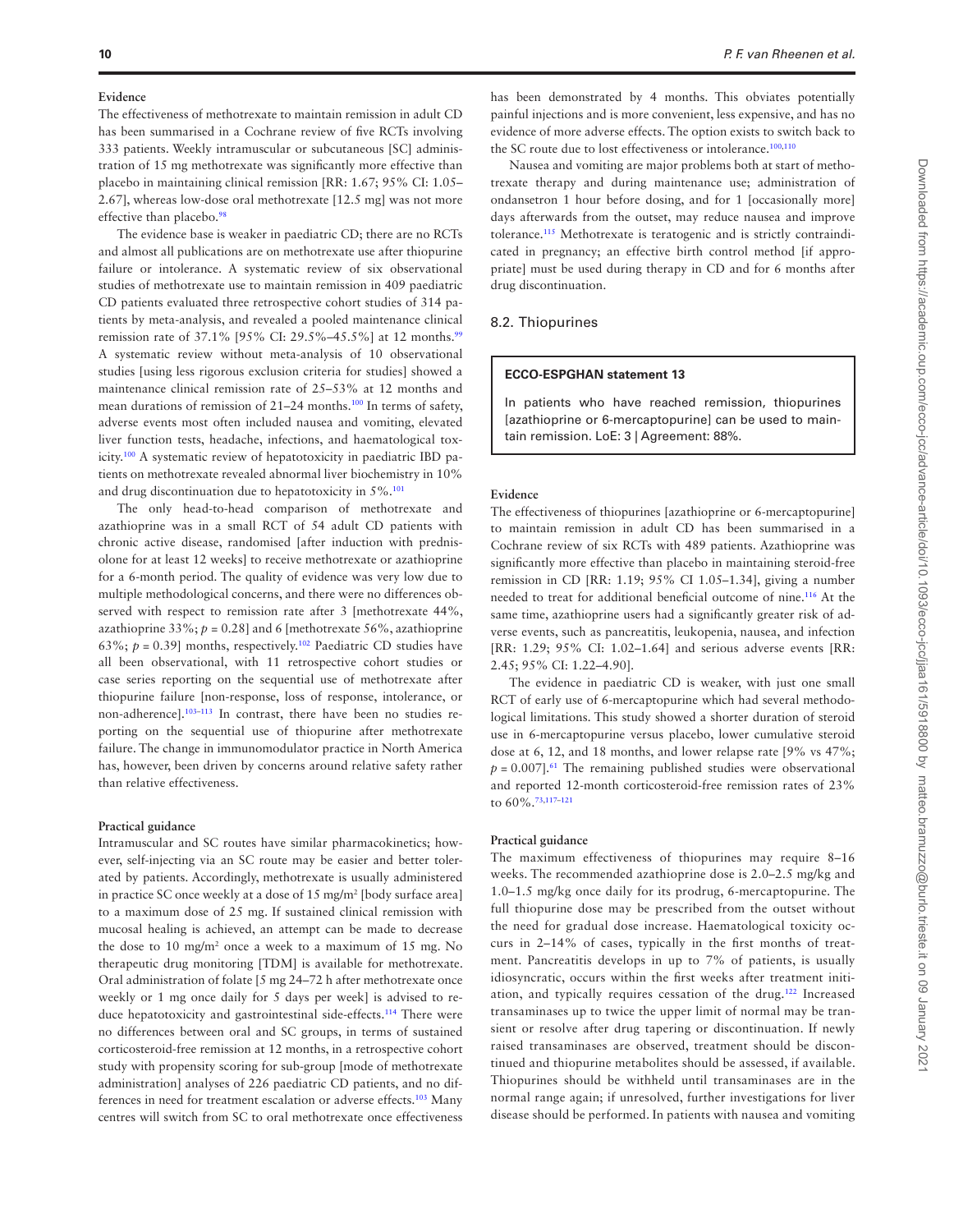### **Evidence**

The effectiveness of methotrexate to maintain remission in adult CD has been summarised in a Cochrane review of five RCTs involving 333 patients. Weekly intramuscular or subcutaneous [SC] administration of 15 mg methotrexate was significantly more effective than placebo in maintaining clinical remission [RR: 1.67; 95% CI: 1.05– 2.67], whereas low-dose oral methotrexate [12.5 mg] was not more effective than placebo.<sup>98</sup>

The evidence base is weaker in paediatric CD; there are no RCTs and almost all publications are on methotrexate use after thiopurine failure or intolerance. A systematic review of six observational studies of methotrexate use to maintain remission in 409 paediatric CD patients evaluated three retrospective cohort studies of 314 patients by meta-analysis, and revealed a pooled maintenance clinical remission rate of 37.1% [95% CI: 29.5%-45.5%] at 12 months.<sup>[99](#page-19-10)</sup> A systematic review without meta-analysis of 10 observational studies [using less rigorous exclusion criteria for studies] showed a maintenance clinical remission rate of 25–53% at 12 months and mean durations of remission of 21–24 months.<sup>[100](#page-19-11)</sup> In terms of safety, adverse events most often included nausea and vomiting, elevated liver function tests, headache, infections, and haematological toxicity[.100](#page-19-11) A systematic review of hepatotoxicity in paediatric IBD patients on methotrexate revealed abnormal liver biochemistry in 10% and drug discontinuation due to hepatotoxicity in 5%[.101](#page-19-12)

The only head-to-head comparison of methotrexate and azathioprine was in a small RCT of 54 adult CD patients with chronic active disease, randomised [after induction with prednisolone for at least 12 weeks] to receive methotrexate or azathioprine for a 6-month period. The quality of evidence was very low due to multiple methodological concerns, and there were no differences observed with respect to remission rate after 3 [methotrexate 44%, azathioprine  $33\%$ ;  $p = 0.28$ ] and 6 [methotrexate 56%, azathioprine 63%;  $p = 0.39$ ] months, respectively.<sup>[102](#page-19-13)</sup> Paediatric CD studies have all been observational, with 11 retrospective cohort studies or case series reporting on the sequential use of methotrexate after thiopurine failure [non-response, loss of response, intolerance, or non-adherence].[103](#page-19-14)–[113](#page-19-15) In contrast, there have been no studies reporting on the sequential use of thiopurine after methotrexate failure. The change in immunomodulator practice in North America has, however, been driven by concerns around relative safety rather than relative effectiveness.

### **Practical guidance**

Intramuscular and SC routes have similar pharmacokinetics; however, self-injecting via an SC route may be easier and better tolerated by patients. Accordingly, methotrexate is usually administered in practice SC once weekly at a dose of 15 mg/m2 [body surface area] to a maximum dose of 25 mg. If sustained clinical remission with mucosal healing is achieved, an attempt can be made to decrease the dose to 10 mg/m2 once a week to a maximum of 15 mg. No therapeutic drug monitoring [TDM] is available for methotrexate. Oral administration of folate [5 mg 24–72 h after methotrexate once weekly or 1 mg once daily for 5 days per week] is advised to reduce hepatotoxicity and gastrointestinal side-effects.<sup>114</sup> There were no differences between oral and SC groups, in terms of sustained corticosteroid-free remission at 12 months, in a retrospective cohort study with propensity scoring for sub-group [mode of methotrexate administration] analyses of 226 paediatric CD patients, and no dif-ferences in need for treatment escalation or adverse effects.<sup>[103](#page-19-14)</sup> Many centres will switch from SC to oral methotrexate once effectiveness

has been demonstrated by 4 months. This obviates potentially painful injections and is more convenient, less expensive, and has no evidence of more adverse effects. The option exists to switch back to the SC route due to lost effectiveness or intolerance.<sup>100[,110](#page-19-17)</sup>

Nausea and vomiting are major problems both at start of methotrexate therapy and during maintenance use; administration of ondansetron 1 hour before dosing, and for 1 [occasionally more] days afterwards from the outset, may reduce nausea and improve tolerance.[115](#page-19-18) Methotrexate is teratogenic and is strictly contraindicated in pregnancy; an effective birth control method [if appropriate] must be used during therapy in CD and for 6 months after drug discontinuation.

### 8.2. Thiopurines

### **ECCO-ESPGHAN statement 13**

In patients who have reached remission, thiopurines [azathioprine or 6-mercaptopurine] can be used to maintain remission. LoE: 3 | Agreement: 88%.

### **Evidence**

The effectiveness of thiopurines [azathioprine or 6-mercaptopurine] to maintain remission in adult CD has been summarised in a Cochrane review of six RCTs with 489 patients. Azathioprine was significantly more effective than placebo in maintaining steroid-free remission in CD [RR: 1.19; 95% CI 1.05–1.34], giving a number needed to treat for additional beneficial outcome of nine.[116](#page-19-19) At the same time, azathioprine users had a significantly greater risk of adverse events, such as pancreatitis, leukopenia, nausea, and infection [RR: 1.29; 95% CI: 1.02–1.64] and serious adverse events [RR: 2.45; 95% CI: 1.22–4.90].

The evidence in paediatric CD is weaker, with just one small RCT of early use of 6-mercaptopurine which had several methodological limitations. This study showed a shorter duration of steroid use in 6-mercaptopurine versus placebo, lower cumulative steroid dose at 6, 12, and 18 months, and lower relapse rate [9% vs 47%;  $p = 0.007$ <sup>[[61](#page-18-13)</sup>]. The remaining published studies were observational and reported 12-month corticosteroid-free remission rates of 23% to 60%.[73,](#page-18-25)[117](#page-19-20)[–121](#page-19-21)

### **Practical guidance**

The maximum effectiveness of thiopurines may require 8–16 weeks. The recommended azathioprine dose is 2.0–2.5 mg/kg and 1.0–1.5 mg/kg once daily for its prodrug, 6-mercaptopurine. The full thiopurine dose may be prescribed from the outset without the need for gradual dose increase. Haematological toxicity occurs in 2–14% of cases, typically in the first months of treatment. Pancreatitis develops in up to 7% of patients, is usually idiosyncratic, occurs within the first weeks after treatment initiation, and typically requires cessation of the drug.[122](#page-19-22) Increased transaminases up to twice the upper limit of normal may be transient or resolve after drug tapering or discontinuation. If newly raised transaminases are observed, treatment should be discontinued and thiopurine metabolites should be assessed, if available. Thiopurines should be withheld until transaminases are in the normal range again; if unresolved, further investigations for liver disease should be performed. In patients with nausea and vomiting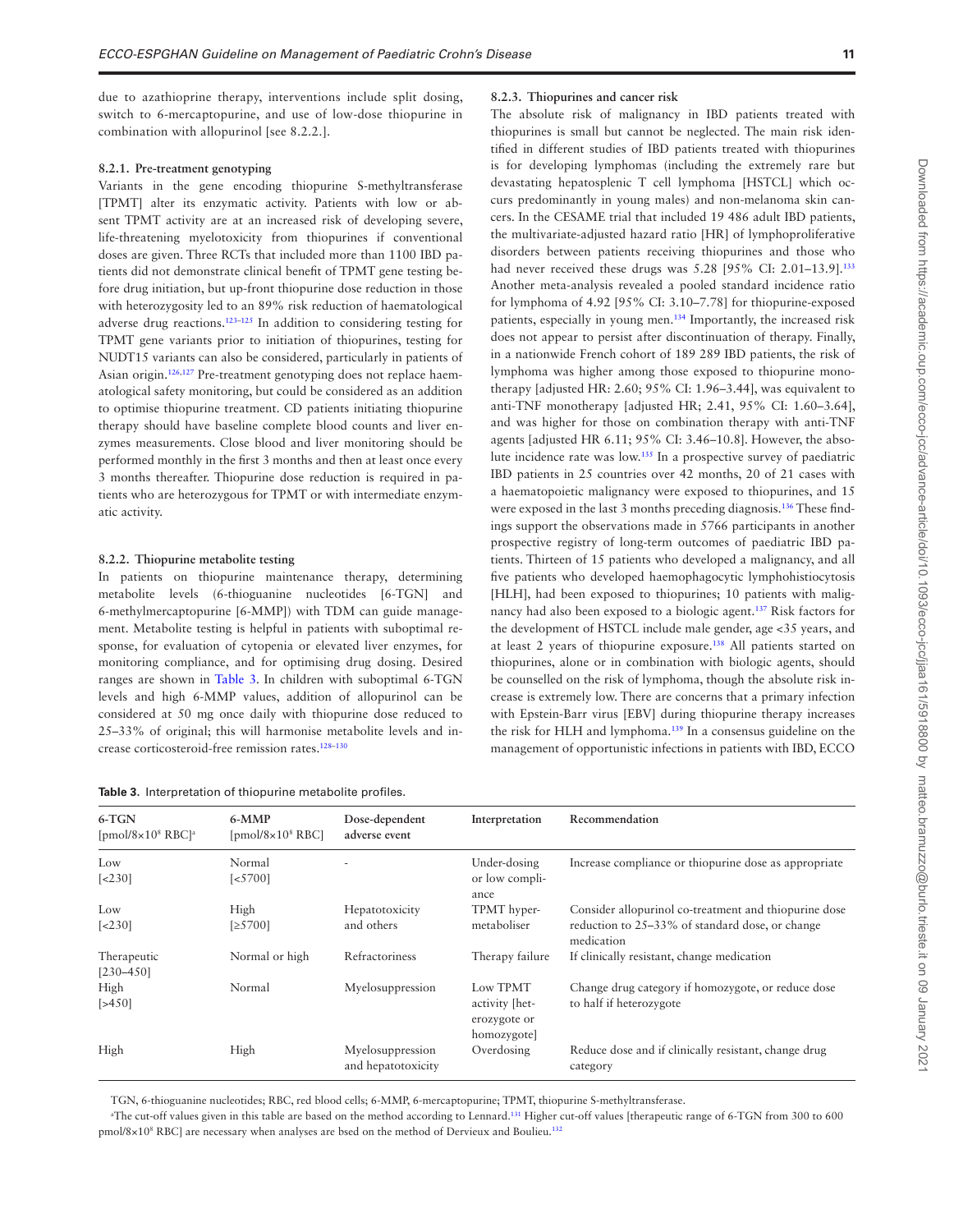due to azathioprine therapy, interventions include split dosing, switch to 6-mercaptopurine, and use of low-dose thiopurine in combination with allopurinol [see 8.2.2.].

### **8.2.1. Pre-treatment genotyping**

Variants in the gene encoding thiopurine S-methyltransferase [TPMT] alter its enzymatic activity. Patients with low or absent TPMT activity are at an increased risk of developing severe, life-threatening myelotoxicity from thiopurines if conventional doses are given. Three RCTs that included more than 1100 IBD patients did not demonstrate clinical benefit of TPMT gene testing before drug initiation, but up-front thiopurine dose reduction in those with heterozygosity led to an 89% risk reduction of haematological adverse drug reactions.[123](#page-19-23)–[125](#page-19-24) In addition to considering testing for TPMT gene variants prior to initiation of thiopurines, testing for NUDT15 variants can also be considered, particularly in patients of Asian origin.[126,](#page-19-25)[127](#page-19-26) Pre-treatment genotyping does not replace haematological safety monitoring, but could be considered as an addition to optimise thiopurine treatment. CD patients initiating thiopurine therapy should have baseline complete blood counts and liver enzymes measurements. Close blood and liver monitoring should be performed monthly in the first 3 months and then at least once every 3 months thereafter. Thiopurine dose reduction is required in patients who are heterozygous for TPMT or with intermediate enzymatic activity.

### **8.2.2. Thiopurine metabolite testing**

In patients on thiopurine maintenance therapy, determining metabolite levels (6-thioguanine nucleotides [6-TGN] and 6-methylmercaptopurine [6-MMP]) with TDM can guide management. Metabolite testing is helpful in patients with suboptimal response, for evaluation of cytopenia or elevated liver enzymes, for monitoring compliance, and for optimising drug dosing. Desired ranges are shown in [Table 3](#page-10-0). In children with suboptimal 6-TGN levels and high 6-MMP values, addition of allopurinol can be considered at 50 mg once daily with thiopurine dose reduced to 25–33% of original; this will harmonise metabolite levels and increase corticosteroid-free remission rates[.128](#page-20-0)[–130](#page-20-1)

### <span id="page-10-0"></span>**Table 3.** Interpretation of thiopurine metabolite profiles.

**8.2.3. Thiopurines and cancer risk**

The absolute risk of malignancy in IBD patients treated with thiopurines is small but cannot be neglected. The main risk identified in different studies of IBD patients treated with thiopurines is for developing lymphomas (including the extremely rare but devastating hepatosplenic T cell lymphoma [HSTCL] which occurs predominantly in young males) and non-melanoma skin cancers. In the CESAME trial that included 19 486 adult IBD patients, the multivariate-adjusted hazard ratio [HR] of lymphoproliferative disorders between patients receiving thiopurines and those who had never received these drugs was 5.28 [95% CI: 2.01-13.9].<sup>133</sup> Another meta-analysis revealed a pooled standard incidence ratio for lymphoma of 4.92 [95% CI: 3.10–7.78] for thiopurine-exposed patients, especially in young men.[134](#page-20-3) Importantly, the increased risk does not appear to persist after discontinuation of therapy. Finally, in a nationwide French cohort of 189 289 IBD patients, the risk of lymphoma was higher among those exposed to thiopurine monotherapy [adjusted HR: 2.60; 95% CI: 1.96–3.44], was equivalent to anti-TNF monotherapy [adjusted HR; 2.41, 95% CI: 1.60–3.64], and was higher for those on combination therapy with anti-TNF agents [adjusted HR 6.11; 95% CI: 3.46–10.8]. However, the absolute incidence rate was low.[135](#page-20-4) In a prospective survey of paediatric IBD patients in 25 countries over 42 months, 20 of 21 cases with a haematopoietic malignancy were exposed to thiopurines, and 15 were exposed in the last 3 months preceding diagnosis.<sup>136</sup> These findings support the observations made in 5766 participants in another prospective registry of long-term outcomes of paediatric IBD patients. Thirteen of 15 patients who developed a malignancy, and all five patients who developed haemophagocytic lymphohistiocytosis [HLH], had been exposed to thiopurines; 10 patients with malignancy had also been exposed to a biologic agent.[137](#page-20-6) Risk factors for the development of HSTCL include male gender, age <35 years, and at least 2 years of thiopurine exposure.[138](#page-20-7) All patients started on thiopurines, alone or in combination with biologic agents, should be counselled on the risk of lymphoma, though the absolute risk increase is extremely low. There are concerns that a primary infection with Epstein‐Barr virus [EBV] during thiopurine therapy increases the risk for HLH and lymphoma[.139](#page-20-8) In a consensus guideline on the management of opportunistic infections in patients with IBD, ECCO

| <b>ROIG O</b> . This protation or throparmo motabolity promos. |                                     |                                        |                                                           |                                                                                                                        |
|----------------------------------------------------------------|-------------------------------------|----------------------------------------|-----------------------------------------------------------|------------------------------------------------------------------------------------------------------------------------|
| $6-TGN$<br>[pmol/ $8\times10^8$ RBC] <sup>a</sup>              | $6-MMP$<br>$[pmol/8\times10^8$ RBC] | Dose-dependent<br>adverse event        | Interpretation                                            | Recommendation                                                                                                         |
| Low<br>$\left[230\right]$                                      | Normal<br>$\left[55700\right]$      |                                        | Under-dosing<br>or low compli-<br>ance                    | Increase compliance or thiopurine dose as appropriate                                                                  |
| Low<br>$\left[230\right]$                                      | High<br>$\left[\geq 5700\right]$    | Hepatotoxicity<br>and others           | TPMT hyper-<br>metaboliser                                | Consider allopurinol co-treatment and thiopurine dose<br>reduction to 25-33% of standard dose, or change<br>medication |
| Therapeutic<br>$[230 - 450]$                                   | Normal or high                      | Refractoriness                         | Therapy failure                                           | If clinically resistant, change medication                                                                             |
| High<br>$[-450]$                                               | Normal                              | Myelosuppression                       | Low TPMT<br>activity [het-<br>erozygote or<br>homozygote] | Change drug category if homozygote, or reduce dose<br>to half if heterozygote                                          |
| High                                                           | High                                | Myelosuppression<br>and hepatotoxicity | Overdosing                                                | Reduce dose and if clinically resistant, change drug<br>category                                                       |

TGN, 6-thioguanine nucleotides; RBC, red blood cells; 6-MMP, 6-mercaptopurine; TPMT, thiopurine S-methyltransferase.

<sup>a</sup>The cut-off values given in this table are based on the method according to Lennard.<sup>131</sup> Higher cut-off values [therapeutic range of 6-TGN from 300 to 600 pmol/8×10<sup>8</sup> RBC] are necessary when analyses are bsed on the method of Dervieux and Boulieu.<sup>132</sup>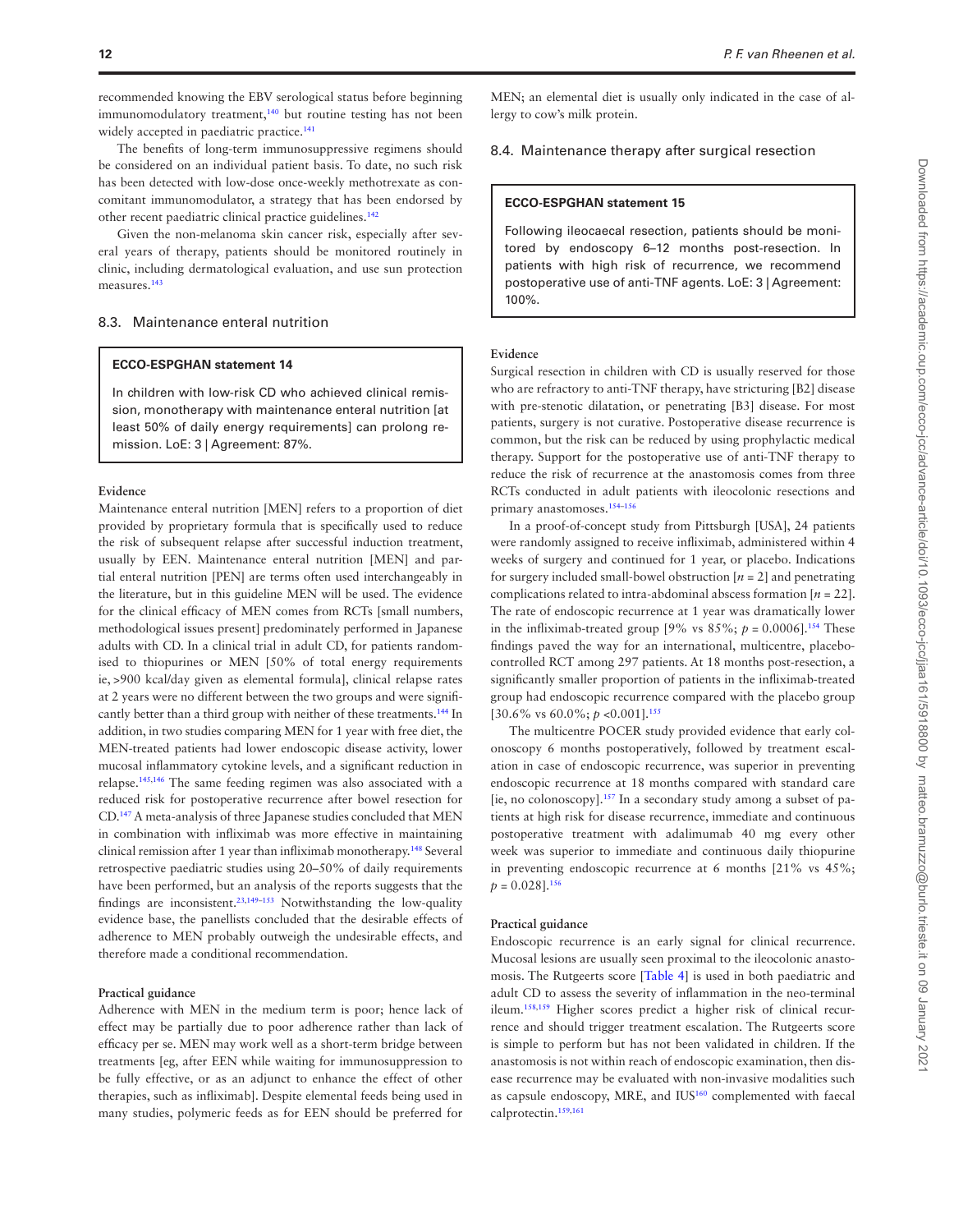recommended knowing the EBV serological status before beginning immunomodulatory treatment,<sup>140</sup> but routine testing has not been widely accepted in paediatric practice.<sup>[141](#page-20-12)</sup>

The benefits of long-term immunosuppressive regimens should be considered on an individual patient basis. To date, no such risk has been detected with low-dose once-weekly methotrexate as concomitant immunomodulator, a strategy that has been endorsed by other recent paediatric clinical practice guidelines.[142](#page-20-13)

Given the non-melanoma skin cancer risk, especially after several years of therapy, patients should be monitored routinely in clinic, including dermatological evaluation, and use sun protection measures.[143](#page-20-14)

### 8.3. Maintenance enteral nutrition

### **ECCO-ESPGHAN statement 14**

In children with low-risk CD who achieved clinical remission, monotherapy with maintenance enteral nutrition [at least 50% of daily energy requirements] can prolong remission. LoE: 3 | Agreement: 87%.

### **Evidence**

Maintenance enteral nutrition [MEN] refers to a proportion of diet provided by proprietary formula that is specifically used to reduce the risk of subsequent relapse after successful induction treatment, usually by EEN. Maintenance enteral nutrition [MEN] and partial enteral nutrition [PEN] are terms often used interchangeably in the literature, but in this guideline MEN will be used. The evidence for the clinical efficacy of MEN comes from RCTs [small numbers, methodological issues present] predominately performed in Japanese adults with CD. In a clinical trial in adult CD, for patients randomised to thiopurines or MEN [50% of total energy requirements ie, >900 kcal/day given as elemental formula], clinical relapse rates at 2 years were no different between the two groups and were significantly better than a third group with neither of these treatments.<sup>144</sup> In addition, in two studies comparing MEN for 1 year with free diet, the MEN-treated patients had lower endoscopic disease activity, lower mucosal inflammatory cytokine levels, and a significant reduction in relapse[.145,](#page-20-16)[146](#page-20-17) The same feeding regimen was also associated with a reduced risk for postoperative recurrence after bowel resection for CD.[147](#page-20-18) A meta-analysis of three Japanese studies concluded that MEN in combination with infliximab was more effective in maintaining clinical remission after 1 year than infliximab monotherapy.[148](#page-20-19) Several retrospective paediatric studies using 20–50% of daily requirements have been performed, but an analysis of the reports suggests that the findings are inconsistent.<sup>23[,149](#page-20-20)-153</sup> Notwithstanding the low-quality evidence base, the panellists concluded that the desirable effects of adherence to MEN probably outweigh the undesirable effects, and therefore made a conditional recommendation.

### **Practical guidance**

Adherence with MEN in the medium term is poor; hence lack of effect may be partially due to poor adherence rather than lack of efficacy per se. MEN may work well as a short-term bridge between treatments [eg, after EEN while waiting for immunosuppression to be fully effective, or as an adjunct to enhance the effect of other therapies, such as infliximab]. Despite elemental feeds being used in many studies, polymeric feeds as for EEN should be preferred for

MEN; an elemental diet is usually only indicated in the case of allergy to cow's milk protein.

### 8.4. Maintenance therapy after surgical resection

### **ECCO-ESPGHAN statement 15**

Following ileocaecal resection, patients should be monitored by endoscopy 6–12 months post-resection. In patients with high risk of recurrence, we recommend postoperative use of anti-TNF agents. LoE: 3 | Agreement: 100%.

### **Evidence**

Surgical resection in children with CD is usually reserved for those who are refractory to anti-TNF therapy, have stricturing [B2] disease with pre-stenotic dilatation, or penetrating [B3] disease. For most patients, surgery is not curative. Postoperative disease recurrence is common, but the risk can be reduced by using prophylactic medical therapy. Support for the postoperative use of anti-TNF therapy to reduce the risk of recurrence at the anastomosis comes from three RCTs conducted in adult patients with ileocolonic resections and primary anastomoses.<sup>[154](#page-20-22)-[156](#page-20-23)</sup>

In a proof-of-concept study from Pittsburgh [USA], 24 patients were randomly assigned to receive infliximab, administered within 4 weeks of surgery and continued for 1 year, or placebo. Indications for surgery included small-bowel obstruction [*n* = 2] and penetrating complications related to intra-abdominal abscess formation [*n* = 22]. The rate of endoscopic recurrence at 1 year was dramatically lower in the infliximab-treated group [9% vs  $85\%$ ;  $p = 0.0006$ ].<sup>154</sup> These findings paved the way for an international, multicentre, placebocontrolled RCT among 297 patients. At 18 months post-resection, a significantly smaller proportion of patients in the infliximab-treated group had endoscopic recurrence compared with the placebo group [30.6% vs 60.0%; *p <*0.001].[155](#page-20-24)

The multicentre POCER study provided evidence that early colonoscopy 6 months postoperatively, followed by treatment escalation in case of endoscopic recurrence, was superior in preventing endoscopic recurrence at 18 months compared with standard care [ie, no colonoscopy][.157](#page-20-25) In a secondary study among a subset of patients at high risk for disease recurrence, immediate and continuous postoperative treatment with adalimumab 40 mg every other week was superior to immediate and continuous daily thiopurine in preventing endoscopic recurrence at 6 months [21% vs 45%;  $p = 0.028$ ].<sup>[156](#page-20-23)</sup>

### **Practical guidance**

Endoscopic recurrence is an early signal for clinical recurrence. Mucosal lesions are usually seen proximal to the ileocolonic anastomosis. The Rutgeerts score [[Table 4\]](#page-12-0) is used in both paediatric and adult CD to assess the severity of inflammation in the neo-terminal ileum[.158](#page-20-26),[159](#page-20-27) Higher scores predict a higher risk of clinical recurrence and should trigger treatment escalation. The Rutgeerts score is simple to perform but has not been validated in children. If the anastomosis is not within reach of endoscopic examination, then disease recurrence may be evaluated with non-invasive modalities such as capsule endoscopy, MRE, and IUS<sup>160</sup> complemented with faecal calprotectin[.159](#page-20-27)[,161](#page-20-29)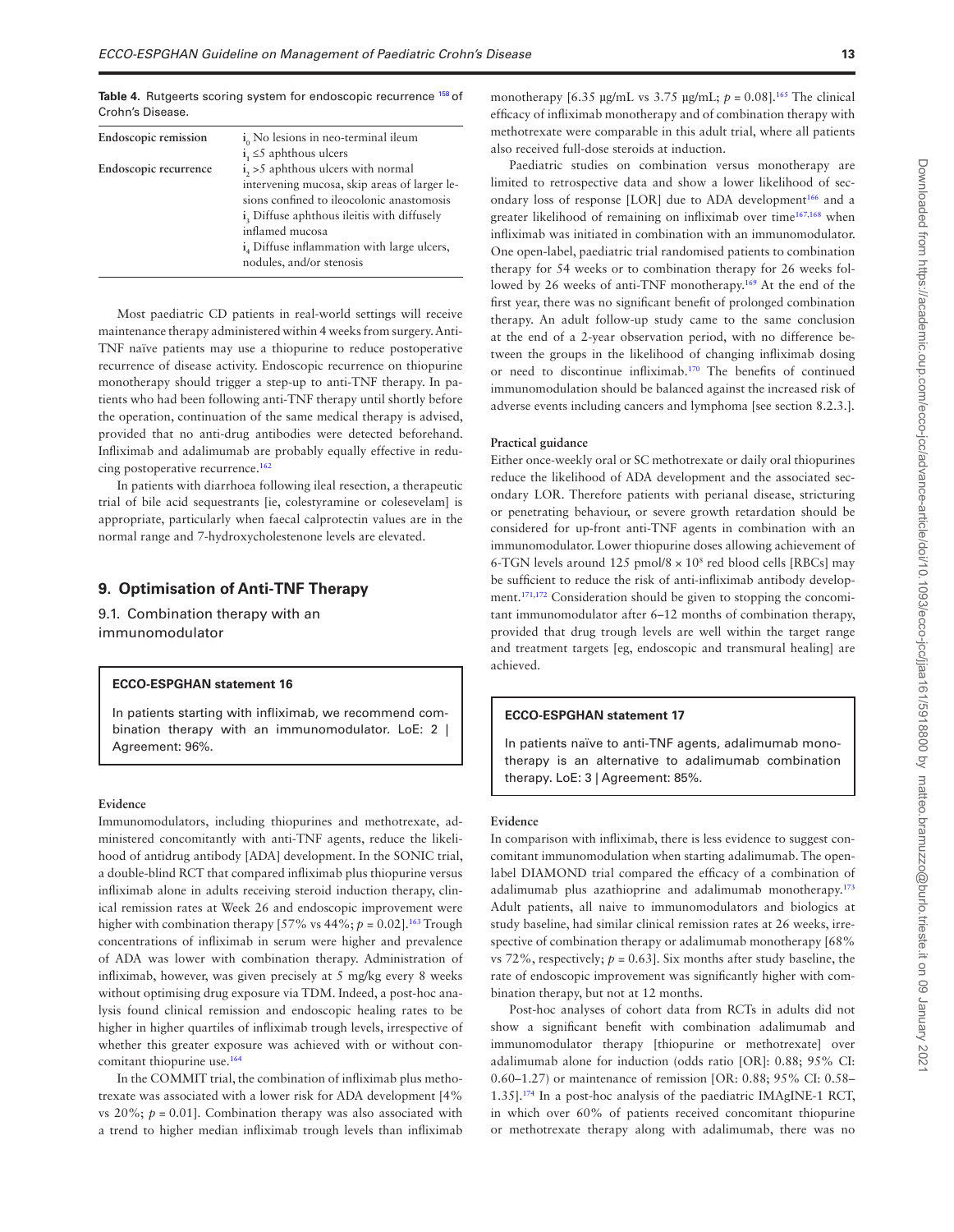| <b>Endoscopic remission</b> | i. No lesions in neo-terminal ileum                |
|-----------------------------|----------------------------------------------------|
|                             | $i_{1} \leq 5$ aphthous ulcers                     |
| Endoscopic recurrence       | $i, >5$ aphthous ulcers with normal                |
|                             | intervening mucosa, skip areas of larger le-       |
|                             | sions confined to ileocolonic anastomosis          |
|                             | <i>i</i> , Diffuse aphthous ileitis with diffusely |
|                             | inflamed mucosa                                    |
|                             | <i>i</i> , Diffuse inflammation with large ulcers, |
|                             | nodules, and/or stenosis                           |

<span id="page-12-0"></span>Table 4. Rutgeerts scoring system for endoscopic recurrence <sup>158</sup> of Crohn's Disease.

Most paediatric CD patients in real-world settings will receive maintenance therapy administered within 4 weeks from surgery. Anti-TNF naïve patients may use a thiopurine to reduce postoperative recurrence of disease activity. Endoscopic recurrence on thiopurine monotherapy should trigger a step-up to anti-TNF therapy. In patients who had been following anti-TNF therapy until shortly before the operation, continuation of the same medical therapy is advised, provided that no anti-drug antibodies were detected beforehand. Infliximab and adalimumab are probably equally effective in reducing postoperative recurrence.[162](#page-20-30)

In patients with diarrhoea following ileal resection, a therapeutic trial of bile acid sequestrants [ie, colestyramine or colesevelam] is appropriate, particularly when faecal calprotectin values are in the normal range and 7-hydroxycholestenone levels are elevated.

### **9. Optimisation of Anti-TNF Therapy**

9.1. Combination therapy with an immunomodulator

### **ECCO-ESPGHAN statement 16**

In patients starting with infliximab, we recommend combination therapy with an immunomodulator. LoE: 2 | Agreement: 96%.

### **Evidence**

Immunomodulators, including thiopurines and methotrexate, administered concomitantly with anti-TNF agents, reduce the likelihood of antidrug antibody [ADA] development. In the SONIC trial, a double-blind RCT that compared infliximab plus thiopurine versus infliximab alone in adults receiving steroid induction therapy, clinical remission rates at Week 26 and endoscopic improvement were higher with combination therapy [57% vs  $44\%$ ;  $p = 0.02$ ].<sup>[163](#page-20-31)</sup> Trough concentrations of infliximab in serum were higher and prevalence of ADA was lower with combination therapy. Administration of infliximab, however, was given precisely at 5 mg/kg every 8 weeks without optimising drug exposure via TDM. Indeed, a post-hoc analysis found clinical remission and endoscopic healing rates to be higher in higher quartiles of infliximab trough levels, irrespective of whether this greater exposure was achieved with or without con-comitant thiopurine use.<sup>[164](#page-20-32)</sup>

In the COMMIT trial, the combination of infliximab plus methotrexate was associated with a lower risk for ADA development [4% vs  $20\%$ ;  $p = 0.01$ ]. Combination therapy was also associated with a trend to higher median infliximab trough levels than infliximab

monotherapy  $[6.35 \text{ µg/mL}$  vs  $3.75 \text{ µg/mL}$ ;  $p = 0.08$ ].<sup>165</sup> The clinical efficacy of infliximab monotherapy and of combination therapy with methotrexate were comparable in this adult trial, where all patients also received full-dose steroids at induction.

Paediatric studies on combination versus monotherapy are limited to retrospective data and show a lower likelihood of secondary loss of response [LOR] due to ADA development<sup>166</sup> and a greater likelihood of remaining on infliximab over time<sup>[167](#page-21-2),[168](#page-21-3)</sup> when infliximab was initiated in combination with an immunomodulator. One open-label, paediatric trial randomised patients to combination therapy for 54 weeks or to combination therapy for 26 weeks followed by 26 weeks of anti-TNF monotherapy[.169](#page-21-4) At the end of the first year, there was no significant benefit of prolonged combination therapy. An adult follow-up study came to the same conclusion at the end of a 2-year observation period, with no difference between the groups in the likelihood of changing infliximab dosing or need to discontinue infliximab.[170](#page-21-5) The benefits of continued immunomodulation should be balanced against the increased risk of adverse events including cancers and lymphoma [see section 8.2.3.].

### **Practical guidance**

Either once-weekly oral or SC methotrexate or daily oral thiopurines reduce the likelihood of ADA development and the associated secondary LOR. Therefore patients with perianal disease, stricturing or penetrating behaviour, or severe growth retardation should be considered for up-front anti-TNF agents in combination with an immunomodulator. Lower thiopurine doses allowing achievement of 6-TGN levels around  $125$  pmol/8  $\times$  10<sup>8</sup> red blood cells [RBCs] may be sufficient to reduce the risk of anti-infliximab antibody development.[171](#page-21-6),[172](#page-21-7) Consideration should be given to stopping the concomitant immunomodulator after 6–12 months of combination therapy, provided that drug trough levels are well within the target range and treatment targets [eg, endoscopic and transmural healing] are achieved.

### **ECCO-ESPGHAN statement 17**

In patients naïve to anti-TNF agents, adalimumab monotherapy is an alternative to adalimumab combination therapy. LoE: 3 | Agreement: 85%.

### **Evidence**

In comparison with infliximab, there is less evidence to suggest concomitant immunomodulation when starting adalimumab. The openlabel DIAMOND trial compared the efficacy of a combination of adalimumab plus azathioprine and adalimumab monotherapy[.173](#page-21-8) Adult patients, all naive to immunomodulators and biologics at study baseline, had similar clinical remission rates at 26 weeks, irrespective of combination therapy or adalimumab monotherapy [68% vs 72%, respectively;  $p = 0.63$ ]. Six months after study baseline, the rate of endoscopic improvement was significantly higher with combination therapy, but not at 12 months.

Post-hoc analyses of cohort data from RCTs in adults did not show a significant benefit with combination adalimumab and immunomodulator therapy [thiopurine or methotrexate] over adalimumab alone for induction (odds ratio [OR]: 0.88; 95% CI: 0.60–1.27) or maintenance of remission [OR: 0.88; 95% CI: 0.58– 1.35].[174](#page-21-9) In a post-hoc analysis of the paediatric IMAgINE-1 RCT, in which over 60% of patients received concomitant thiopurine or methotrexate therapy along with adalimumab, there was no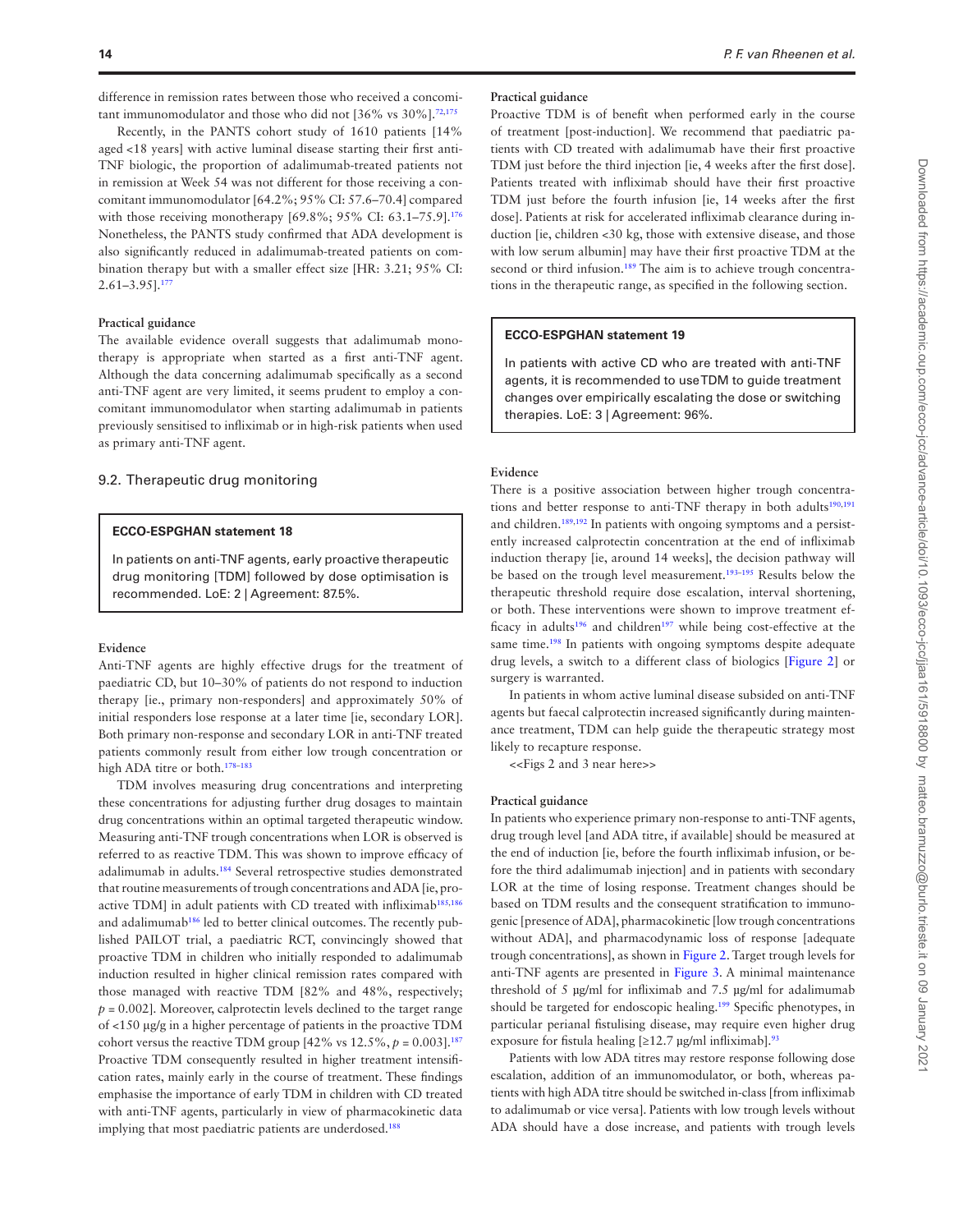Recently, in the PANTS cohort study of 1610 patients [14% aged <18 years] with active luminal disease starting their first anti-TNF biologic, the proportion of adalimumab-treated patients not in remission at Week 54 was not different for those receiving a concomitant immunomodulator [64.2%; 95% CI: 57.6–70.4] compared with those receiving monotherapy [69.8%; 95% CI: 63.1–75.9].<sup>176</sup> Nonetheless, the PANTS study confirmed that ADA development is also significantly reduced in adalimumab-treated patients on combination therapy but with a smaller effect size [HR: 3.21; 95% CI:  $2.61 - 3.95$ ].<sup>177</sup>

### **Practical guidance**

The available evidence overall suggests that adalimumab monotherapy is appropriate when started as a first anti-TNF agent. Although the data concerning adalimumab specifically as a second anti-TNF agent are very limited, it seems prudent to employ a concomitant immunomodulator when starting adalimumab in patients previously sensitised to infliximab or in high-risk patients when used as primary anti-TNF agent.

9.2. Therapeutic drug monitoring

### **ECCO-ESPGHAN statement 18**

In patients on anti-TNF agents, early proactive therapeutic drug monitoring [TDM] followed by dose optimisation is recommended. LoE: 2 | Agreement: 87.5%.

### **Evidence**

Anti-TNF agents are highly effective drugs for the treatment of paediatric CD, but 10–30% of patients do not respond to induction therapy [ie., primary non-responders] and approximately 50% of initial responders lose response at a later time [ie, secondary LOR]. Both primary non-response and secondary LOR in anti-TNF treated patients commonly result from either low trough concentration or high ADA titre or both.<sup>178-183</sup>

TDM involves measuring drug concentrations and interpreting these concentrations for adjusting further drug dosages to maintain drug concentrations within an optimal targeted therapeutic window. Measuring anti-TNF trough concentrations when LOR is observed is referred to as reactive TDM. This was shown to improve efficacy of adalimumab in adults.[184](#page-21-15) Several retrospective studies demonstrated that routine measurements of trough concentrations and ADA [ie, pro-active TDM] in adult patients with CD treated with infliximab<sup>185[,186](#page-21-17)</sup> and adalimumab<sup>186</sup> led to better clinical outcomes. The recently published PAILOT trial, a paediatric RCT, convincingly showed that proactive TDM in children who initially responded to adalimumab induction resulted in higher clinical remission rates compared with those managed with reactive TDM [82% and 48%, respectively;  $p = 0.002$ . Moreover, calprotectin levels declined to the target range of <150 μg/g in a higher percentage of patients in the proactive TDM cohort versus the reactive TDM group  $[42\% \text{ vs } 12.5\%, p = 0.003]$ .<sup>187</sup> Proactive TDM consequently resulted in higher treatment intensification rates, mainly early in the course of treatment. These findings emphasise the importance of early TDM in children with CD treated with anti-TNF agents, particularly in view of pharmacokinetic data implying that most paediatric patients are underdosed.<sup>188</sup>

### **Practical guidance**

Proactive TDM is of benefit when performed early in the course of treatment [post-induction]. We recommend that paediatric patients with CD treated with adalimumab have their first proactive TDM just before the third injection [ie, 4 weeks after the first dose]. Patients treated with infliximab should have their first proactive TDM just before the fourth infusion [ie, 14 weeks after the first dose]. Patients at risk for accelerated infliximab clearance during induction [ie, children <30 kg, those with extensive disease, and those with low serum albumin] may have their first proactive TDM at the second or third infusion.<sup>189</sup> The aim is to achieve trough concentrations in the therapeutic range, as specified in the following section.

### **ECCO-ESPGHAN statement 19**

In patients with active CD who are treated with anti-TNF agents, it is recommended to use TDM to guide treatment changes over empirically escalating the dose or switching therapies. LoE: 3 | Agreement: 96%.

### **Evidence**

There is a positive association between higher trough concentra-tions and better response to anti-TNF therapy in both adults<sup>190[,191](#page-21-22)</sup> and children.<sup>189[,192](#page-21-23)</sup> In patients with ongoing symptoms and a persistently increased calprotectin concentration at the end of infliximab induction therapy [ie, around 14 weeks], the decision pathway will be based on the trough level measurement[.193](#page-21-24)[–195](#page-21-25) Results below the therapeutic threshold require dose escalation, interval shortening, or both. These interventions were shown to improve treatment ef-ficacy in adults<sup>196</sup> and children<sup>[197](#page-21-27)</sup> while being cost-effective at the same time.<sup>198</sup> In patients with ongoing symptoms despite adequate drug levels, a switch to a different class of biologics [\[Figure 2\]](#page-3-0) or surgery is warranted.

In patients in whom active luminal disease subsided on anti-TNF agents but faecal calprotectin increased significantly during maintenance treatment, TDM can help guide the therapeutic strategy most likely to recapture response.

<<Figs 2 and 3 near here>>

### **Practical guidance**

In patients who experience primary non-response to anti-TNF agents, drug trough level [and ADA titre, if available] should be measured at the end of induction [ie, before the fourth infliximab infusion, or before the third adalimumab injection] and in patients with secondary LOR at the time of losing response. Treatment changes should be based on TDM results and the consequent stratification to immunogenic [presence of ADA], pharmacokinetic [low trough concentrations without ADA], and pharmacodynamic loss of response [adequate trough concentrations], as shown in [Figure 2.](#page-3-0) Target trough levels for anti-TNF agents are presented in [Figure 3.](#page-14-0) A minimal maintenance threshold of 5 µg/ml for infliximab and 7.5 µg/ml for adalimumab should be targeted for endoscopic healing.<sup>199</sup> Specific phenotypes, in particular perianal fistulising disease, may require even higher drug exposure for fistula healing  $[≥12.7 \mu g/ml$  infliximab].<sup>93</sup>

Patients with low ADA titres may restore response following dose escalation, addition of an immunomodulator, or both, whereas patients with high ADA titre should be switched in-class [from infliximab to adalimumab or vice versa]. Patients with low trough levels without ADA should have a dose increase, and patients with trough levels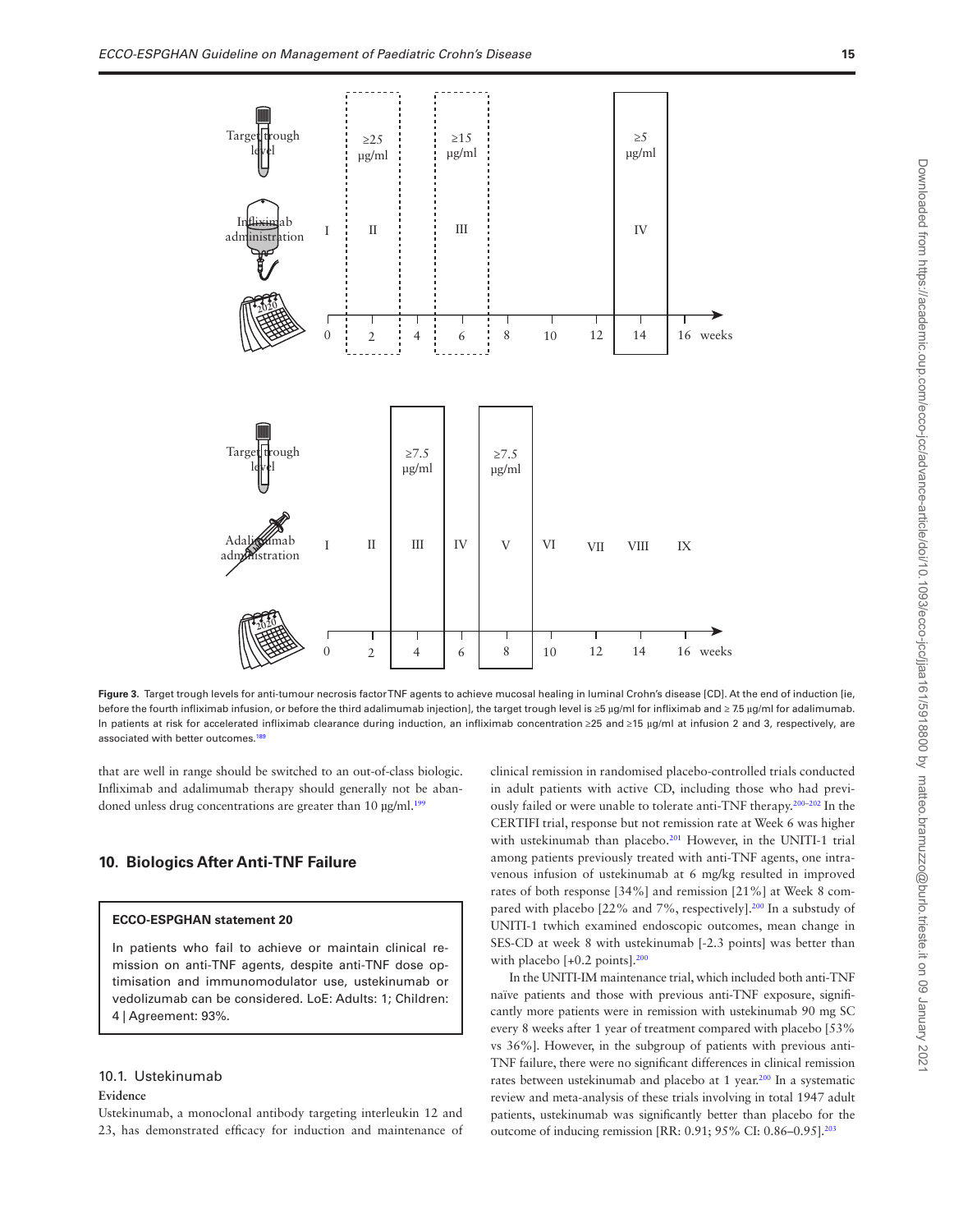

Figure 3. Target trough levels for anti-tumour necrosis factor TNF agents to achieve mucosal healing in luminal Crohn's disease [CD]. At the end of induction [ie, before the fourth infliximab infusion, or before the third adalimumab injection], the target trough level is ≥5 µg/ml for infliximab and ≥ 7.5 µg/ml for adalimumab. In patients at risk for accelerated infliximab clearance during induction, an infliximab concentration ≥25 and ≥15 µg/ml at infusion 2 and 3, respectively, are associated with better outcomes.<sup>189</sup>

that are well in range should be switched to an out-of-class biologic. Infliximab and adalimumab therapy should generally not be abandoned unless drug concentrations are greater than 10 µg/ml.<sup>195</sup>

### **10. Biologics After Anti-TNF Failure**

### **ECCO-ESPGHAN statement 20**

In patients who fail to achieve or maintain clinical remission on anti-TNF agents, despite anti-TNF dose optimisation and immunomodulator use, ustekinumab or vedolizumab can be considered. LoE: Adults: 1; Children: 4 | Agreement: 93%.

### 10.1. Ustekinumab

### **Evidence**

Ustekinumab, a monoclonal antibody targeting interleukin 12 and 23, has demonstrated efficacy for induction and maintenance of <span id="page-14-0"></span>clinical remission in randomised placebo-controlled trials conducted in adult patients with active CD, including those who had previously failed or were unable to tolerate anti-TNF therapy[.200](#page-21-30)–[202](#page-22-0) In the CERTIFI trial, response but not remission rate at Week 6 was higher with ustekinumab than placebo.<sup>201</sup> However, in the UNITI-1 trial among patients previously treated with anti-TNF agents, one intravenous infusion of ustekinumab at 6 mg/kg resulted in improved rates of both response [34%] and remission [21%] at Week 8 compared with placebo [22% and 7%, respectively].<sup>200</sup> In a substudy of UNITI-1 twhich examined endoscopic outcomes, mean change in SES-CD at week 8 with ustekinumab [-2.3 points] was better than with placebo  $[+0.2 \text{ points}]$ .<sup>[200](#page-21-30)</sup>

In the UNITI-IM maintenance trial, which included both anti-TNF naïve patients and those with previous anti-TNF exposure, significantly more patients were in remission with ustekinumab 90 mg SC every 8 weeks after 1 year of treatment compared with placebo [53% vs 36%]. However, in the subgroup of patients with previous anti-TNF failure, there were no significant differences in clinical remission rates between ustekinumab and placebo at 1 year[.200](#page-21-30) In a systematic review and meta-analysis of these trials involving in total 1947 adult patients, ustekinumab was significantly better than placebo for the outcome of inducing remission [RR: 0.91; 95% CI: 0.86–0.95].[203](#page-22-2)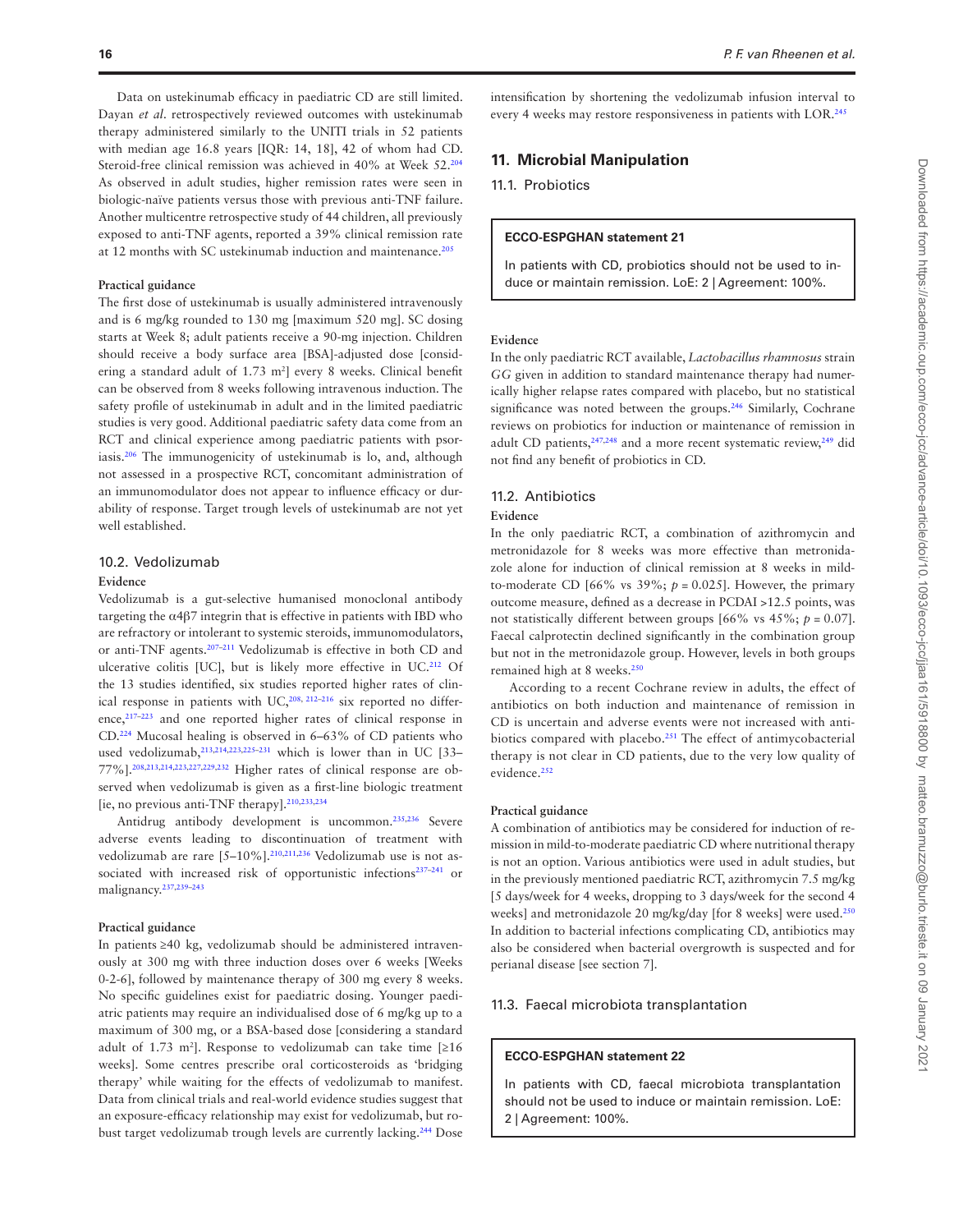Data on ustekinumab efficacy in paediatric CD are still limited. Dayan *et al*. retrospectively reviewed outcomes with ustekinumab therapy administered similarly to the UNITI trials in 52 patients with median age 16.8 years [IQR: 14, 18], 42 of whom had CD. Steroid-free clinical remission was achieved in 40% at Week 52[.204](#page-22-3) As observed in adult studies, higher remission rates were seen in biologic-naïve patients versus those with previous anti-TNF failure. Another multicentre retrospective study of 44 children, all previously exposed to anti-TNF agents, reported a 39% clinical remission rate at 12 months with SC ustekinumab induction and maintenance.<sup>[205](#page-22-4)</sup>

### **Practical guidance**

The first dose of ustekinumab is usually administered intravenously and is 6 mg/kg rounded to 130 mg [maximum 520 mg]. SC dosing starts at Week 8; adult patients receive a 90-mg injection. Children should receive a body surface area [BSA]-adjusted dose [considering a standard adult of 1.73 m<sup>2</sup>] every 8 weeks. Clinical benefit can be observed from 8 weeks following intravenous induction. The safety profile of ustekinumab in adult and in the limited paediatric studies is very good. Additional paediatric safety data come from an RCT and clinical experience among paediatric patients with psoriasis[.206](#page-22-5) The immunogenicity of ustekinumab is lo, and, although not assessed in a prospective RCT, concomitant administration of an immunomodulator does not appear to influence efficacy or durability of response. Target trough levels of ustekinumab are not yet well established.

### 10.2. Vedolizumab

### **Evidence**

Vedolizumab is a gut-selective humanised monoclonal antibody targeting the α4β7 integrin that is effective in patients with IBD who are refractory or intolerant to systemic steroids, immunomodulators, or anti-TNF agents.[207–](#page-22-6)[211](#page-22-7) Vedolizumab is effective in both CD and ulcerative colitis [UC], but is likely more effective in UC.<sup>212</sup> Of the 13 studies identified, six studies reported higher rates of clin-ical response in patients with UC,<sup>208, [212](#page-22-8)-[216](#page-22-10)</sup> six reported no differ-ence,<sup>217–[223](#page-22-12)</sup> and one reported higher rates of clinical response in CD.[224](#page-22-13) Mucosal healing is observed in 6–63% of CD patients who used vedolizumab,<sup>[213,](#page-22-14)[214,](#page-22-15)[223](#page-22-12)[,225](#page-22-16)-231</sup> which is lower than in UC [33-77%].[208,](#page-22-9)[213,](#page-22-14)[214](#page-22-15)[,223](#page-22-12)[,227](#page-22-18)[,229](#page-22-19)[,232](#page-22-20) Higher rates of clinical response are observed when vedolizumab is given as a first-line biologic treatment [ie, no previous anti-TNF therapy][.210](#page-22-21)[,233](#page-22-22)[,234](#page-22-23)

Antidrug antibody development is uncommon[.235](#page-22-24)[,236](#page-22-25) Severe adverse events leading to discontinuation of treatment with vedolizumab are rare [5-10%].<sup>210,[211](#page-22-7),[236](#page-22-25)</sup> Vedolizumab use is not associated with increased risk of opportunistic infections<sup>237-241</sup> or malignancy[.237](#page-22-26)[,239](#page-22-27)[–243](#page-23-1)

### **Practical guidance**

In patients ≥40 kg, vedolizumab should be administered intravenously at 300 mg with three induction doses over 6 weeks [Weeks 0-2-6], followed by maintenance therapy of 300 mg every 8 weeks. No specific guidelines exist for paediatric dosing. Younger paediatric patients may require an individualised dose of 6 mg/kg up to a maximum of 300 mg, or a BSA-based dose [considering a standard adult of 1.73 m<sup>2</sup>]. Response to vedolizumab can take time [ $\geq 16$ weeks]. Some centres prescribe oral corticosteroids as 'bridging therapy' while waiting for the effects of vedolizumab to manifest. Data from clinical trials and real-world evidence studies suggest that an exposure-efficacy relationship may exist for vedolizumab, but robust target vedolizumab trough levels are currently lacking.[244](#page-23-2) Dose

intensification by shortening the vedolizumab infusion interval to every 4 weeks may restore responsiveness in patients with LOR.<sup>245</sup>

### **11. Microbial Manipulation**

11.1. Probiotics

### **ECCO-ESPGHAN statement 21**

In patients with CD, probiotics should not be used to induce or maintain remission. LoE: 2 | Agreement: 100%.

### **Evidence**

In the only paediatric RCT available, *Lactobacillus rhamnosus* strain *GG* given in addition to standard maintenance therapy had numerically higher relapse rates compared with placebo, but no statistical significance was noted between the groups.<sup>246</sup> Similarly, Cochrane reviews on probiotics for induction or maintenance of remission in adult CD patients, $247,248$  $247,248$  $247,248$  and a more recent systematic review, $249$  did not find any benefit of probiotics in CD.

### 11.2. Antibiotics

### **Evidence**

In the only paediatric RCT, a combination of azithromycin and metronidazole for 8 weeks was more effective than metronidazole alone for induction of clinical remission at 8 weeks in mildto-moderate CD  $[66\%$  vs 39%;  $p = 0.025$ ]. However, the primary outcome measure, defined as a decrease in PCDAI >12.5 points, was not statistically different between groups  $[66\%$  vs  $45\%; p = 0.07]$ . Faecal calprotectin declined significantly in the combination group but not in the metronidazole group. However, levels in both groups remained high at 8 weeks.<sup>250</sup>

According to a recent Cochrane review in adults, the effect of antibiotics on both induction and maintenance of remission in CD is uncertain and adverse events were not increased with antibiotics compared with placebo.<sup>251</sup> The effect of antimycobacterial therapy is not clear in CD patients, due to the very low quality of evidence.<sup>252</sup>

### **Practical guidance**

A combination of antibiotics may be considered for induction of remission in mild-to-moderate paediatric CD where nutritional therapy is not an option. Various antibiotics were used in adult studies, but in the previously mentioned paediatric RCT, azithromycin 7.5 mg/kg [5 days/week for 4 weeks, dropping to 3 days/week for the second 4 weeks] and metronidazole 20 mg/kg/day [for 8 weeks] were used[.250](#page-23-8) In addition to bacterial infections complicating CD, antibiotics may also be considered when bacterial overgrowth is suspected and for perianal disease [see section 7].

### 11.3. Faecal microbiota transplantation

### **ECCO-ESPGHAN statement 22**

In patients with CD, faecal microbiota transplantation should not be used to induce or maintain remission. LoE: 2 | Agreement: 100%.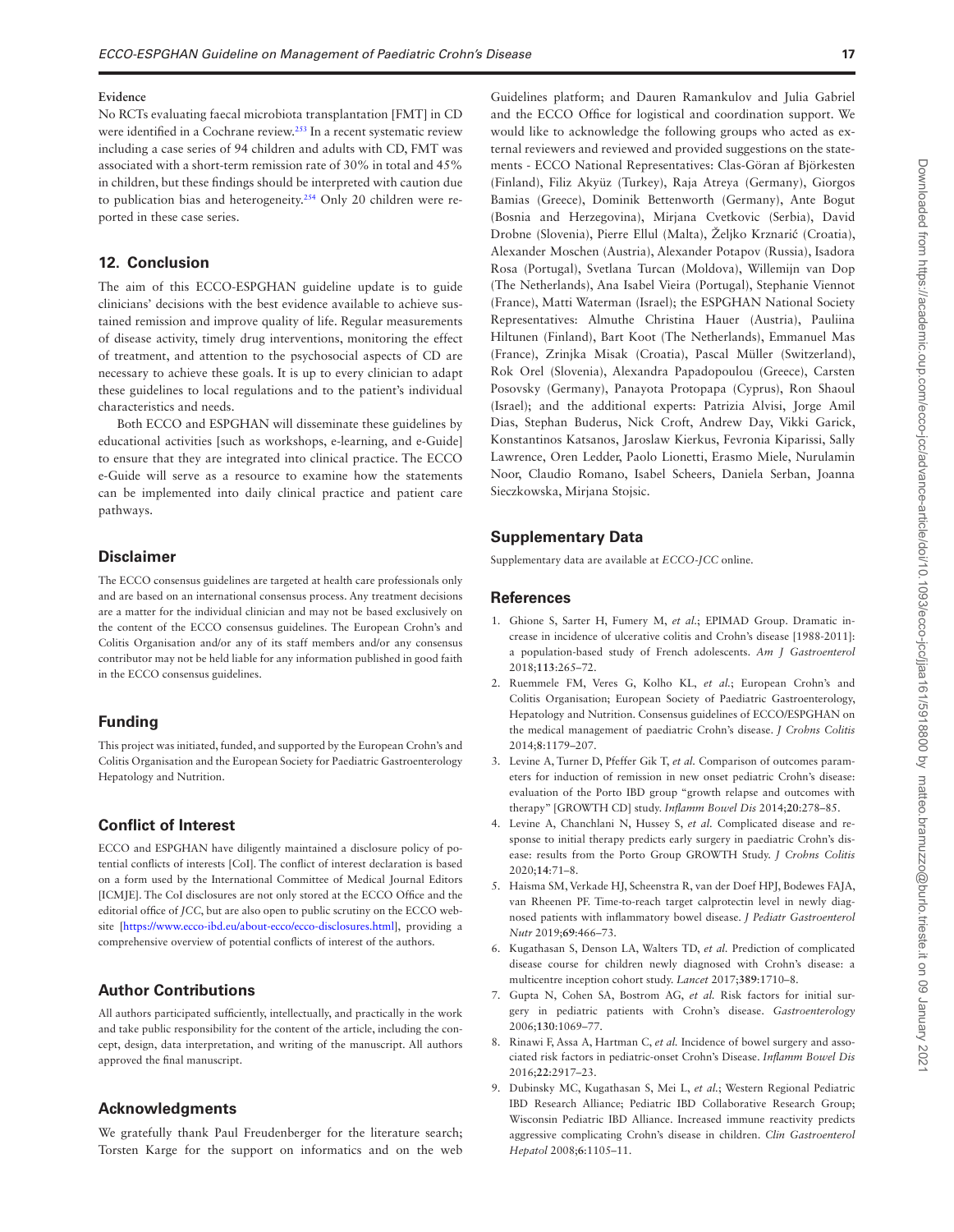# Downloaded from https://academic.oup.com/ecoo-jco/advance-article/doi/10.1093/ecoo-jcc/jjaa161/5918800 by matteo.bramuzzo@burlo.trieste.it on 09 January 202 Downloaded from https://academic.oup.com/ecco-jcc/advance-article/doi/10.1093/ecco-jcc/jjaa161/5918800 by matteo.bramuzzo@burlo.trieste.it on 09 January 2021

### **Evidence**

No RCTs evaluating faecal microbiota transplantation [FMT] in CD were identified in a Cochrane review.<sup>253</sup> In a recent systematic review including a case series of 94 children and adults with CD, FMT was associated with a short-term remission rate of 30% in total and 45% in children, but these findings should be interpreted with caution due to publication bias and heterogeneity[.254](#page-23-12) Only 20 children were reported in these case series.

### **12. Conclusion**

The aim of this ECCO-ESPGHAN guideline update is to guide clinicians' decisions with the best evidence available to achieve sustained remission and improve quality of life. Regular measurements of disease activity, timely drug interventions, monitoring the effect of treatment, and attention to the psychosocial aspects of CD are necessary to achieve these goals. It is up to every clinician to adapt these guidelines to local regulations and to the patient's individual characteristics and needs.

Both ECCO and ESPGHAN will disseminate these guidelines by educational activities [such as workshops, e-learning, and e-Guide] to ensure that they are integrated into clinical practice. The ECCO e-Guide will serve as a resource to examine how the statements can be implemented into daily clinical practice and patient care pathways.

### **Disclaimer**

The ECCO consensus guidelines are targeted at health care professionals only and are based on an international consensus process. Any treatment decisions are a matter for the individual clinician and may not be based exclusively on the content of the ECCO consensus guidelines. The European Crohn's and Colitis Organisation and/or any of its staff members and/or any consensus contributor may not be held liable for any information published in good faith in the ECCO consensus guidelines.

### **Funding**

This project was initiated, funded, and supported by the European Crohn's and Colitis Organisation and the European Society for Paediatric Gastroenterology Hepatology and Nutrition.

### **Conflict of Interest**

ECCO and ESPGHAN have diligently maintained a disclosure policy of potential conflicts of interests [CoI]. The conflict of interest declaration is based on a form used by the International Committee of Medical Journal Editors [ICMJE]. The CoI disclosures are not only stored at the ECCO Office and the editorial office of *JCC*, but are also open to public scrutiny on the ECCO website [\[https://www.ecco-ibd.eu/about-ecco/ecco-disclosures.html](https://www.ecco-ibd.eu/about-ecco/ecco-disclosures.html)], providing a comprehensive overview of potential conflicts of interest of the authors.

### **Author Contributions**

All authors participated sufficiently, intellectually, and practically in the work and take public responsibility for the content of the article, including the concept, design, data interpretation, and writing of the manuscript. All authors approved the final manuscript.

### **Acknowledgments**

We gratefully thank Paul Freudenberger for the literature search; Torsten Karge for the support on informatics and on the web

Guidelines platform; and Dauren Ramankulov and Julia Gabriel and the ECCO Office for logistical and coordination support. We would like to acknowledge the following groups who acted as external reviewers and reviewed and provided suggestions on the statements - ECCO National Representatives: Clas-Göran af Björkesten (Finland), Filiz Akyüz (Turkey), Raja Atreya (Germany), Giorgos Bamias (Greece), Dominik Bettenworth (Germany), Ante Bogut (Bosnia and Herzegovina), Mirjana Cvetkovic (Serbia), David Drobne (Slovenia), Pierre Ellul (Malta), Željko Krznarić (Croatia), Alexander Moschen (Austria), Alexander Potapov (Russia), Isadora Rosa (Portugal), Svetlana Turcan (Moldova), Willemijn van Dop (The Netherlands), Ana Isabel Vieira (Portugal), Stephanie Viennot (France), Matti Waterman (Israel); the ESPGHAN National Society Representatives: Almuthe Christina Hauer (Austria), Pauliina Hiltunen (Finland), Bart Koot (The Netherlands), Emmanuel Mas (France), Zrinjka Misak (Croatia), Pascal Müller (Switzerland), Rok Orel (Slovenia), Alexandra Papadopoulou (Greece), Carsten Posovsky (Germany), Panayota Protopapa (Cyprus), Ron Shaoul (Israel); and the additional experts: Patrizia Alvisi, Jorge Amil Dias, Stephan Buderus, Nick Croft, Andrew Day, Vikki Garick, Konstantinos Katsanos, Jaroslaw Kierkus, Fevronia Kiparissi, Sally Lawrence, Oren Ledder, Paolo Lionetti, Erasmo Miele, Nurulamin Noor, Claudio Romano, Isabel Scheers, Daniela Serban, Joanna Sieczkowska, Mirjana Stojsic.

### **Supplementary Data**

Supplementary data are available at *ECCO-JCC* online.

### **References**

- <span id="page-16-0"></span>1. Ghione S, Sarter H, Fumery M, *et al.*; EPIMAD Group. Dramatic increase in incidence of ulcerative colitis and Crohn's disease [1988-2011]: a population-based study of French adolescents. *Am J Gastroenterol* 2018;**113**:265–72.
- <span id="page-16-1"></span>2. Ruemmele FM, Veres G, Kolho KL, *et al.*; European Crohn's and Colitis Organisation; European Society of Paediatric Gastroenterology, Hepatology and Nutrition. Consensus guidelines of ECCO/ESPGHAN on the medical management of paediatric Crohn's disease. *J Crohns Colitis* 2014;**8**:1179–207.
- <span id="page-16-2"></span>3. Levine A, Turner D, Pfeffer Gik T, *et al.* Comparison of outcomes parameters for induction of remission in new onset pediatric Crohn's disease: evaluation of the Porto IBD group "growth relapse and outcomes with therapy" [GROWTH CD] study. *Inflamm Bowel Dis* 2014;**20**:278–85.
- <span id="page-16-3"></span>4. Levine A, Chanchlani N, Hussey S, *et al.* Complicated disease and response to initial therapy predicts early surgery in paediatric Crohn's disease: results from the Porto Group GROWTH Study. *J Crohns Colitis* 2020;**14**:71–8.
- <span id="page-16-4"></span>5. Haisma SM, Verkade HJ, Scheenstra R, van der Doef HPJ, Bodewes FAJA, van Rheenen PF. Time-to-reach target calprotectin level in newly diagnosed patients with inflammatory bowel disease. *J Pediatr Gastroenterol Nutr* 2019;**69**:466–73.
- <span id="page-16-5"></span>6. Kugathasan S, Denson LA, Walters TD, *et al.* Prediction of complicated disease course for children newly diagnosed with Crohn's disease: a multicentre inception cohort study. *Lancet* 2017;**389**:1710–8.
- <span id="page-16-6"></span>7. Gupta N, Cohen SA, Bostrom AG, *et al.* Risk factors for initial surgery in pediatric patients with Crohn's disease. *Gastroenterology* 2006;**130**:1069–77.
- 8. Rinawi F, Assa A, Hartman C, *et al.* Incidence of bowel surgery and associated risk factors in pediatric-onset Crohn's Disease. *Inflamm Bowel Dis* 2016;**22**:2917–23.
- 9. Dubinsky MC, Kugathasan S, Mei L, *et al.*; Western Regional Pediatric IBD Research Alliance; Pediatric IBD Collaborative Research Group; Wisconsin Pediatric IBD Alliance. Increased immune reactivity predicts aggressive complicating Crohn's disease in children. *Clin Gastroenterol Hepatol* 2008;**6**:1105–11.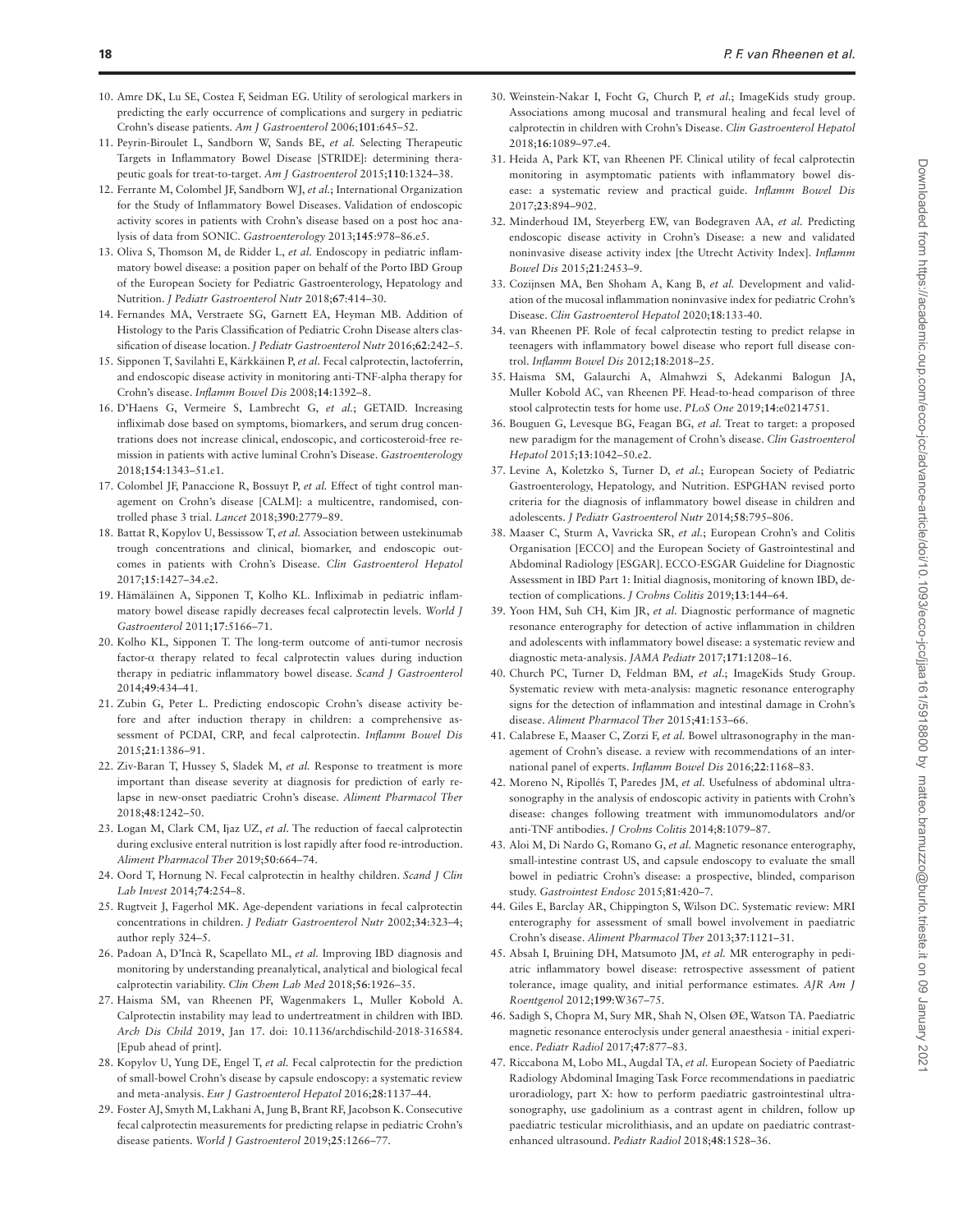<span id="page-17-0"></span>10. Amre DK, Lu SE, Costea F, Seidman EG. Utility of serological markers in predicting the early occurrence of complications and surgery in pediatric Crohn's disease patients. *Am J Gastroenterol* 2006;**101**:645–52.

<span id="page-17-1"></span>11. Peyrin-Biroulet L, Sandborn W, Sands BE, *et al.* Selecting Therapeutic Targets in Inflammatory Bowel Disease [STRIDE]: determining therapeutic goals for treat-to-target. *Am J Gastroenterol* 2015;**110**:1324–38.

- <span id="page-17-2"></span>12. Ferrante M, Colombel JF, Sandborn WJ, *et al.*; International Organization for the Study of Inflammatory Bowel Diseases. Validation of endoscopic activity scores in patients with Crohn's disease based on a post hoc analysis of data from SONIC. *Gastroenterology* 2013;**145**:978–86.e5.
- <span id="page-17-3"></span>13. Oliva S, Thomson M, de Ridder L, *et al.* Endoscopy in pediatric inflammatory bowel disease: a position paper on behalf of the Porto IBD Group of the European Society for Pediatric Gastroenterology, Hepatology and Nutrition. *J Pediatr Gastroenterol Nutr* 2018;**67**:414–30.
- <span id="page-17-4"></span>14. Fernandes MA, Verstraete SG, Garnett EA, Heyman MB. Addition of Histology to the Paris Classification of Pediatric Crohn Disease alters classification of disease location. *J Pediatr Gastroenterol Nutr* 2016;**62**:242–5.
- <span id="page-17-5"></span>15. Sipponen T, Savilahti E, Kärkkäinen P, *et al.* Fecal calprotectin, lactoferrin, and endoscopic disease activity in monitoring anti-TNF-alpha therapy for Crohn's disease. *Inflamm Bowel Dis* 2008;**14**:1392–8.
- 16. D'Haens G, Vermeire S, Lambrecht G, *et al.*; GETAID. Increasing infliximab dose based on symptoms, biomarkers, and serum drug concentrations does not increase clinical, endoscopic, and corticosteroid-free remission in patients with active luminal Crohn's Disease. *Gastroenterology* 2018;**154**:1343–51.e1.
- <span id="page-17-17"></span>17. Colombel JF, Panaccione R, Bossuyt P, *et al.* Effect of tight control management on Crohn's disease [CALM]: a multicentre, randomised, controlled phase 3 trial. *Lancet* 2018;**390**:2779–89.
- <span id="page-17-6"></span>18. Battat R, Kopylov U, Bessissow T, *et al.* Association between ustekinumab trough concentrations and clinical, biomarker, and endoscopic outcomes in patients with Crohn's Disease. *Clin Gastroenterol Hepatol* 2017;**15**:1427–34.e2.
- <span id="page-17-7"></span>19. Hämäläinen A, Sipponen T, Kolho KL. Infliximab in pediatric inflammatory bowel disease rapidly decreases fecal calprotectin levels. *World J Gastroenterol* 2011;**17**:5166–71.
- 20. Kolho KL, Sipponen T. The long-term outcome of anti-tumor necrosis factor-α therapy related to fecal calprotectin values during induction therapy in pediatric inflammatory bowel disease. *Scand J Gastroenterol* 2014;**49**:434–41.
- <span id="page-17-34"></span>21. Zubin G, Peter L. Predicting endoscopic Crohn's disease activity before and after induction therapy in children: a comprehensive assessment of PCDAI, CRP, and fecal calprotectin. *Inflamm Bowel Dis* 2015;**21**:1386–91.
- 22. Ziv-Baran T, Hussey S, Sladek M, *et al.* Response to treatment is more important than disease severity at diagnosis for prediction of early relapse in new-onset paediatric Crohn's disease. *Aliment Pharmacol Ther* 2018;**48**:1242–50.
- <span id="page-17-8"></span>23. Logan M, Clark CM, Ijaz UZ, *et al.* The reduction of faecal calprotectin during exclusive enteral nutrition is lost rapidly after food re-introduction. *Aliment Pharmacol Ther* 2019;**50**:664–74.
- <span id="page-17-9"></span>24. Oord T, Hornung N. Fecal calprotectin in healthy children. *Scand J Clin Lab Invest* 2014;**74**:254–8.
- <span id="page-17-10"></span>25. Rugtveit J, Fagerhol MK. Age-dependent variations in fecal calprotectin concentrations in children. *J Pediatr Gastroenterol Nutr* 2002;**34**:323–4; author reply 324–5.
- <span id="page-17-11"></span>26. Padoan A, D'Incà R, Scapellato ML, *et al.* Improving IBD diagnosis and monitoring by understanding preanalytical, analytical and biological fecal calprotectin variability. *Clin Chem Lab Med* 2018;**56**:1926–35.
- <span id="page-17-12"></span>27. Haisma SM, van Rheenen PF, Wagenmakers L, Muller Kobold A. Calprotectin instability may lead to undertreatment in children with IBD. *Arch Dis Child* 2019, Jan 17. doi: 10.1136/archdischild-2018-316584. [Epub ahead of print].
- <span id="page-17-13"></span>28. Kopylov U, Yung DE, Engel T, *et al.* Fecal calprotectin for the prediction of small-bowel Crohn's disease by capsule endoscopy: a systematic review and meta-analysis. *Eur J Gastroenterol Hepatol* 2016;**28**:1137–44.
- <span id="page-17-14"></span>29. Foster AJ, Smyth M, Lakhani A, Jung B, Brant RF, Jacobson K. Consecutive fecal calprotectin measurements for predicting relapse in pediatric Crohn's disease patients. *World J Gastroenterol* 2019;**25**:1266–77.
- <span id="page-17-15"></span>30. Weinstein-Nakar I, Focht G, Church P, *et al.*; ImageKids study group. Associations among mucosal and transmural healing and fecal level of calprotectin in children with Crohn's Disease. *Clin Gastroenterol Hepatol* 2018;**16**:1089–97.e4.
- <span id="page-17-16"></span>31. Heida A, Park KT, van Rheenen PF. Clinical utility of fecal calprotectin monitoring in asymptomatic patients with inflammatory bowel disease: a systematic review and practical guide. *Inflamm Bowel Dis* 2017;**23**:894–902.
- <span id="page-17-18"></span>32. Minderhoud IM, Steyerberg EW, van Bodegraven AA, *et al.* Predicting endoscopic disease activity in Crohn's Disease: a new and validated noninvasive disease activity index [the Utrecht Activity Index]. *Inflamm Bowel Dis* 2015;**21**:2453–9.
- <span id="page-17-19"></span>33. Cozijnsen MA, Ben Shoham A, Kang B, *et al.* Development and validation of the mucosal inflammation noninvasive index for pediatric Crohn's Disease. *Clin Gastroenterol Hepatol* 2020;**18**:133‐40.
- <span id="page-17-20"></span>34. van Rheenen PF. Role of fecal calprotectin testing to predict relapse in teenagers with inflammatory bowel disease who report full disease control. *Inflamm Bowel Dis* 2012;**18**:2018–25.
- <span id="page-17-21"></span>35. Haisma SM, Galaurchi A, Almahwzi S, Adekanmi Balogun JA, Muller Kobold AC, van Rheenen PF. Head-to-head comparison of three stool calprotectin tests for home use. *PLoS One* 2019;**14**:e0214751.
- <span id="page-17-22"></span>36. Bouguen G, Levesque BG, Feagan BG, *et al.* Treat to target: a proposed new paradigm for the management of Crohn's disease. *Clin Gastroenterol Hepatol* 2015;**13**:1042–50.e2.
- <span id="page-17-23"></span>37. Levine A, Koletzko S, Turner D, *et al.*; European Society of Pediatric Gastroenterology, Hepatology, and Nutrition. ESPGHAN revised porto criteria for the diagnosis of inflammatory bowel disease in children and adolescents. *J Pediatr Gastroenterol Nutr* 2014;**58**:795–806.
- <span id="page-17-24"></span>38. Maaser C, Sturm A, Vavricka SR, *et al.*; European Crohn's and Colitis Organisation [ECCO] and the European Society of Gastrointestinal and Abdominal Radiology [ESGAR]. ECCO-ESGAR Guideline for Diagnostic Assessment in IBD Part 1: Initial diagnosis, monitoring of known IBD, detection of complications. *J Crohns Colitis* 2019;**13**:144–64.
- <span id="page-17-25"></span>39. Yoon HM, Suh CH, Kim JR, *et al.* Diagnostic performance of magnetic resonance enterography for detection of active inflammation in children and adolescents with inflammatory bowel disease: a systematic review and diagnostic meta-analysis. *JAMA Pediatr* 2017;**171**:1208–16.
- <span id="page-17-26"></span>40. Church PC, Turner D, Feldman BM, *et al.*; ImageKids Study Group. Systematic review with meta-analysis: magnetic resonance enterography signs for the detection of inflammation and intestinal damage in Crohn's disease. *Aliment Pharmacol Ther* 2015;**41**:153–66.
- <span id="page-17-27"></span>41. Calabrese E, Maaser C, Zorzi F, *et al.* Bowel ultrasonography in the management of Crohn's disease. a review with recommendations of an international panel of experts. *Inflamm Bowel Dis* 2016;**22**:1168–83.
- <span id="page-17-28"></span>42. Moreno N, Ripollés T, Paredes JM, *et al.* Usefulness of abdominal ultrasonography in the analysis of endoscopic activity in patients with Crohn's disease: changes following treatment with immunomodulators and/or anti-TNF antibodies. *J Crohns Colitis* 2014;**8**:1079–87.
- <span id="page-17-29"></span>43. Aloi M, Di Nardo G, Romano G, *et al.* Magnetic resonance enterography, small-intestine contrast US, and capsule endoscopy to evaluate the small bowel in pediatric Crohn's disease: a prospective, blinded, comparison study. *Gastrointest Endosc* 2015;**81**:420–7.
- <span id="page-17-30"></span>44. Giles E, Barclay AR, Chippington S, Wilson DC. Systematic review: MRI enterography for assessment of small bowel involvement in paediatric Crohn's disease. *Aliment Pharmacol Ther* 2013;**37**:1121–31.
- <span id="page-17-31"></span>45. Absah I, Bruining DH, Matsumoto JM, *et al.* MR enterography in pediatric inflammatory bowel disease: retrospective assessment of patient tolerance, image quality, and initial performance estimates. *AJR Am J Roentgenol* 2012;**199**:W367–75.
- <span id="page-17-32"></span>46. Sadigh S, Chopra M, Sury MR, Shah N, Olsen ØE, Watson TA. Paediatric magnetic resonance enteroclysis under general anaesthesia ‐ initial experience. *Pediatr Radiol* 2017;**47**:877–83.
- <span id="page-17-33"></span>47. Riccabona M, Lobo ML, Augdal TA, *et al.* European Society of Paediatric Radiology Abdominal Imaging Task Force recommendations in paediatric uroradiology, part X: how to perform paediatric gastrointestinal ultrasonography, use gadolinium as a contrast agent in children, follow up paediatric testicular microlithiasis, and an update on paediatric contrastenhanced ultrasound. *Pediatr Radiol* 2018;**48**:1528–36.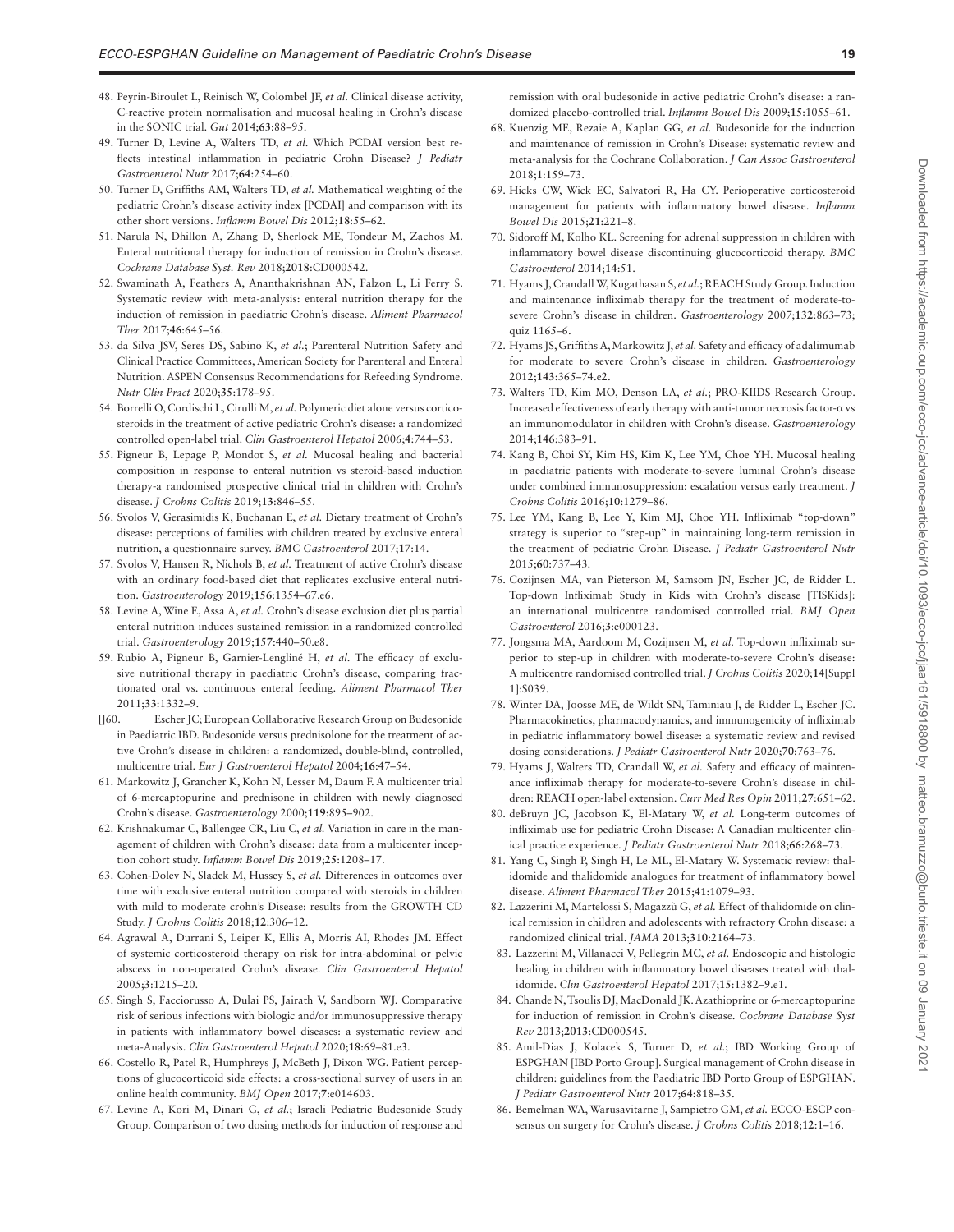- <span id="page-18-0"></span>48. Peyrin-Biroulet L, Reinisch W, Colombel JF, *et al.* Clinical disease activity, C-reactive protein normalisation and mucosal healing in Crohn's disease in the SONIC trial. *Gut* 2014;**63**:88–95.
- <span id="page-18-1"></span>49. Turner D, Levine A, Walters TD, *et al.* Which PCDAI version best reflects intestinal inflammation in pediatric Crohn Disease? *J Pediatr Gastroenterol Nutr* 2017;**64**:254–60.
- <span id="page-18-2"></span>50. Turner D, Griffiths AM, Walters TD, *et al.* Mathematical weighting of the pediatric Crohn's disease activity index [PCDAI] and comparison with its other short versions. *Inflamm Bowel Dis* 2012;**18**:55–62.
- <span id="page-18-3"></span>51. Narula N, Dhillon A, Zhang D, Sherlock ME, Tondeur M, Zachos M. Enteral nutritional therapy for induction of remission in Crohn's disease. *Cochrane Database Syst. Rev* 2018;**2018**:CD000542.
- <span id="page-18-4"></span>52. Swaminath A, Feathers A, Ananthakrishnan AN, Falzon L, Li Ferry S. Systematic review with meta-analysis: enteral nutrition therapy for the induction of remission in paediatric Crohn's disease. *Aliment Pharmacol Ther* 2017;**46**:645–56.
- <span id="page-18-5"></span>53. da Silva JSV, Seres DS, Sabino K, *et al.*; Parenteral Nutrition Safety and Clinical Practice Committees, American Society for Parenteral and Enteral Nutrition. ASPEN Consensus Recommendations for Refeeding Syndrome. *Nutr Clin Pract* 2020;**35**:178–95.
- <span id="page-18-6"></span>54. Borrelli O, Cordischi L, Cirulli M, *et al.* Polymeric diet alone versus corticosteroids in the treatment of active pediatric Crohn's disease: a randomized controlled open-label trial. *Clin Gastroenterol Hepatol* 2006;**4**:744–53.
- <span id="page-18-7"></span>55. Pigneur B, Lepage P, Mondot S, *et al.* Mucosal healing and bacterial composition in response to enteral nutrition vs steroid-based induction therapy-a randomised prospective clinical trial in children with Crohn's disease. *J Crohns Colitis* 2019;**13**:846–55.
- <span id="page-18-8"></span>56. Svolos V, Gerasimidis K, Buchanan E, *et al.* Dietary treatment of Crohn's disease: perceptions of families with children treated by exclusive enteral nutrition, a questionnaire survey. *BMC Gastroenterol* 2017;**17**:14.
- <span id="page-18-9"></span>57. Svolos V, Hansen R, Nichols B, *et al.* Treatment of active Crohn's disease with an ordinary food-based diet that replicates exclusive enteral nutrition. *Gastroenterology* 2019;**156**:1354–67.e6.
- <span id="page-18-10"></span>58. Levine A, Wine E, Assa A, *et al.* Crohn's disease exclusion diet plus partial enteral nutrition induces sustained remission in a randomized controlled trial. *Gastroenterology* 2019;**157**:440–50.e8.
- <span id="page-18-11"></span>59. Rubio A, Pigneur B, Garnier-Lengliné H, *et al.* The efficacy of exclusive nutritional therapy in paediatric Crohn's disease, comparing fractionated oral vs. continuous enteral feeding. *Aliment Pharmacol Ther* 2011;**33**:1332–9.
- <span id="page-18-12"></span>[]60. Escher JC; European Collaborative Research Group on Budesonide in Paediatric IBD. Budesonide versus prednisolone for the treatment of active Crohn's disease in children: a randomized, double-blind, controlled, multicentre trial. *Eur J Gastroenterol Hepatol* 2004;**16**:47–54.
- <span id="page-18-13"></span>61. Markowitz J, Grancher K, Kohn N, Lesser M, Daum F. A multicenter trial of 6-mercaptopurine and prednisone in children with newly diagnosed Crohn's disease. *Gastroenterology* 2000;**119**:895–902.
- <span id="page-18-14"></span>62. Krishnakumar C, Ballengee CR, Liu C, *et al.* Variation in care in the management of children with Crohn's disease: data from a multicenter inception cohort study. *Inflamm Bowel Dis* 2019;**25**:1208–17.
- <span id="page-18-15"></span>63. Cohen-Dolev N, Sladek M, Hussey S, *et al.* Differences in outcomes over time with exclusive enteral nutrition compared with steroids in children with mild to moderate crohn's Disease: results from the GROWTH CD Study. *J Crohns Colitis* 2018;**12**:306–12.
- <span id="page-18-16"></span>64. Agrawal A, Durrani S, Leiper K, Ellis A, Morris AI, Rhodes JM. Effect of systemic corticosteroid therapy on risk for intra-abdominal or pelvic abscess in non-operated Crohn's disease. *Clin Gastroenterol Hepatol* 2005;**3**:1215–20.
- <span id="page-18-17"></span>65. Singh S, Facciorusso A, Dulai PS, Jairath V, Sandborn WJ. Comparative risk of serious infections with biologic and/or immunosuppressive therapy in patients with inflammatory bowel diseases: a systematic review and meta-Analysis. *Clin Gastroenterol Hepatol* 2020;**18**:69–81.e3.
- <span id="page-18-18"></span>66. Costello R, Patel R, Humphreys J, McBeth J, Dixon WG. Patient perceptions of glucocorticoid side effects: a cross-sectional survey of users in an online health community. *BMJ Open* 2017;**7**:e014603.
- <span id="page-18-19"></span>67. Levine A, Kori M, Dinari G, *et al.*; Israeli Pediatric Budesonide Study Group. Comparison of two dosing methods for induction of response and

remission with oral budesonide in active pediatric Crohn's disease: a randomized placebo-controlled trial. *Inflamm Bowel Dis* 2009;**15**:1055–61.

- <span id="page-18-20"></span>68. Kuenzig ME, Rezaie A, Kaplan GG, *et al.* Budesonide for the induction and maintenance of remission in Crohn's Disease: systematic review and meta-analysis for the Cochrane Collaboration. *J Can Assoc Gastroenterol* 2018;**1**:159–73.
- <span id="page-18-21"></span>69. Hicks CW, Wick EC, Salvatori R, Ha CY. Perioperative corticosteroid management for patients with inflammatory bowel disease. *Inflamm Bowel Dis* 2015;**21**:221–8.
- <span id="page-18-22"></span>70. Sidoroff M, Kolho KL. Screening for adrenal suppression in children with inflammatory bowel disease discontinuing glucocorticoid therapy. *BMC Gastroenterol* 2014;**14**:51.
- <span id="page-18-23"></span>71. Hyams J, Crandall W, Kugathasan S, *et al.*; REACH Study Group. Induction and maintenance infliximab therapy for the treatment of moderate-tosevere Crohn's disease in children. *Gastroenterology* 2007;**132**:863–73; quiz 1165–6.
- <span id="page-18-24"></span>72. Hyams JS, Griffiths A, Markowitz J, *et al.* Safety and efficacy of adalimumab for moderate to severe Crohn's disease in children. *Gastroenterology* 2012;**143**:365–74.e2.
- <span id="page-18-25"></span>73. Walters TD, Kim MO, Denson LA, *et al.*; PRO-KIIDS Research Group. Increased effectiveness of early therapy with anti-tumor necrosis factor-α vs an immunomodulator in children with Crohn's disease. *Gastroenterology* 2014;**146**:383–91.
- <span id="page-18-26"></span>74. Kang B, Choi SY, Kim HS, Kim K, Lee YM, Choe YH. Mucosal healing in paediatric patients with moderate-to-severe luminal Crohn's disease under combined immunosuppression: escalation versus early treatment. *J Crohns Colitis* 2016;**10**:1279–86.
- <span id="page-18-27"></span>75. Lee YM, Kang B, Lee Y, Kim MJ, Choe YH. Infliximab "top-down" strategy is superior to "step-up" in maintaining long-term remission in the treatment of pediatric Crohn Disease. *J Pediatr Gastroenterol Nutr* 2015;**60**:737–43.
- <span id="page-18-28"></span>76. Cozijnsen MA, van Pieterson M, Samsom JN, Escher JC, de Ridder L. Top-down Infliximab Study in Kids with Crohn's disease [TISKids]: an international multicentre randomised controlled trial. *BMJ Open Gastroenterol* 2016;**3**:e000123.
- <span id="page-18-29"></span>77. Jongsma MA, Aardoom M, Cozijnsen M, *et al.* Top-down infliximab superior to step-up in children with moderate-to-severe Crohn's disease: A multicentre randomised controlled trial. *J Crohns Colitis* 2020;**14**[Suppl 1]:S039.
- <span id="page-18-30"></span>78. Winter DA, Joosse ME, de Wildt SN, Taminiau J, de Ridder L, Escher JC. Pharmacokinetics, pharmacodynamics, and immunogenicity of infliximab in pediatric inflammatory bowel disease: a systematic review and revised dosing considerations. *J Pediatr Gastroenterol Nutr* 2020;**70**:763–76.
- <span id="page-18-31"></span>79. Hyams J, Walters TD, Crandall W, *et al.* Safety and efficacy of maintenance infliximab therapy for moderate-to-severe Crohn's disease in children: REACH open-label extension. *Curr Med Res Opin* 2011;**27**:651–62.
- <span id="page-18-32"></span>80. deBruyn JC, Jacobson K, El-Matary W, *et al.* Long-term outcomes of infliximab use for pediatric Crohn Disease: A Canadian multicenter clinical practice experience. *J Pediatr Gastroenterol Nutr* 2018;**66**:268–73.
- <span id="page-18-33"></span>81. Yang C, Singh P, Singh H, Le ML, El-Matary W. Systematic review: thalidomide and thalidomide analogues for treatment of inflammatory bowel disease. *Aliment Pharmacol Ther* 2015;**41**:1079–93.
- <span id="page-18-34"></span>82. Lazzerini M, Martelossi S, Magazzù G, *et al.* Effect of thalidomide on clinical remission in children and adolescents with refractory Crohn disease: a randomized clinical trial. *JAMA* 2013;**310**:2164–73.
- <span id="page-18-35"></span>83. Lazzerini M, Villanacci V, Pellegrin MC, *et al.* Endoscopic and histologic healing in children with inflammatory bowel diseases treated with thalidomide. *Clin Gastroenterol Hepatol* 2017;**15**:1382–9.e1.
- <span id="page-18-36"></span>84. Chande N, Tsoulis DJ, MacDonald JK. Azathioprine or 6-mercaptopurine for induction of remission in Crohn's disease. *Cochrane Database Syst Rev* 2013;**2013**:CD000545.
- <span id="page-18-37"></span>85. Amil-Dias J, Kolacek S, Turner D, *et al.*; IBD Working Group of ESPGHAN [IBD Porto Group]. Surgical management of Crohn disease in children: guidelines from the Paediatric IBD Porto Group of ESPGHAN. *J Pediatr Gastroenterol Nutr* 2017;**64**:818–35.
- <span id="page-18-38"></span>86. Bemelman WA, Warusavitarne J, Sampietro GM, *et al.* ECCO-ESCP consensus on surgery for Crohn's disease. *J Crohns Colitis* 2018;**12**:1–16.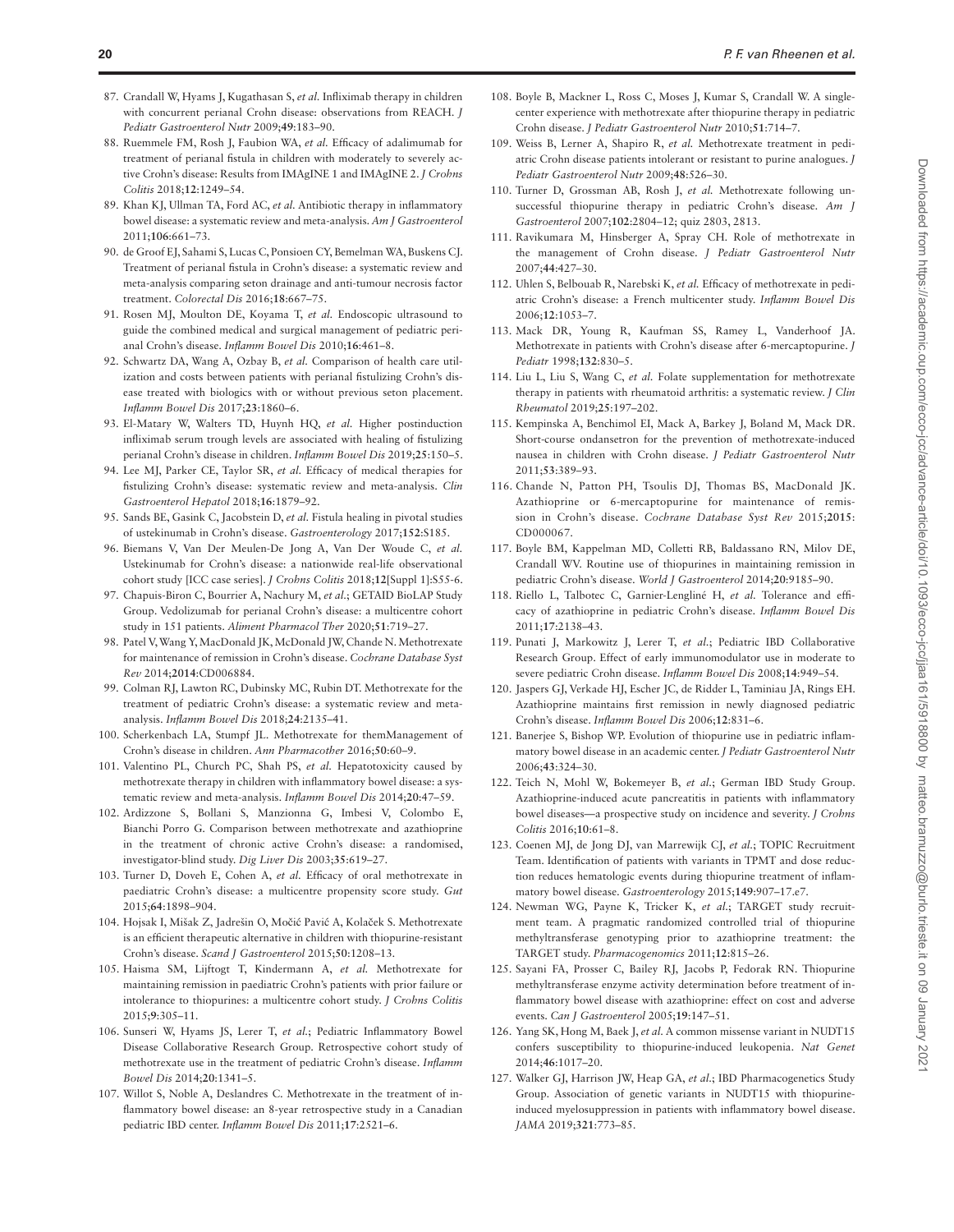- <span id="page-19-0"></span>87. Crandall W, Hyams J, Kugathasan S, *et al.* Infliximab therapy in children with concurrent perianal Crohn disease: observations from REACH. *J Pediatr Gastroenterol Nutr* 2009;**49**:183–90.
- <span id="page-19-1"></span>88. Ruemmele FM, Rosh J, Faubion WA, *et al.* Efficacy of adalimumab for treatment of perianal fistula in children with moderately to severely active Crohn's disease: Results from IMAgINE 1 and IMAgINE 2. *J Crohns Colitis* 2018;**12**:1249–54.
- <span id="page-19-2"></span>89. Khan KJ, Ullman TA, Ford AC, *et al.* Antibiotic therapy in inflammatory bowel disease: a systematic review and meta-analysis. *Am J Gastroenterol* 2011;**106**:661–73.
- <span id="page-19-3"></span>90. de Groof EJ, Sahami S, Lucas C, Ponsioen CY, Bemelman WA, Buskens CJ. Treatment of perianal fistula in Crohn's disease: a systematic review and meta-analysis comparing seton drainage and anti-tumour necrosis factor treatment. *Colorectal Dis* 2016;**18**:667–75.
- 91. Rosen MJ, Moulton DE, Koyama T, *et al.* Endoscopic ultrasound to guide the combined medical and surgical management of pediatric perianal Crohn's disease. *Inflamm Bowel Dis* 2010;**16**:461–8.
- <span id="page-19-4"></span>92. Schwartz DA, Wang A, Ozbay B, *et al.* Comparison of health care utilization and costs between patients with perianal fistulizing Crohn's disease treated with biologics with or without previous seton placement. *Inflamm Bowel Dis* 2017;**23**:1860–6.
- <span id="page-19-5"></span>93. El-Matary W, Walters TD, Huynh HQ, *et al.* Higher postinduction infliximab serum trough levels are associated with healing of fistulizing perianal Crohn's disease in children. *Inflamm Bowel Dis* 2019;**25**:150–5.
- <span id="page-19-6"></span>94. Lee MJ, Parker CE, Taylor SR, *et al.* Efficacy of medical therapies for fistulizing Crohn's disease: systematic review and meta-analysis. *Clin Gastroenterol Hepatol* 2018;**16**:1879–92.
- 95. Sands BE, Gasink C, Jacobstein D, *et al.* Fistula healing in pivotal studies of ustekinumab in Crohn's disease. *Gastroenterology* 2017;**152**:S185.
- <span id="page-19-7"></span>96. Biemans V, Van Der Meulen-De Jong A, Van Der Woude C, *et al.* Ustekinumab for Crohn's disease: a nationwide real-life observational cohort study [ICC case series]. *J Crohns Colitis* 2018;**12**[Suppl 1]:S55‐6.
- <span id="page-19-8"></span>97. Chapuis-Biron C, Bourrier A, Nachury M, *et al.*; GETAID BioLAP Study Group. Vedolizumab for perianal Crohn's disease: a multicentre cohort study in 151 patients. *Aliment Pharmacol Ther* 2020;**51**:719–27.
- <span id="page-19-9"></span>98. Patel V, Wang Y, MacDonald JK, McDonald JW, Chande N. Methotrexate for maintenance of remission in Crohn's disease. *Cochrane Database Syst Rev* 2014;**2014**:CD006884.
- <span id="page-19-10"></span>99. Colman RJ, Lawton RC, Dubinsky MC, Rubin DT. Methotrexate for the treatment of pediatric Crohn's disease: a systematic review and metaanalysis. *Inflamm Bowel Dis* 2018;**24**:2135–41.
- <span id="page-19-11"></span>100. Scherkenbach LA, Stumpf JL. Methotrexate for themManagement of Crohn's disease in children. *Ann Pharmacother* 2016;**50**:60–9.
- <span id="page-19-12"></span>101. Valentino PL, Church PC, Shah PS, *et al.* Hepatotoxicity caused by methotrexate therapy in children with inflammatory bowel disease: a systematic review and meta-analysis. *Inflamm Bowel Dis* 2014;**20**:47–59.
- <span id="page-19-13"></span>102. Ardizzone S, Bollani S, Manzionna G, Imbesi V, Colombo E, Bianchi Porro G. Comparison between methotrexate and azathioprine in the treatment of chronic active Crohn's disease: a randomised, investigator-blind study. *Dig Liver Dis* 2003;**35**:619–27.
- <span id="page-19-14"></span>103. Turner D, Doveh E, Cohen A, *et al.* Efficacy of oral methotrexate in paediatric Crohn's disease: a multicentre propensity score study. *Gut* 2015;**64**:1898–904.
- 104. Hojsak I, Mišak Z, Jadrešin O, Močić Pavić A, Kolaček S. Methotrexate is an efficient therapeutic alternative in children with thiopurine-resistant Crohn's disease. *Scand J Gastroenterol* 2015;**50**:1208–13.
- 105. Haisma SM, Lijftogt T, Kindermann A, *et al.* Methotrexate for maintaining remission in paediatric Crohn's patients with prior failure or intolerance to thiopurines: a multicentre cohort study. *J Crohns Colitis* 2015;**9**:305–11.
- 106. Sunseri W, Hyams JS, Lerer T, *et al.*; Pediatric Inflammatory Bowel Disease Collaborative Research Group. Retrospective cohort study of methotrexate use in the treatment of pediatric Crohn's disease. *Inflamm Bowel Dis* 2014;**20**:1341–5.
- 107. Willot S, Noble A, Deslandres C. Methotrexate in the treatment of inflammatory bowel disease: an 8-year retrospective study in a Canadian pediatric IBD center. *Inflamm Bowel Dis* 2011;**17**:2521–6.
- 108. Boyle B, Mackner L, Ross C, Moses J, Kumar S, Crandall W. A singlecenter experience with methotrexate after thiopurine therapy in pediatric Crohn disease. *J Pediatr Gastroenterol Nutr* 2010;**51**:714–7.
- 109. Weiss B, Lerner A, Shapiro R, *et al.* Methotrexate treatment in pediatric Crohn disease patients intolerant or resistant to purine analogues. *J Pediatr Gastroenterol Nutr* 2009;**48**:526–30.
- <span id="page-19-17"></span>110. Turner D, Grossman AB, Rosh J, *et al.* Methotrexate following unsuccessful thiopurine therapy in pediatric Crohn's disease. *Am J Gastroenterol* 2007;**102**:2804–12; quiz 2803, 2813.
- 111. Ravikumara M, Hinsberger A, Spray CH. Role of methotrexate in the management of Crohn disease. *J Pediatr Gastroenterol Nutr* 2007;**44**:427–30.
- 112. Uhlen S, Belbouab R, Narebski K, *et al.* Efficacy of methotrexate in pediatric Crohn's disease: a French multicenter study. *Inflamm Bowel Dis* 2006;**12**:1053–7.
- <span id="page-19-15"></span>113. Mack DR, Young R, Kaufman SS, Ramey L, Vanderhoof JA. Methotrexate in patients with Crohn's disease after 6-mercaptopurine. *J Pediatr* 1998;**132**:830–5.
- <span id="page-19-16"></span>114. Liu L, Liu S, Wang C, et al. Folate supplementation for methotrexate therapy in patients with rheumatoid arthritis: a systematic review. *J Clin Rheumatol* 2019;**25**:197–202.
- <span id="page-19-18"></span>115. Kempinska A, Benchimol EI, Mack A, Barkey J, Boland M, Mack DR. Short-course ondansetron for the prevention of methotrexate-induced nausea in children with Crohn disease. *J Pediatr Gastroenterol Nutr* 2011;**53**:389–93.
- <span id="page-19-19"></span>116. Chande N, Patton PH, Tsoulis DJ, Thomas BS, MacDonald JK. Azathioprine or 6-mercaptopurine for maintenance of remission in Crohn's disease. *Cochrane Database Syst Rev* 2015;**2015**: CD000067.
- <span id="page-19-20"></span>117. Boyle BM, Kappelman MD, Colletti RB, Baldassano RN, Milov DE, Crandall WV. Routine use of thiopurines in maintaining remission in pediatric Crohn's disease. *World J Gastroenterol* 2014;**20**:9185–90.
- 118. Riello L, Talbotec C, Garnier-Lengliné H, *et al.* Tolerance and efficacy of azathioprine in pediatric Crohn's disease. *Inflamm Bowel Dis* 2011;**17**:2138–43.
- 119. Punati J, Markowitz J, Lerer T, *et al.*; Pediatric IBD Collaborative Research Group. Effect of early immunomodulator use in moderate to severe pediatric Crohn disease. *Inflamm Bowel Dis* 2008;**14**:949–54.
- 120. Jaspers GJ, Verkade HJ, Escher JC, de Ridder L, Taminiau JA, Rings EH. Azathioprine maintains first remission in newly diagnosed pediatric Crohn's disease. *Inflamm Bowel Dis* 2006;**12**:831–6.
- <span id="page-19-21"></span>121. Banerjee S, Bishop WP. Evolution of thiopurine use in pediatric inflammatory bowel disease in an academic center. *J Pediatr Gastroenterol Nutr* 2006;**43**:324–30.
- <span id="page-19-22"></span>122. Teich N, Mohl W, Bokemeyer B, *et al.*; German IBD Study Group. Azathioprine-induced acute pancreatitis in patients with inflammatory bowel diseases—a prospective study on incidence and severity. *J Crohns Colitis* 2016;**10**:61–8.
- <span id="page-19-23"></span>123. Coenen MJ, de Jong DJ, van Marrewijk CJ, *et al.*; TOPIC Recruitment Team. Identification of patients with variants in TPMT and dose reduction reduces hematologic events during thiopurine treatment of inflammatory bowel disease. *Gastroenterology* 2015;**149**:907–17.e7.
- 124. Newman WG, Payne K, Tricker K, *et al.*; TARGET study recruitment team. A pragmatic randomized controlled trial of thiopurine methyltransferase genotyping prior to azathioprine treatment: the TARGET study. *Pharmacogenomics* 2011;**12**:815–26.
- <span id="page-19-24"></span>125. Sayani FA, Prosser C, Bailey RJ, Jacobs P, Fedorak RN. Thiopurine methyltransferase enzyme activity determination before treatment of inflammatory bowel disease with azathioprine: effect on cost and adverse events. *Can J Gastroenterol* 2005;**19**:147–51.
- <span id="page-19-25"></span>126. Yang SK, Hong M, Baek J, *et al.* A common missense variant in NUDT15 confers susceptibility to thiopurine-induced leukopenia. *Nat Genet* 2014;**46**:1017–20.
- <span id="page-19-26"></span>127. Walker GJ, Harrison JW, Heap GA, *et al.*; IBD Pharmacogenetics Study Group. Association of genetic variants in NUDT15 with thiopurineinduced myelosuppression in patients with inflammatory bowel disease. *JAMA* 2019;**321**:773–85.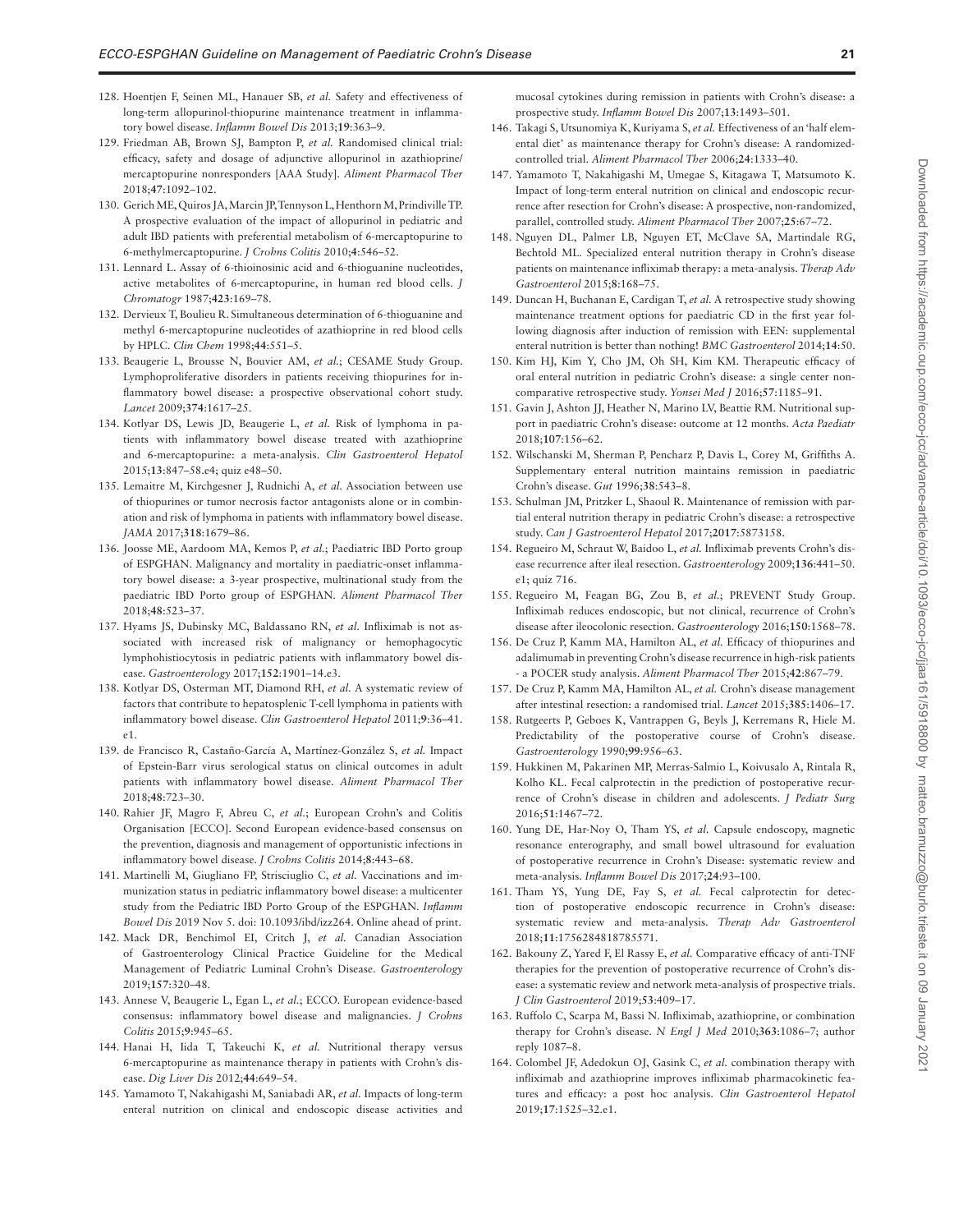- <span id="page-20-0"></span>128. Hoentjen F, Seinen ML, Hanauer SB, *et al.* Safety and effectiveness of long-term allopurinol-thiopurine maintenance treatment in inflammatory bowel disease. *Inflamm Bowel Dis* 2013;**19**:363–9.
- 129. Friedman AB, Brown SJ, Bampton P, *et al.* Randomised clinical trial: efficacy, safety and dosage of adjunctive allopurinol in azathioprine/ mercaptopurine nonresponders [AAA Study]. *Aliment Pharmacol Ther* 2018;**47**:1092–102.
- <span id="page-20-1"></span>130. Gerich ME, Quiros JA, Marcin JP, Tennyson L, Henthorn M, Prindiville TP. A prospective evaluation of the impact of allopurinol in pediatric and adult IBD patients with preferential metabolism of 6-mercaptopurine to 6-methylmercaptopurine. *J Crohns Colitis* 2010;**4**:546–52.
- <span id="page-20-9"></span>131. Lennard L. Assay of 6-thioinosinic acid and 6-thioguanine nucleotides, active metabolites of 6-mercaptopurine, in human red blood cells. *J Chromatogr* 1987;**423**:169–78.
- <span id="page-20-10"></span>132. Dervieux T, Boulieu R. Simultaneous determination of 6-thioguanine and methyl 6-mercaptopurine nucleotides of azathioprine in red blood cells by HPLC. *Clin Chem* 1998;**44**:551–5.
- <span id="page-20-2"></span>133. Beaugerie L, Brousse N, Bouvier AM, *et al.*; CESAME Study Group. Lymphoproliferative disorders in patients receiving thiopurines for inflammatory bowel disease: a prospective observational cohort study. *Lancet* 2009;**374**:1617–25.
- <span id="page-20-3"></span>134. Kotlyar DS, Lewis JD, Beaugerie L, *et al.* Risk of lymphoma in patients with inflammatory bowel disease treated with azathioprine and 6-mercaptopurine: a meta-analysis. *Clin Gastroenterol Hepatol* 2015;**13**:847–58.e4; quiz e48–50.
- <span id="page-20-4"></span>135. Lemaitre M, Kirchgesner J, Rudnichi A, *et al.* Association between use of thiopurines or tumor necrosis factor antagonists alone or in combination and risk of lymphoma in patients with inflammatory bowel disease. *JAMA* 2017;**318**:1679–86.
- <span id="page-20-5"></span>136. Joosse ME, Aardoom MA, Kemos P, *et al.*; Paediatric IBD Porto group of ESPGHAN. Malignancy and mortality in paediatric-onset inflammatory bowel disease: a 3-year prospective, multinational study from the paediatric IBD Porto group of ESPGHAN. *Aliment Pharmacol Ther* 2018;**48**:523–37.
- <span id="page-20-6"></span>137. Hyams JS, Dubinsky MC, Baldassano RN, *et al.* Infliximab is not associated with increased risk of malignancy or hemophagocytic lymphohistiocytosis in pediatric patients with inflammatory bowel disease. *Gastroenterology* 2017;**152**:1901–14.e3.
- <span id="page-20-7"></span>138. Kotlyar DS, Osterman MT, Diamond RH, *et al.* A systematic review of factors that contribute to hepatosplenic T-cell lymphoma in patients with inflammatory bowel disease. *Clin Gastroenterol Hepatol* 2011;**9**:36–41. e1.
- <span id="page-20-8"></span>139. de Francisco R, Castaño-García A, Martínez-González S, *et al.* Impact of Epstein-Barr virus serological status on clinical outcomes in adult patients with inflammatory bowel disease. *Aliment Pharmacol Ther* 2018;**48**:723–30.
- <span id="page-20-11"></span>140. Rahier JF, Magro F, Abreu C, *et al.*; European Crohn's and Colitis Organisation [ECCO]. Second European evidence-based consensus on the prevention, diagnosis and management of opportunistic infections in inflammatory bowel disease. *J Crohns Colitis* 2014;**8**:443–68.
- <span id="page-20-12"></span>141. Martinelli M, Giugliano FP, Strisciuglio C, *et al.* Vaccinations and immunization status in pediatric inflammatory bowel disease: a multicenter study from the Pediatric IBD Porto Group of the ESPGHAN. *Inflamm Bowel Dis* 2019 Nov 5. doi: 10.1093/ibd/izz264. Online ahead of print.
- <span id="page-20-13"></span>142. Mack DR, Benchimol EI, Critch J, *et al.* Canadian Association of Gastroenterology Clinical Practice Guideline for the Medical Management of Pediatric Luminal Crohn's Disease. *Gastroenterology* 2019;**157**:320–48.
- <span id="page-20-14"></span>143. Annese V, Beaugerie L, Egan L, *et al.*; ECCO. European evidence-based consensus: inflammatory bowel disease and malignancies. *J Crohns Colitis* 2015;**9**:945–65.
- <span id="page-20-15"></span>144. Hanai H, Iida T, Takeuchi K, *et al.* Nutritional therapy versus 6-mercaptopurine as maintenance therapy in patients with Crohn's disease. *Dig Liver Dis* 2012;**44**:649–54.
- <span id="page-20-16"></span>145. Yamamoto T, Nakahigashi M, Saniabadi AR, *et al.* Impacts of long-term enteral nutrition on clinical and endoscopic disease activities and

mucosal cytokines during remission in patients with Crohn's disease: a prospective study. *Inflamm Bowel Dis* 2007;**13**:1493–501.

- <span id="page-20-17"></span>146. Takagi S, Utsunomiya K, Kuriyama S, *et al.* Effectiveness of an 'half elemental diet' as maintenance therapy for Crohn's disease: A randomizedcontrolled trial. *Aliment Pharmacol Ther* 2006;**24**:1333–40.
- <span id="page-20-18"></span>147. Yamamoto T, Nakahigashi M, Umegae S, Kitagawa T, Matsumoto K. Impact of long-term enteral nutrition on clinical and endoscopic recurrence after resection for Crohn's disease: A prospective, non-randomized, parallel, controlled study. *Aliment Pharmacol Ther* 2007;**25**:67–72.
- <span id="page-20-19"></span>148. Nguyen DL, Palmer LB, Nguyen ET, McClave SA, Martindale RG, Bechtold ML. Specialized enteral nutrition therapy in Crohn's disease patients on maintenance infliximab therapy: a meta-analysis. *Therap Adv Gastroenterol* 2015;**8**:168–75.
- <span id="page-20-20"></span>149. Duncan H, Buchanan E, Cardigan T, *et al.* A retrospective study showing maintenance treatment options for paediatric CD in the first year following diagnosis after induction of remission with EEN: supplemental enteral nutrition is better than nothing! *BMC Gastroenterol* 2014;**14**:50.
- 150. Kim HJ, Kim Y, Cho JM, Oh SH, Kim KM. Therapeutic efficacy of oral enteral nutrition in pediatric Crohn's disease: a single center noncomparative retrospective study. *Yonsei Med J* 2016;**57**:1185–91.
- 151. Gavin J, Ashton JJ, Heather N, Marino LV, Beattie RM. Nutritional support in paediatric Crohn's disease: outcome at 12 months. *Acta Paediatr* 2018;**107**:156–62.
- 152. Wilschanski M, Sherman P, Pencharz P, Davis L, Corey M, Griffiths A. Supplementary enteral nutrition maintains remission in paediatric Crohn's disease. *Gut* 1996;**38**:543–8.
- <span id="page-20-21"></span>153. Schulman JM, Pritzker L, Shaoul R. Maintenance of remission with partial enteral nutrition therapy in pediatric Crohn's disease: a retrospective study. *Can J Gastroenterol Hepatol* 2017;**2017**:5873158.
- <span id="page-20-22"></span>154. Regueiro M, Schraut W, Baidoo L, *et al.* Infliximab prevents Crohn's disease recurrence after ileal resection. *Gastroenterology* 2009;**136**:441–50. e1; quiz 716.
- <span id="page-20-24"></span>155. Regueiro M, Feagan BG, Zou B, *et al.*; PREVENT Study Group. Infliximab reduces endoscopic, but not clinical, recurrence of Crohn's disease after ileocolonic resection. *Gastroenterology* 2016;**150**:1568–78.
- <span id="page-20-23"></span>156. De Cruz P, Kamm MA, Hamilton AL, *et al.* Efficacy of thiopurines and adalimumab in preventing Crohn's disease recurrence in high-risk patients ‐ a POCER study analysis. *Aliment Pharmacol Ther* 2015;**42**:867–79.
- <span id="page-20-25"></span>157. De Cruz P, Kamm MA, Hamilton AL, *et al.* Crohn's disease management after intestinal resection: a randomised trial. *Lancet* 2015;**385**:1406–17.
- <span id="page-20-26"></span>158. Rutgeerts P, Geboes K, Vantrappen G, Beyls J, Kerremans R, Hiele M. Predictability of the postoperative course of Crohn's disease. *Gastroenterology* 1990;**99**:956–63.
- <span id="page-20-27"></span>159. Hukkinen M, Pakarinen MP, Merras-Salmio L, Koivusalo A, Rintala R, Kolho KL. Fecal calprotectin in the prediction of postoperative recurrence of Crohn's disease in children and adolescents. *J Pediatr Surg* 2016;**51**:1467–72.
- <span id="page-20-28"></span>160. Yung DE, Har-Noy O, Tham YS, *et al.* Capsule endoscopy, magnetic resonance enterography, and small bowel ultrasound for evaluation of postoperative recurrence in Crohn's Disease: systematic review and meta-analysis. *Inflamm Bowel Dis* 2017;**24**:93–100.
- <span id="page-20-29"></span>161. Tham YS, Yung DE, Fay S, *et al.* Fecal calprotectin for detection of postoperative endoscopic recurrence in Crohn's disease: systematic review and meta-analysis. *Therap Adv Gastroenterol* 2018;**11**:1756284818785571.
- <span id="page-20-30"></span>162. Bakouny Z, Yared F, El Rassy E, *et al.* Comparative efficacy of anti-TNF therapies for the prevention of postoperative recurrence of Crohn's disease: a systematic review and network meta-analysis of prospective trials. *J Clin Gastroenterol* 2019;**53**:409–17.
- <span id="page-20-31"></span>163. Ruffolo C, Scarpa M, Bassi N. Infliximab, azathioprine, or combination therapy for Crohn's disease. *N Engl J Med* 2010;**363**:1086–7; author reply 1087–8.
- <span id="page-20-32"></span>164. Colombel JF, Adedokun OJ, Gasink C, *et al.* combination therapy with infliximab and azathioprine improves infliximab pharmacokinetic features and efficacy: a post hoc analysis. *Clin Gastroenterol Hepatol* 2019;**17**:1525–32.e1.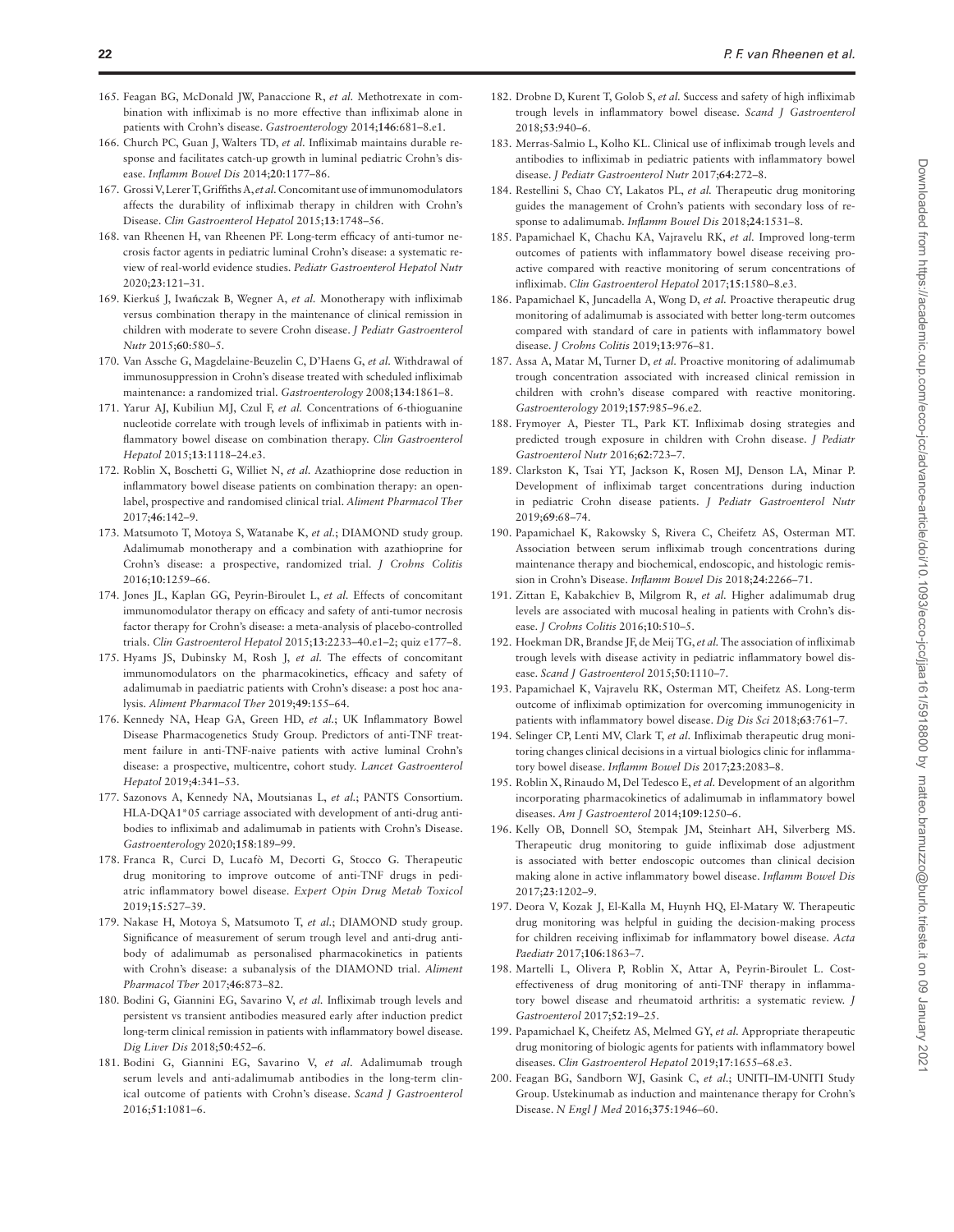- <span id="page-21-0"></span>165. Feagan BG, McDonald JW, Panaccione R, *et al.* Methotrexate in combination with infliximab is no more effective than infliximab alone in patients with Crohn's disease. *Gastroenterology* 2014;**146**:681–8.e1.
- <span id="page-21-1"></span>166. Church PC, Guan J, Walters TD, *et al.* Infliximab maintains durable response and facilitates catch-up growth in luminal pediatric Crohn's disease. *Inflamm Bowel Dis* 2014;**20**:1177–86.
- <span id="page-21-2"></span>167. Grossi V, Lerer T, Griffiths A, *et al.* Concomitant use of immunomodulators affects the durability of infliximab therapy in children with Crohn's Disease. *Clin Gastroenterol Hepatol* 2015;**13**:1748–56.
- <span id="page-21-3"></span>168. van Rheenen H, van Rheenen PF. Long-term efficacy of anti-tumor necrosis factor agents in pediatric luminal Crohn's disease: a systematic review of real-world evidence studies. *Pediatr Gastroenterol Hepatol Nutr* 2020;**23**:121–31.
- <span id="page-21-4"></span>169. Kierkuś J, Iwańczak B, Wegner A, *et al.* Monotherapy with infliximab versus combination therapy in the maintenance of clinical remission in children with moderate to severe Crohn disease. *J Pediatr Gastroenterol Nutr* 2015;**60**:580–5.
- <span id="page-21-5"></span>170. Van Assche G, Magdelaine-Beuzelin C, D'Haens G, *et al.* Withdrawal of immunosuppression in Crohn's disease treated with scheduled infliximab maintenance: a randomized trial. *Gastroenterology* 2008;**134**:1861–8.
- <span id="page-21-6"></span>171. Yarur AJ, Kubiliun MJ, Czul F, *et al.* Concentrations of 6-thioguanine nucleotide correlate with trough levels of infliximab in patients with inflammatory bowel disease on combination therapy. *Clin Gastroenterol Hepatol* 2015;**13**:1118–24.e3.
- <span id="page-21-7"></span>172. Roblin X, Boschetti G, Williet N, *et al.* Azathioprine dose reduction in inflammatory bowel disease patients on combination therapy: an openlabel, prospective and randomised clinical trial. *Aliment Pharmacol Ther* 2017;**46**:142–9.
- <span id="page-21-8"></span>173. Matsumoto T, Motoya S, Watanabe K, *et al.*; DIAMOND study group. Adalimumab monotherapy and a combination with azathioprine for Crohn's disease: a prospective, randomized trial. *J Crohns Colitis* 2016;**10**:1259–66.
- <span id="page-21-9"></span>174. Jones JL, Kaplan GG, Peyrin-Biroulet L, *et al.* Effects of concomitant immunomodulator therapy on efficacy and safety of anti-tumor necrosis factor therapy for Crohn's disease: a meta-analysis of placebo-controlled trials. *Clin Gastroenterol Hepatol* 2015;**13**:2233–40.e1–2; quiz e177–8.
- <span id="page-21-10"></span>175. Hyams JS, Dubinsky M, Rosh J, *et al.* The effects of concomitant immunomodulators on the pharmacokinetics, efficacy and safety of adalimumab in paediatric patients with Crohn's disease: a post hoc analysis. *Aliment Pharmacol Ther* 2019;**49**:155–64.
- <span id="page-21-11"></span>176. Kennedy NA, Heap GA, Green HD, *et al.*; UK Inflammatory Bowel Disease Pharmacogenetics Study Group. Predictors of anti-TNF treatment failure in anti-TNF-naive patients with active luminal Crohn's disease: a prospective, multicentre, cohort study. *Lancet Gastroenterol Hepatol* 2019;**4**:341–53.
- <span id="page-21-12"></span>177. Sazonovs A, Kennedy NA, Moutsianas L, *et al.*; PANTS Consortium. HLA-DQA1\*05 carriage associated with development of anti-drug antibodies to infliximab and adalimumab in patients with Crohn's Disease. *Gastroenterology* 2020;**158**:189–99.
- <span id="page-21-13"></span>178. Franca R, Curci D, Lucafò M, Decorti G, Stocco G. Therapeutic drug monitoring to improve outcome of anti-TNF drugs in pediatric inflammatory bowel disease. *Expert Opin Drug Metab Toxicol* 2019;**15**:527–39.
- 179. Nakase H, Motoya S, Matsumoto T, *et al.*; DIAMOND study group. Significance of measurement of serum trough level and anti-drug antibody of adalimumab as personalised pharmacokinetics in patients with Crohn's disease: a subanalysis of the DIAMOND trial. *Aliment Pharmacol Ther* 2017;**46**:873–82.
- 180. Bodini G, Giannini EG, Savarino V, *et al.* Infliximab trough levels and persistent vs transient antibodies measured early after induction predict long-term clinical remission in patients with inflammatory bowel disease. *Dig Liver Dis* 2018;**50**:452–6.
- 181. Bodini G, Giannini EG, Savarino V, *et al.* Adalimumab trough serum levels and anti-adalimumab antibodies in the long-term clinical outcome of patients with Crohn's disease. *Scand J Gastroenterol* 2016;**51**:1081–6.
- 182. Drobne D, Kurent T, Golob S, *et al.* Success and safety of high infliximab trough levels in inflammatory bowel disease. *Scand J Gastroenterol* 2018;**53**:940–6.
- <span id="page-21-14"></span>183. Merras-Salmio L, Kolho KL. Clinical use of infliximab trough levels and antibodies to infliximab in pediatric patients with inflammatory bowel disease. *J Pediatr Gastroenterol Nutr* 2017;**64**:272–8.
- <span id="page-21-15"></span>184. Restellini S, Chao CY, Lakatos PL, *et al.* Therapeutic drug monitoring guides the management of Crohn's patients with secondary loss of response to adalimumab. *Inflamm Bowel Dis* 2018;**24**:1531–8.
- <span id="page-21-16"></span>185. Papamichael K, Chachu KA, Vajravelu RK, *et al.* Improved long-term outcomes of patients with inflammatory bowel disease receiving proactive compared with reactive monitoring of serum concentrations of infliximab. *Clin Gastroenterol Hepatol* 2017;**15**:1580–8.e3.
- <span id="page-21-17"></span>186. Papamichael K, Juncadella A, Wong D, *et al.* Proactive therapeutic drug monitoring of adalimumab is associated with better long-term outcomes compared with standard of care in patients with inflammatory bowel disease. *J Crohns Colitis* 2019;**13**:976–81.
- <span id="page-21-18"></span>187. Assa A, Matar M, Turner D, *et al.* Proactive monitoring of adalimumab trough concentration associated with increased clinical remission in children with crohn's disease compared with reactive monitoring. *Gastroenterology* 2019;**157**:985–96.e2.
- <span id="page-21-19"></span>188. Frymoyer A, Piester TL, Park KT. Infliximab dosing strategies and predicted trough exposure in children with Crohn disease. *J Pediatr Gastroenterol Nutr* 2016;**62**:723–7.
- <span id="page-21-20"></span>189. Clarkston K, Tsai YT, Jackson K, Rosen MJ, Denson LA, Minar P. Development of infliximab target concentrations during induction in pediatric Crohn disease patients. *J Pediatr Gastroenterol Nutr* 2019;**69**:68–74.
- <span id="page-21-21"></span>190. Papamichael K, Rakowsky S, Rivera C, Cheifetz AS, Osterman MT. Association between serum infliximab trough concentrations during maintenance therapy and biochemical, endoscopic, and histologic remission in Crohn's Disease. *Inflamm Bowel Dis* 2018;**24**:2266–71.
- <span id="page-21-22"></span>191. Zittan E, Kabakchiev B, Milgrom R, *et al.* Higher adalimumab drug levels are associated with mucosal healing in patients with Crohn's disease. *J Crohns Colitis* 2016;**10**:510–5.
- <span id="page-21-23"></span>192. Hoekman DR, Brandse JF, de Meij TG, *et al.* The association of infliximab trough levels with disease activity in pediatric inflammatory bowel disease. *Scand J Gastroenterol* 2015;**50**:1110–7.
- <span id="page-21-24"></span>193. Papamichael K, Vajravelu RK, Osterman MT, Cheifetz AS. Long-term outcome of infliximab optimization for overcoming immunogenicity in patients with inflammatory bowel disease. *Dig Dis Sci* 2018;**63**:761–7.
- 194. Selinger CP, Lenti MV, Clark T, *et al.* Infliximab therapeutic drug monitoring changes clinical decisions in a virtual biologics clinic for inflammatory bowel disease. *Inflamm Bowel Dis* 2017;**23**:2083–8.
- <span id="page-21-25"></span>195. Roblin X, Rinaudo M, Del Tedesco E, *et al.* Development of an algorithm incorporating pharmacokinetics of adalimumab in inflammatory bowel diseases. *Am J Gastroenterol* 2014;**109**:1250–6.
- <span id="page-21-26"></span>196. Kelly OB, Donnell SO, Stempak JM, Steinhart AH, Silverberg MS. Therapeutic drug monitoring to guide infliximab dose adjustment is associated with better endoscopic outcomes than clinical decision making alone in active inflammatory bowel disease. *Inflamm Bowel Dis* 2017;**23**:1202–9.
- <span id="page-21-27"></span>197. Deora V, Kozak J, El-Kalla M, Huynh HQ, El-Matary W. Therapeutic drug monitoring was helpful in guiding the decision-making process for children receiving infliximab for inflammatory bowel disease. *Acta Paediatr* 2017;**106**:1863–7.
- <span id="page-21-28"></span>198. Martelli L, Olivera P, Roblin X, Attar A, Peyrin-Biroulet L. Costeffectiveness of drug monitoring of anti-TNF therapy in inflammatory bowel disease and rheumatoid arthritis: a systematic review. *J Gastroenterol* 2017;**52**:19–25.
- <span id="page-21-29"></span>199. Papamichael K, Cheifetz AS, Melmed GY, *et al.* Appropriate therapeutic drug monitoring of biologic agents for patients with inflammatory bowel diseases. *Clin Gastroenterol Hepatol* 2019;**17**:1655–68.e3.
- <span id="page-21-30"></span>200. Feagan BG, Sandborn WJ, Gasink C, *et al.*; UNITI–IM-UNITI Study Group. Ustekinumab as induction and maintenance therapy for Crohn's Disease. *N Engl J Med* 2016;**375**:1946–60.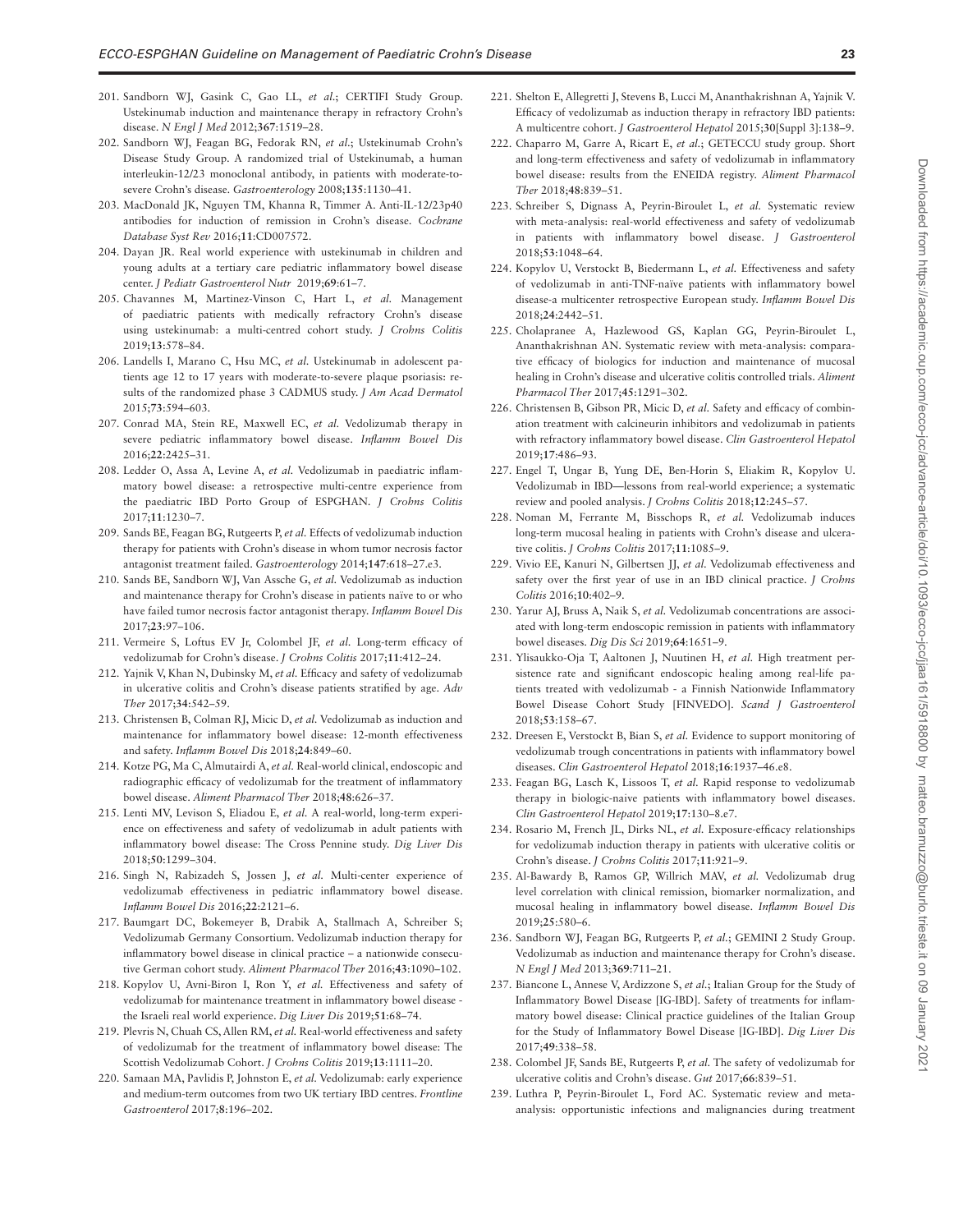- <span id="page-22-1"></span>201. Sandborn WJ, Gasink C, Gao LL, *et al.*; CERTIFI Study Group. Ustekinumab induction and maintenance therapy in refractory Crohn's disease. *N Engl J Med* 2012;**367**:1519–28.
- <span id="page-22-0"></span>202. Sandborn WJ, Feagan BG, Fedorak RN, *et al.*; Ustekinumab Crohn's Disease Study Group. A randomized trial of Ustekinumab, a human interleukin-12/23 monoclonal antibody, in patients with moderate-tosevere Crohn's disease. *Gastroenterology* 2008;**135**:1130–41.
- <span id="page-22-2"></span>203. MacDonald JK, Nguyen TM, Khanna R, Timmer A. Anti-IL-12/23p40 antibodies for induction of remission in Crohn's disease. *Cochrane Database Syst Rev* 2016;**11**:CD007572.
- <span id="page-22-3"></span>204. Dayan JR. Real world experience with ustekinumab in children and young adults at a tertiary care pediatric inflammatory bowel disease center. *J Pediatr Gastroenterol Nutr* 2019;**69**:61–7.
- <span id="page-22-4"></span>205. Chavannes M, Martinez-Vinson C, Hart L, *et al.* Management of paediatric patients with medically refractory Crohn's disease using ustekinumab: a multi-centred cohort study. *J Crohns Colitis* 2019;**13**:578–84.
- <span id="page-22-5"></span>206. Landells I, Marano C, Hsu MC, *et al.* Ustekinumab in adolescent patients age 12 to 17 years with moderate-to-severe plaque psoriasis: results of the randomized phase 3 CADMUS study. *J Am Acad Dermatol* 2015;**73**:594–603.
- <span id="page-22-6"></span>207. Conrad MA, Stein RE, Maxwell EC, *et al.* Vedolizumab therapy in severe pediatric inflammatory bowel disease. *Inflamm Bowel Dis* 2016;**22**:2425–31.
- <span id="page-22-9"></span>208. Ledder O, Assa A, Levine A, *et al.* Vedolizumab in paediatric inflammatory bowel disease: a retrospective multi-centre experience from the paediatric IBD Porto Group of ESPGHAN. *J Crohns Colitis* 2017;**11**:1230–7.
- 209. Sands BE, Feagan BG, Rutgeerts P, *et al.* Effects of vedolizumab induction therapy for patients with Crohn's disease in whom tumor necrosis factor antagonist treatment failed. *Gastroenterology* 2014;**147**:618–27.e3.
- <span id="page-22-21"></span>210. Sands BE, Sandborn WJ, Van Assche G, *et al.* Vedolizumab as induction and maintenance therapy for Crohn's disease in patients naïve to or who have failed tumor necrosis factor antagonist therapy. *Inflamm Bowel Dis* 2017;**23**:97–106.
- <span id="page-22-7"></span>211. Vermeire S, Loftus EV Jr, Colombel JF, *et al.* Long-term efficacy of vedolizumab for Crohn's disease. *J Crohns Colitis* 2017;**11**:412–24.
- <span id="page-22-8"></span>212. Yajnik V, Khan N, Dubinsky M, *et al.* Efficacy and safety of vedolizumab in ulcerative colitis and Crohn's disease patients stratified by age. *Adv Ther* 2017;**34**:542–59.
- <span id="page-22-14"></span>213. Christensen B, Colman RJ, Micic D, *et al.* Vedolizumab as induction and maintenance for inflammatory bowel disease: 12-month effectiveness and safety. *Inflamm Bowel Dis* 2018;**24**:849–60.
- <span id="page-22-15"></span>214. Kotze PG, Ma C, Almutairdi A, *et al.* Real-world clinical, endoscopic and radiographic efficacy of vedolizumab for the treatment of inflammatory bowel disease. *Aliment Pharmacol Ther* 2018;**48**:626–37.
- 215. Lenti MV, Levison S, Eliadou E, *et al.* A real-world, long-term experience on effectiveness and safety of vedolizumab in adult patients with inflammatory bowel disease: The Cross Pennine study. *Dig Liver Dis* 2018;**50**:1299–304.
- <span id="page-22-10"></span>216. Singh N, Rabizadeh S, Jossen J, *et al.* Multi-center experience of vedolizumab effectiveness in pediatric inflammatory bowel disease. *Inflamm Bowel Dis* 2016;**22**:2121–6.
- <span id="page-22-11"></span>217. Baumgart DC, Bokemeyer B, Drabik A, Stallmach A, Schreiber S; Vedolizumab Germany Consortium. Vedolizumab induction therapy for inflammatory bowel disease in clinical practice – a nationwide consecutive German cohort study. *Aliment Pharmacol Ther* 2016;**43**:1090–102.
- 218. Kopylov U, Avni-Biron I, Ron Y, *et al.* Effectiveness and safety of vedolizumab for maintenance treatment in inflammatory bowel disease ‐ the Israeli real world experience. *Dig Liver Dis* 2019;**51**:68–74.
- 219. Plevris N, Chuah CS, Allen RM, *et al.* Real-world effectiveness and safety of vedolizumab for the treatment of inflammatory bowel disease: The Scottish Vedolizumab Cohort. *J Crohns Colitis* 2019;**13**:1111–20.
- 220. Samaan MA, Pavlidis P, Johnston E, *et al.* Vedolizumab: early experience and medium-term outcomes from two UK tertiary IBD centres. *Frontline Gastroenterol* 2017;**8**:196–202.
- 221. Shelton E, Allegretti J, Stevens B, Lucci M, Ananthakrishnan A, Yajnik V. Efficacy of vedolizumab as induction therapy in refractory IBD patients: A multicentre cohort. *J Gastroenterol Hepatol* 2015;**30**[Suppl 3]:138–9.
- 222. Chaparro M, Garre A, Ricart E, *et al.*; GETECCU study group. Short and long-term effectiveness and safety of vedolizumab in inflammatory bowel disease: results from the ENEIDA registry. *Aliment Pharmacol Ther* 2018;**48**:839–51.
- <span id="page-22-12"></span>223. Schreiber S, Dignass A, Peyrin-Biroulet L, *et al.* Systematic review with meta-analysis: real-world effectiveness and safety of vedolizumab in patients with inflammatory bowel disease. *J Gastroenterol* 2018;**53**:1048–64.
- <span id="page-22-13"></span>224. Kopylov U, Verstockt B, Biedermann L, *et al.* Effectiveness and safety of vedolizumab in anti-TNF-naïve patients with inflammatory bowel disease-a multicenter retrospective European study. *Inflamm Bowel Dis* 2018;**24**:2442–51.
- <span id="page-22-16"></span>225. Cholapranee A, Hazlewood GS, Kaplan GG, Peyrin-Biroulet L, Ananthakrishnan AN. Systematic review with meta-analysis: comparative efficacy of biologics for induction and maintenance of mucosal healing in Crohn's disease and ulcerative colitis controlled trials. *Aliment Pharmacol Ther* 2017;**45**:1291–302.
- 226. Christensen B, Gibson PR, Micic D, *et al.* Safety and efficacy of combination treatment with calcineurin inhibitors and vedolizumab in patients with refractory inflammatory bowel disease. *Clin Gastroenterol Hepatol* 2019;**17**:486–93.
- <span id="page-22-18"></span>227. Engel T, Ungar B, Yung DE, Ben-Horin S, Eliakim R, Kopylov U. Vedolizumab in IBD—lessons from real-world experience; a systematic review and pooled analysis. *J Crohns Colitis* 2018;**12**:245–57.
- 228. Noman M, Ferrante M, Bisschops R, *et al.* Vedolizumab induces long-term mucosal healing in patients with Crohn's disease and ulcerative colitis. *J Crohns Colitis* 2017;**11**:1085–9.
- <span id="page-22-19"></span>229. Vivio EE, Kanuri N, Gilbertsen JJ, *et al.* Vedolizumab effectiveness and safety over the first year of use in an IBD clinical practice. *J Crohns Colitis* 2016;**10**:402–9.
- 230. Yarur AJ, Bruss A, Naik S, *et al.* Vedolizumab concentrations are associated with long-term endoscopic remission in patients with inflammatory bowel diseases. *Dig Dis Sci* 2019;**64**:1651–9.
- <span id="page-22-17"></span>231. Ylisaukko-Oja T, Aaltonen J, Nuutinen H, *et al.* High treatment persistence rate and significant endoscopic healing among real-life patients treated with vedolizumab ‐ a Finnish Nationwide Inflammatory Bowel Disease Cohort Study [FINVEDO]. *Scand J Gastroenterol* 2018;**53**:158–67.
- <span id="page-22-20"></span>232. Dreesen E, Verstockt B, Bian S, *et al.* Evidence to support monitoring of vedolizumab trough concentrations in patients with inflammatory bowel diseases. *Clin Gastroenterol Hepatol* 2018;**16**:1937–46.e8.
- <span id="page-22-22"></span>233. Feagan BG, Lasch K, Lissoos T, *et al.* Rapid response to vedolizumab therapy in biologic-naive patients with inflammatory bowel diseases. *Clin Gastroenterol Hepatol* 2019;**17**:130–8.e7.
- <span id="page-22-23"></span>234. Rosario M, French JL, Dirks NL, *et al.* Exposure-efficacy relationships for vedolizumab induction therapy in patients with ulcerative colitis or Crohn's disease. *J Crohns Colitis* 2017;**11**:921–9.
- <span id="page-22-24"></span>235. Al-Bawardy B, Ramos GP, Willrich MAV, *et al.* Vedolizumab drug level correlation with clinical remission, biomarker normalization, and mucosal healing in inflammatory bowel disease. *Inflamm Bowel Dis* 2019;**25**:580–6.
- <span id="page-22-25"></span>236. Sandborn WJ, Feagan BG, Rutgeerts P, *et al.*; GEMINI 2 Study Group. Vedolizumab as induction and maintenance therapy for Crohn's disease. *N Engl J Med* 2013;**369**:711–21.
- <span id="page-22-26"></span>237. Biancone L, Annese V, Ardizzone S, *et al.*; Italian Group for the Study of Inflammatory Bowel Disease [IG-IBD]. Safety of treatments for inflammatory bowel disease: Clinical practice guidelines of the Italian Group for the Study of Inflammatory Bowel Disease [IG-IBD]. *Dig Liver Dis* 2017;**49**:338–58.
- 238. Colombel JF, Sands BE, Rutgeerts P, *et al.* The safety of vedolizumab for ulcerative colitis and Crohn's disease. *Gut* 2017;**66**:839–51.
- <span id="page-22-27"></span>239. Luthra P, Peyrin-Biroulet L, Ford AC. Systematic review and metaanalysis: opportunistic infections and malignancies during treatment